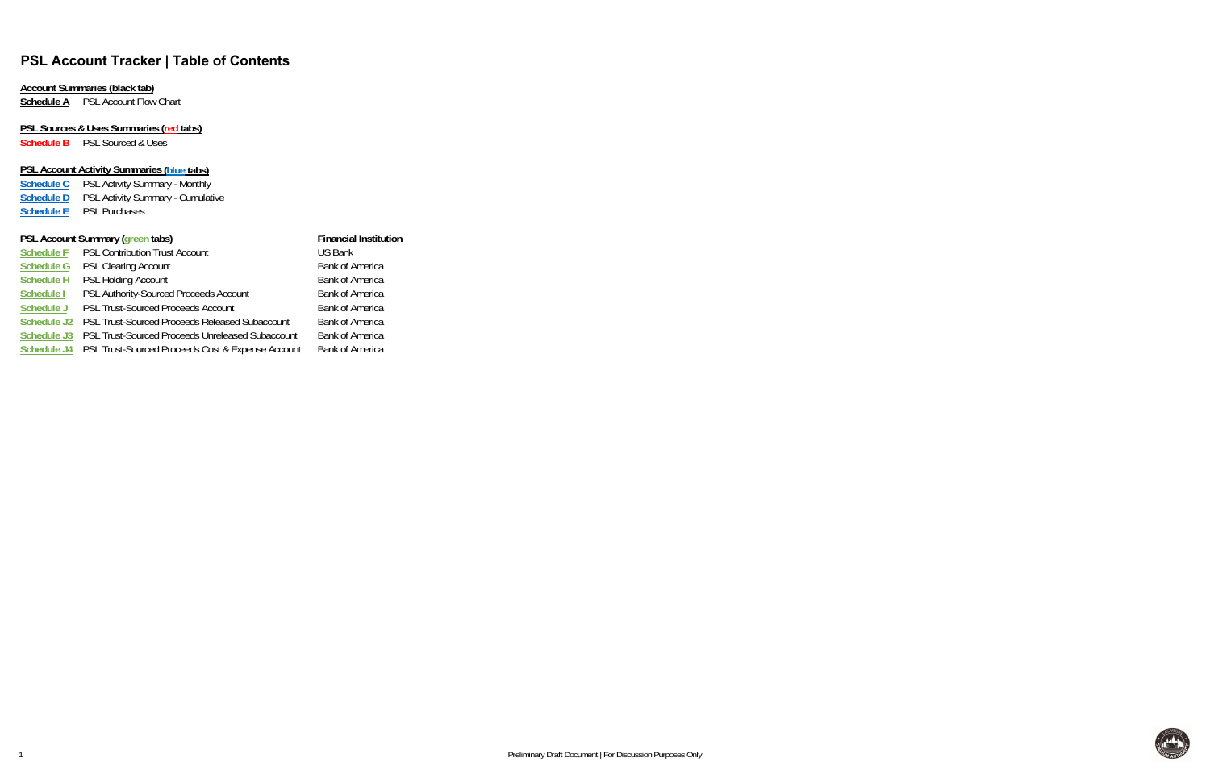# **PSL Account Tracker | Table of Contents**

## **Account Summaries (black tab)**

**Schedule A** PSL Account Flow Chart

# **PSL Sources & Uses Summaries (red tabs)**

**Schedule B** PSL Sourced & Uses

## **PSL Account Activity Summaries (blue tabs)**

| <b>Schedule C</b> | <b>PSL Activity Summary - Monthly</b>    |
|-------------------|------------------------------------------|
| <b>Schedule D</b> | <b>PSL Activity Summary - Cumulative</b> |
| <b>Schedule E</b> | <b>PSL Purchases</b>                     |

## **PSL Account Summary (green tabs) Financial Institution**

|                    | $19000$ and $20000$ and $70000$ and $7000$        |                        |
|--------------------|---------------------------------------------------|------------------------|
| <b>Schedule F</b>  | <b>PSL Contribution Trust Account</b>             | <b>US Bank</b>         |
| <b>Schedule G</b>  | <b>PSL Clearing Account</b>                       | <b>Bank of America</b> |
| <b>Schedule H</b>  | <b>PSL Holding Account</b>                        | <b>Bank of America</b> |
| Schedule I         | PSL Authority-Sourced Proceeds Account            | <b>Bank of America</b> |
| Schedule J         | <b>PSL Trust-Sourced Proceeds Account</b>         | <b>Bank of America</b> |
| Schedule J2        | PSL Trust-Sourced Proceeds Released Subaccount    | <b>Bank of America</b> |
| Schedule J3        | PSL Trust-Sourced Proceeds Unreleased Subaccount  | <b>Bank of America</b> |
| <b>Schedule J4</b> | PSL Trust-Sourced Proceeds Cost & Expense Account | <b>Bank of America</b> |
|                    |                                                   |                        |



1

Preliminary Draft Document | For Discussion Purposes Only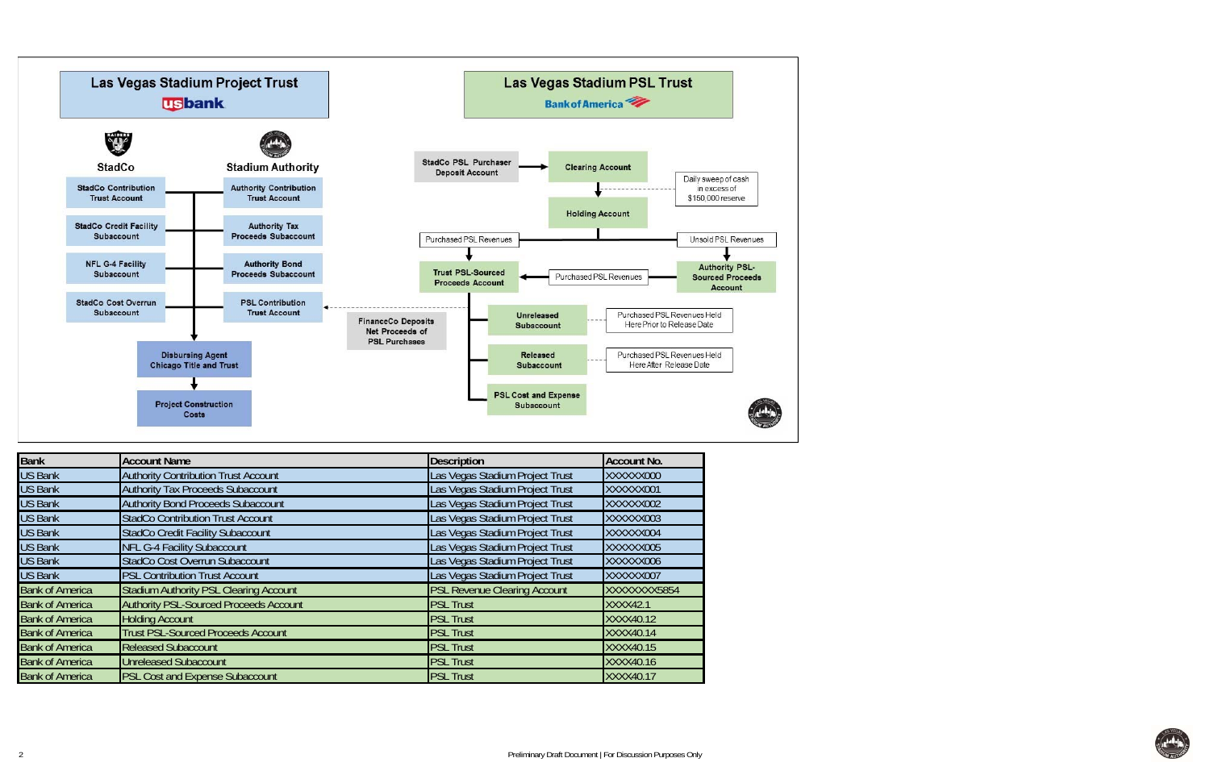

| <b>Bank</b>            | <b>Account Name</b>                           | <b>Description</b>                  | <b>Account No.</b> |
|------------------------|-----------------------------------------------|-------------------------------------|--------------------|
| <b>US Bank</b>         | <b>Authority Contribution Trust Account</b>   | Las Vegas Stadium Project Trust     | XXXXXX000          |
| <b>US Bank</b>         | <b>Authority Tax Proceeds Subaccount</b>      | Las Vegas Stadium Project Trust     | XXXXXX001          |
| <b>US Bank</b>         | <b>Authority Bond Proceeds Subaccount</b>     | Las Vegas Stadium Project Trust     | XXXXXX002          |
| <b>US Bank</b>         | <b>StadCo Contribution Trust Account</b>      | Las Vegas Stadium Project Trust     | XXXXXX003          |
| <b>US Bank</b>         | <b>StadCo Credit Facility Subaccount</b>      | Las Vegas Stadium Project Trust     | XXXXXX004          |
| <b>US Bank</b>         | <b>NFL G-4 Facility Subaccount</b>            | Las Vegas Stadium Project Trust     | XXXXXX005          |
| <b>US Bank</b>         | StadCo Cost Overrun Subaccount                | Las Vegas Stadium Project Trust     | XXXXXX006          |
| <b>US Bank</b>         | <b>PSL Contribution Trust Account</b>         | Las Vegas Stadium Project Trust     | XXXXXX007          |
| <b>Bank of America</b> | <b>Stadium Authority PSL Clearing Account</b> | <b>PSL Revenue Clearing Account</b> | XXXXXXXX5854       |
| <b>Bank of America</b> | <b>Authority PSL-Sourced Proceeds Account</b> | <b>PSL Trust</b>                    | <b>XXXX42.1</b>    |
| <b>Bank of America</b> | <b>Holding Account</b>                        | <b>PSL Trust</b>                    | XXXX40.12          |
| <b>Bank of America</b> | <b>Trust PSL-Sourced Proceeds Account</b>     | <b>PSL Trust</b>                    | XXXX40.14          |
| <b>Bank of America</b> | <b>Released Subaccount</b>                    | <b>PSL Trust</b>                    | XXXX40.15          |
| <b>Bank of America</b> | <b>Unreleased Subaccount</b>                  | <b>PSL Trust</b>                    | XXXX40.16          |
| <b>Bank of America</b> | <b>PSL Cost and Expense Subaccount</b>        | <b>PSL Trust</b>                    | XXXX40.17          |

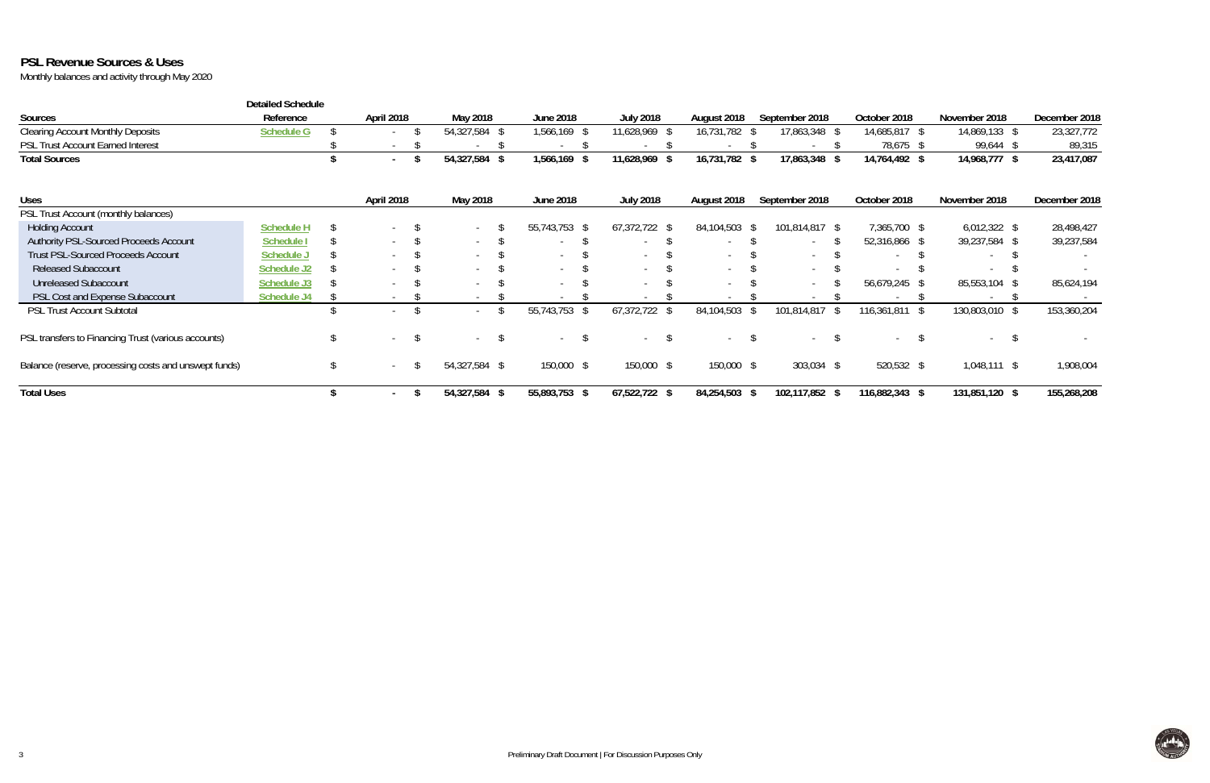# **PSL Revenue Sources & Uses**

|                                                       | <b>Detailed Schedule</b> |                          |                          |                          |                  |                |                     |                |                |               |
|-------------------------------------------------------|--------------------------|--------------------------|--------------------------|--------------------------|------------------|----------------|---------------------|----------------|----------------|---------------|
| Sources                                               | Reference                | April 2018               | May 2018                 | June 2018                | <b>July 2018</b> | August 2018    | September 2018      | October 2018   | November 2018  | December 2018 |
| <b>Clearing Account Monthly Deposits</b>              | <b>Schedule G</b>        |                          | 54,327,584 \$            | 1,566,169                | 11,628,969 \$    | 16,731,782     | 17,863,348 \$       | 14,685,817 \$  | 14,869,133 \$  | 23,327,772    |
| PSL Trust Account Earned Interest                     |                          | $\overline{\phantom{a}}$ |                          |                          |                  |                |                     | 78,675 \$      | 99,644 \$      | 89,315        |
| <b>Total Sources</b>                                  |                          | $\sim$                   | 54,327,584<br>- \$       | 1,566,169                | 11,628,969       | 16,731,782 \$  | 17,863,348 \$       | 14,764,492 \$  | 14,968,777 \$  | 23,417,087    |
| <b>Uses</b>                                           |                          | April 2018               | May 2018                 | <b>June 2018</b>         | <b>July 2018</b> | August 2018    | September 2018      | October 2018   | November 2018  | December 2018 |
| PSL Trust Account (monthly balances)                  |                          |                          |                          |                          |                  |                |                     |                |                |               |
| <b>Holding Account</b>                                | <b>Schedule H</b>        |                          | $\overline{\phantom{a}}$ | 55,743,753 \$            | $67,372,722$ \$  | 84,104,503 \$  | 101,814,817 \$      | 7,365,700 \$   | $6,012,322$ \$ | 28,498,427    |
| Authority PSL-Sourced Proceeds Account                | <b>Schedule I</b>        |                          | $\sim$                   | $\overline{\phantom{a}}$ |                  | $\overline{a}$ |                     | 52,316,866 \$  | 39,237,584 \$  | 39,237,584    |
| <b>Trust PSL-Sourced Proceeds Account</b>             | Schedule.                | $\sim$                   | $\sim$                   | $\sim$                   | $\sim$           | $\overline{a}$ |                     |                |                |               |
| <b>Released Subaccount</b>                            | <b>Schedule J2</b>       | $\sim$                   |                          | $\sim$                   | $\sim$           | $\sim$         | $\sim$              |                |                |               |
| <b>Unreleased Subaccount</b>                          | Schedule J3              |                          | $\overline{\phantom{a}}$ | $\sim$                   |                  |                |                     | 56,679,245 \$  | 85,553,104 \$  | 85,624,194    |
| PSL Cost and Expense Subaccount                       | <b>Schedule J4</b>       | $\overline{\phantom{a}}$ | $\sim$                   | $\sim$                   |                  | $\sim$         |                     |                |                |               |
| PSL Trust Account Subtotal                            |                          |                          |                          | 55,743,753               | 67,372,722       | 84,104,503     | 101,814,817<br>- \$ | 116,361,811    | 130,803,010 \$ | 153,360,204   |
| PSL transfers to Financing Trust (various accounts)   |                          |                          | $\overline{\phantom{a}}$ | $\sim$                   |                  |                |                     |                |                |               |
| Balance (reserve, processing costs and unswept funds) |                          | $\sim$                   | 54,327,584 \$            | 150,000 \$               | 150,000 \$       | 150,000 \$     | $303,034$ \$        | 520,532 \$     | $1,048,111$ \$ | 1,908,004     |
| <b>Total Uses</b>                                     |                          |                          | 54,327,584<br>$\sqrt{3}$ | 55,893,753<br>ъ          | $67,522,722$ \$  | 84,254,503 \$  | 102,117,852 \$      | 116,882,343 \$ | 131,851,120 \$ | 155,268,208   |

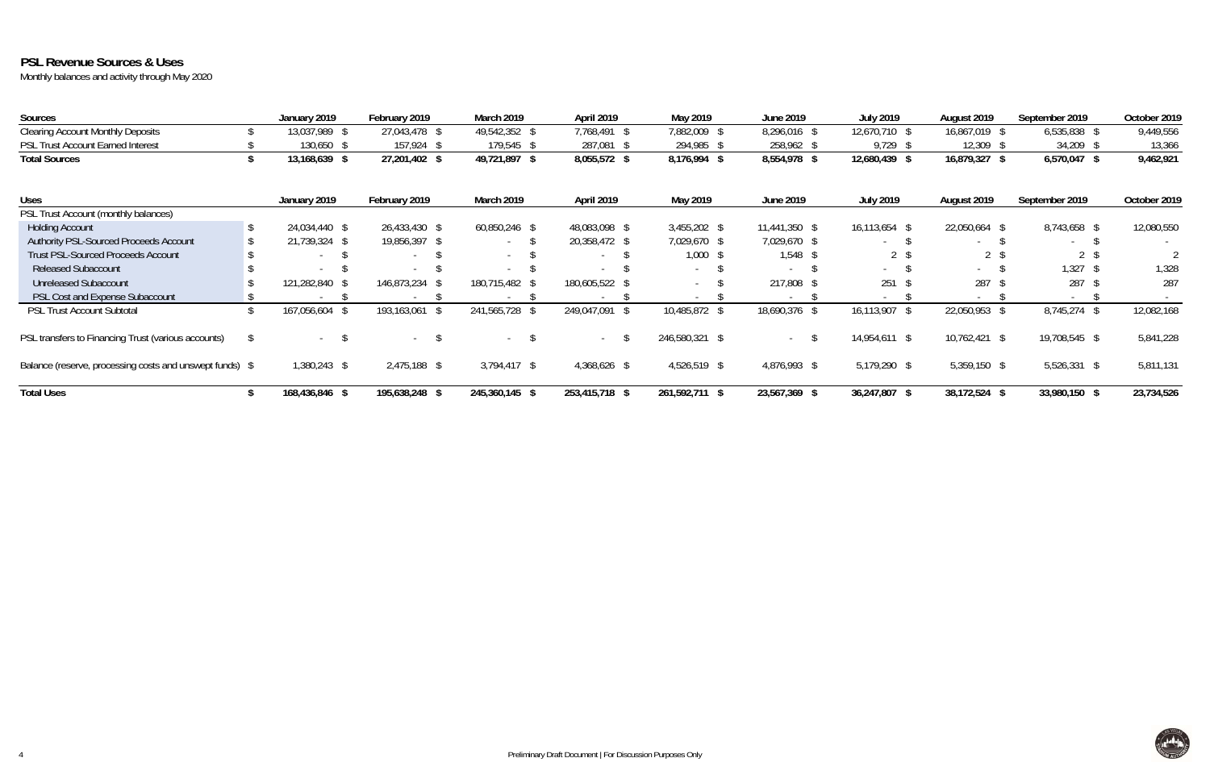# **PSL Revenue Sources & Uses**

| Sources                                                  | January 2019   | February 2019       | <b>March 2019</b> | April 2019     | May 2019       | <b>June 2019</b> | <b>July 2019</b> | August 2019    | September 2019           | October 2019 |
|----------------------------------------------------------|----------------|---------------------|-------------------|----------------|----------------|------------------|------------------|----------------|--------------------------|--------------|
| <b>Clearing Account Monthly Deposits</b>                 | 13,037,989 \$  | 27,043,478 \$       | 49,542,352 \$     | 7,768,491 \$   | 7,882,009      | 8,296,016        | 12,670,710 \$    | 16,867,019     | $6,535,838$ \$           | 9,449,556    |
| <b>PSL Trust Account Earned Interest</b>                 | 130,650 \$     | 157,924 \$          | 179,545 \$        | 287,081 \$     | 294,985        | 258,962          | 9,729            | 12,309         | 34,209                   | 13,366       |
| <b>Total Sources</b>                                     | 13,168,639 \$  | 27,201,402 \$       | 49,721,897 \$     | 8,055,572 \$   | 8,176,994 \$   | 8,554,978 \$     | 12,680,439       | 16,879,327     | 6,570,047                | 9,462,921    |
| <b>Uses</b>                                              | January 2019   | February 2019       | March 2019        | April 2019     | May 2019       | June 2019        | <b>July 2019</b> | August 2019    | September 2019           | October 2019 |
| PSL Trust Account (monthly balances)                     |                |                     |                   |                |                |                  |                  |                |                          |              |
| <b>Holding Account</b>                                   | 24,034,440 \$  | 26,433,430 \$       | 60,850,246 \$     | 48,083,098 \$  | $3,455,202$ \$ | 11,441,350 \$    | 16,113,654 \$    | 22,050,664     | 8,743,658 \$             | 12,080,550   |
| Authority PSL-Sourced Proceeds Account                   | 21,739,324 \$  | 19,856,397 \$       | $\sim$            | 20,358,472 \$  | 7,029,670 \$   | 7,029,670 \$     | $\sim$           | $\sim$         | $\sim$                   |              |
| <b>Trust PSL-Sourced Proceeds Account</b>                |                | $\sim$              | $\sim$            |                | 1,000          | $1,548$ \$       | 2 <sup>5</sup>   | 2 <sup>5</sup> | 2 <sup>5</sup>           |              |
| <b>Released Subaccount</b>                               |                |                     |                   |                | $\sim$         |                  | $\sim$           | $\sim$         | 1,327                    | 1,328        |
| <b>Unreleased Subaccount</b>                             | 121,282,840 \$ | 146,873,234         | 180,715,482 \$    | 180,605,522 \$ |                | 217,808          | 251              | 287            | 287                      | 287          |
| PSL Cost and Expense Subaccount                          |                |                     |                   |                |                |                  |                  |                | $\overline{\phantom{a}}$ |              |
| <b>PSL Trust Account Subtotal</b>                        | 167,056,604 \$ | 193,163,061<br>- \$ | 241,565,728 \$    | 249,047,091 \$ | 10,485,872     | 18,690,376       | 16,113,907       | 22,050,953     | 8,745,274 \$             | 12,082,168   |
| PSL transfers to Financing Trust (various accounts)      | $\sim$         | $\sim$ $-$          | $\sim$ $-$        | $\sim$         | 246,580,321 \$ | $\sim$           | 14,954,611 \$    | 10,762,421 \$  | 19,708,545 \$            | 5,841,228    |
| Balance (reserve, processing costs and unswept funds) \$ | 1,380,243 \$   | $2,475,188$ \$      | $3,794,417$ \$    | 4,368,626 \$   | 4,526,519 \$   | 4,876,993 \$     | 5,179,290 \$     | $5,359,150$ \$ | $5,526,331$ \$           | 5,811,131    |
| <b>Total Uses</b>                                        | 168,436,846 \$ | 195,638,248 \$      | 245,360,145 \$    | 253,415,718 \$ | 261,592,711 \$ | 23,567,369       | 36,247,807       | 38,172,524     | 33,980,150 \$            | 23,734,526   |

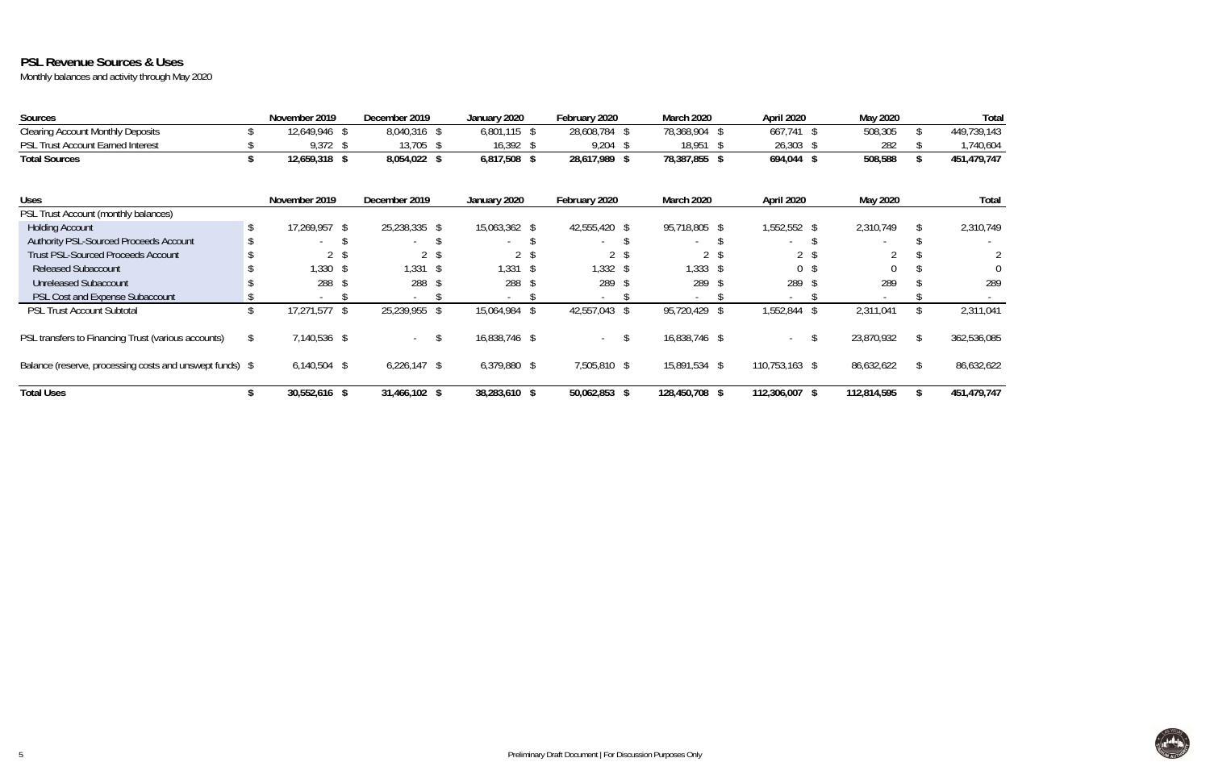# **PSL Revenue Sources & Uses**

| <b>Sources</b>                                           | November 2019  | December 2019  | January 2020             | February 2020 | March 2020               | April 2020               |      | May 2020    |    | Total        |
|----------------------------------------------------------|----------------|----------------|--------------------------|---------------|--------------------------|--------------------------|------|-------------|----|--------------|
| <b>Clearing Account Monthly Deposits</b>                 | 12,649,946 \$  | 8,040,316 \$   | $6,801,115$ \$           | 28,608,784 \$ | 78,368,904 \$            | 667,741 \$               |      | 508,305     |    | 449,739,143  |
| <b>PSL Trust Account Earned Interest</b>                 | $9,372$ \$     | 13,705 \$      | $16,392$ \$              | $9,204$ \$    | 18,951 \$                | $26,303$ \$              |      | 282         |    | 1,740,604    |
| <b>Total Sources</b>                                     | 12,659,318 \$  | 8,054,022 \$   | 6,817,508 \$             | 28,617,989 \$ | 78,387,855 \$            | 694,044                  | -\$  | 508,588     |    | 451,479,747  |
| <b>Uses</b>                                              | November 2019  | December 2019  | January 2020             | February 2020 | March 2020               | April 2020               |      | May 2020    |    | <b>Total</b> |
| PSL Trust Account (monthly balances)                     |                |                |                          |               |                          |                          |      |             |    |              |
| <b>Holding Account</b>                                   | 17,269,957 \$  | 25,238,335 \$  | 15,063,362 \$            | 42,555,420 \$ | 95,718,805 \$            | 1,552,552 \$             |      | 2,310,749   |    | 2,310,749    |
| Authority PSL-Sourced Proceeds Account                   | $\sim$         | $\sim$         | $\overline{\phantom{a}}$ |               | $\sim$                   | $\sim$                   |      |             |    |              |
| <b>Trust PSL-Sourced Proceeds Account</b>                |                |                | 2 <sup>5</sup>           |               |                          | 2 <sup>5</sup>           |      |             |    |              |
| <b>Released Subaccount</b>                               | $,330$ \$      | $1,331$ \$     | $1,331$ \$               | $1,332$ \$    | 1,333                    | $\overline{0}$           |      |             |    |              |
| <b>Unreleased Subaccount</b>                             | 288 \$         | 288            | 288 \$                   | 289           | 289                      | 289                      | - \$ | 289         |    | 289          |
| PSL Cost and Expense Subaccount                          |                | $\sim$         | $\overline{\phantom{a}}$ |               | $\overline{\phantom{a}}$ | $\overline{\phantom{a}}$ |      |             |    |              |
| <b>PSL Trust Account Subtotal</b>                        | 17,271,577 \$  | 25,239,955 \$  | 15,064,984<br>- \$       | 42,557,043 \$ | 95,720,429               | 1,552,844                | -\$  | 2,311,041   |    | 2,311,041    |
| PSL transfers to Financing Trust (various accounts)      | 7,140,536 \$   | $\sim$         | 16,838,746 \$            | $\sim$        | 16,838,746 \$            | $\sim$                   | -S   | 23,870,932  | \$ | 362,536,085  |
| Balance (reserve, processing costs and unswept funds) \$ | $6,140,504$ \$ | $6,226,147$ \$ | $6,379,880$ \$           | 7,505,810 \$  | 15,891,534 \$            | 110,753,163 \$           |      | 86,632,622  | -S | 86,632,622   |
| <b>Total Uses</b>                                        | 30,552,616 \$  | 31,466,102 \$  | 38,283,610 \$            | 50,062,853 \$ | 128,450,708 \$           | 112,306,007 \$           |      | 112,814,595 |    | 451,479,747  |

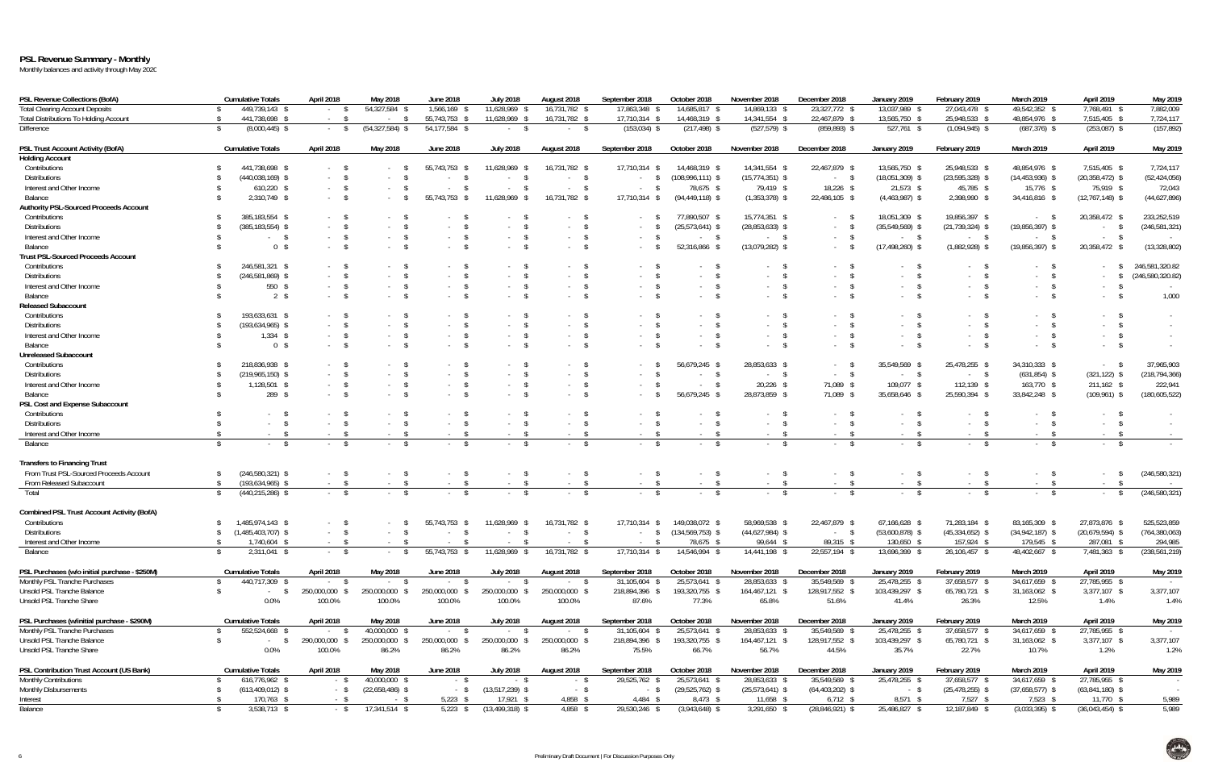## **PSL Revenue Summary - Monthly**

| <b>PSL Revenue Collections (BofA)</b>             | <b>Cumulative Totals</b>                   | April 2018     | May 2018                 | <b>June 2018</b>         | <b>July 2018</b>                 | August 2018                      | September 2018          | October 2018         | November 2018        | December 2018              | January 2019        | February 2019                    | March 2019                      | April 2019          | May 2019                 |
|---------------------------------------------------|--------------------------------------------|----------------|--------------------------|--------------------------|----------------------------------|----------------------------------|-------------------------|----------------------|----------------------|----------------------------|---------------------|----------------------------------|---------------------------------|---------------------|--------------------------|
| <b>Total Clearing Account Deposits</b>            | 449,739,143 \$                             | - \$           | 54,327,584 \$            | 1,566,169 \$             | 11,628,969 \$                    | 16,731,782 \$                    | 17,863,348 \$           | 14,685,817 \$        | 14,869,133 \$        | 23,327,772 \$              | 13,037,989 \$       | 27,043,478 \$                    | 49,542,352 \$                   | 7,768,491 \$        | 7,882,009                |
| <b>Total Distributions To Holding Account</b>     | 441,738,698 \$                             | $-5$           | $-$ \$                   | 55,743,753 \$            | 11,628,969 \$                    | 16,731,782 \$                    | 17,710,314 \$           | 14,468,319 \$        | 14,341,554 \$        | 22,467,879 \$              | 13,565,750 \$       | 25,948,533 \$                    | 48,854,976 \$                   | 7,515,405 \$        | 7,724,117                |
| Difference                                        | $(8,000,445)$ \$<br>-S                     | $-5$           | $(54, 327, 584)$ \$      | 54,177,584 \$            | $-5$                             | $-$ \$                           | $(153, 034)$ \$         | $(217, 498)$ \$      | $(527, 579)$ \$      | $(859, 893)$ \$            | 527,761 \$          | $(1,094,945)$ \$                 | $(687, 376)$ \$                 | $(253,087)$ \$      | (157, 892)               |
| PSL Trust Account Activity (BofA)                 | <b>Cumulative Totals</b>                   | April 2018     | May 2018                 | <b>June 2018</b>         | <b>July 2018</b>                 | August 2018                      | September 2018          | October 2018         | November 2018        | December 2018              | January 2019        | February 2019                    | March 2019                      | April 2019          | May 2019                 |
| <b>Holding Account</b>                            |                                            |                |                          |                          |                                  |                                  |                         |                      |                      |                            |                     |                                  |                                 |                     |                          |
| Contributions                                     | 441,738,698 \$                             | $-5$           |                          | 55,743,753 \$            | 11,628,969                       | 16,731,782 \$                    | 17,710,314              | 14,468,319 \$        | 14,341,554 \$        | 22,467,879 \$              | 13,565,750 \$       | 25,948,533 \$                    | 48,854,976 \$                   | 7,515,405 \$        | 7,724,117                |
| <b>Distributions</b>                              | $(440, 038, 169)$ \$                       | $-5$           |                          | $-$ \$                   | $\sim$                           | $^{\circ}$<br>$\sim 10^{-11}$    | S.<br>$\sim$ 100 $\pm$  | $(108,996,111)$ \$   | $(15,774,351)$ \$    | $-5$                       | $(18,051,309)$ \$   | $(23, 595, 328)$ \$              | $(14,453,936)$ \$               | $(20, 358, 472)$ \$ | (52, 424, 056)           |
| Interest and Other Income                         | $610,220$ \$                               | $-5$           |                          | $-5$                     |                                  | - \$<br>$\sim$ $-$               |                         | 78,675 \$            | 79,419 \$            | 18,226 \$                  | $21,573$ \$         | 45,785 \$                        | 15,776 \$                       | 75,919 \$           | 72,043                   |
| Balance                                           | 2,310,749 \$                               | $-5$           |                          | 55,743,753 \$            | 11,628,969<br><b>S</b>           | 16,731,782 \$                    | 17,710,314 \$           | $(94, 449, 118)$ \$  |                      |                            |                     | 2,398,990 \$                     | 34,416,816 \$                   |                     |                          |
|                                                   |                                            |                |                          |                          |                                  |                                  |                         |                      | $(1,353,378)$ \$     | 22,486,105 \$              | $(4,463,987)$ \$    |                                  |                                 | $(12,767,148)$ \$   | (44,627,896)             |
| <b>Authority PSL-Sourced Proceeds Account</b>     |                                            |                |                          |                          |                                  |                                  |                         |                      |                      |                            |                     |                                  |                                 |                     |                          |
| Contributions                                     | 385,183,554 \$                             | $-5$           |                          |                          |                                  |                                  |                         | 77,890,507           | 15,774,351 \$        | $\mathbb{S}$<br>$\sim$     | 18,051,309 \$       | 19,856,397 \$                    | $\mathbb{S}$<br>$\sim$          | 20,358,472 \$       | 233,252,519              |
| <b>Distributions</b>                              | $(385, 183, 554)$ \$                       | $-5$           |                          | $-5$                     | <b>S</b>                         | - \$                             | $\sqrt{2}$              | $(25,573,641)$ \$    | $(28,853,633)$ \$    | $-5$                       | $(35,549,569)$ \$   | $(21, 739, 324)$ \$              | $(19,856,397)$ \$               | $\sim 100$          | (246, 581, 321)          |
| Interest and Other Income                         | <sup>S</sup>                               | $-5$           | $-5$                     | $-5$                     | $-5$                             | - \$<br>$\sim$                   | $-5$                    | $-5$                 | $-5$                 | $\mathsf{S}$<br>$\sim 100$ | $-$ \$              | $-5$                             | $-5$                            | $\sim$ \$           |                          |
| Balance                                           | 0 <sup>5</sup>                             | $-5$           | $-5$                     | $-5$                     | $\mathsf{s}$<br>$\sim$ 100 $\mu$ | - \$<br>$\sim$                   | $-5$                    | 52,316,866 \$        | $(13,079,282)$ \$    | $\sim$                     | $(17, 498, 260)$ \$ | $(1,882,928)$ \$                 | $(19,856,397)$ \$               | 20,358,472 \$       | (13, 328, 802)           |
| <b>Trust PSL-Sourced Proceeds Account</b>         |                                            |                |                          |                          |                                  |                                  |                         |                      |                      |                            |                     |                                  |                                 |                     |                          |
| Contributions                                     | 246,581,321 \$                             | $-5$           |                          | $-5$                     | $\mathbb{S}$                     | S                                |                         |                      | - \$                 |                            |                     |                                  | - S                             | $-5$                | 246,581,320.82           |
| <b>Distributions</b>                              | $(246, 581, 869)$ \$                       | $-5$           |                          | $-5$                     | $-5$                             | - \$                             |                         |                      | $^{\circ}$<br>$\sim$ |                            |                     |                                  | - \$                            | $-$ \$              | (246, 580, 320.82)       |
| Interest and Other Income                         | 550 \$                                     | $-5$           | $-$ \$                   | $-5$                     | $-5$                             | \$<br>$\sim$                     | $-5$                    | $-5$                 | $-5$                 | $^{\circ}$<br>$\sim 100$   |                     | - \$<br>$\sim$                   | - \$<br>$\sim$                  | $-5$                |                          |
| Balance                                           | $2 \sqrt{s}$                               | $-5$           |                          | $-5$                     | $-5$                             | $\mathbf{s}$<br><b>Service</b>   | $-5$                    | $-5$                 | $-5$                 | $^{\circ}$<br>$\sim$       | $-5$                | $\sim$ 100 $\mu$                 | - \$<br>$\sim$                  | $-5$                | 1,000                    |
| <b>Released Subaccount</b>                        |                                            |                |                          |                          |                                  |                                  |                         |                      |                      |                            |                     |                                  |                                 |                     |                          |
| Contributions                                     | 193,633,631 \$                             | $-5$           |                          | $-5$                     | $\mathcal{S}$                    |                                  |                         |                      |                      |                            |                     |                                  |                                 | $-5$                | $\sim$                   |
| <b>Distributions</b>                              | $(193, 634, 965)$ \$                       | $-5$           |                          | $-5$                     | $\mathsf{s}$                     | - \$                             | $\sim$ 100 $\pm$        |                      | - \$                 | $^{\circ}$<br>$\sim$       |                     |                                  | - \$                            | $-5$                |                          |
|                                                   |                                            |                |                          |                          |                                  |                                  |                         |                      |                      |                            |                     |                                  |                                 |                     |                          |
| Interest and Other Income                         | $1,334$ \$                                 | $-5$           | $-5$                     | $-5$                     | $-5$                             | $\mathbb{S}$<br>$\sim$ $-$       | $-5$                    | $-5$                 | $-5$                 | $-5$                       |                     | $\mathbf{\hat{s}}$<br>$\sim$     | - \$<br>$\sim$                  | $-5$                | $\sim$ $-$               |
| Balance                                           | 0 <sup>5</sup>                             | $-5$           | $-5$                     | $-$ \$                   | $-5$                             | $\mathbb{S}$                     | $-5$                    | $-$ \$               | $-5$                 | $-5$                       | $-5$                | $\sim$                           | - \$<br>$\sim$                  | $-5$                | $\sim$                   |
| <b>Unreleased Subaccount</b>                      |                                            |                |                          |                          |                                  |                                  |                         |                      |                      |                            |                     |                                  |                                 |                     |                          |
| Contributions                                     | 218,836,938 \$                             | $-5$           |                          | $-5$                     |                                  |                                  |                         | 56,679,245 \$        | 28,853,633 \$        | $\sim$                     | 35,549,569 \$       | 25,478,255 \$                    | 34,310,333 \$                   | $-5$                | 37,965,903               |
| <b>Distributions</b>                              | $(219,965,150)$ \$                         | $-5$           | $-$ \$                   | $-5$                     | $-5$                             | - \$<br>$\sim$                   | $-5$                    | $-S$                 | $-5$                 | $-5$                       | $-5$                | $-$ \$                           | $(631, 854)$ \$                 | $(321, 122)$ \$     | (218, 794, 366)          |
| Interest and Other Income                         | 1,128,501 \$                               | $-5$           |                          | $-5$                     | $-$ \$                           | $\mathcal{S}$<br>$\sim$          | $-5$                    | $-$ \$               | 20,226 \$            | 71,089 \$                  | 109,077 \$          | $112,139$ \$                     | 163,770 \$                      | 211,162 \$          | 222,941                  |
| Balance                                           | 289<br><sup>S</sup>                        | $-5$           |                          | $-5$                     | \$<br>$\sim$ 100 $\pm$           | - \$<br>$\sim$                   | $\mathcal{S}$<br>$\sim$ | 56,679,245 \$        | 28,873,859 \$        | 71,089 \$                  | 35,658,646 \$       | 25,590,394 \$                    | 33,842,248 \$                   | $(109, 961)$ \$     | (180, 605, 522)          |
| PSL Cost and Expense Subaccount                   |                                            |                |                          |                          |                                  |                                  |                         |                      |                      |                            |                     |                                  |                                 |                     |                          |
| Contributions                                     |                                            |                |                          | $-5$                     | $\mathbb{S}$                     | - \$                             |                         |                      | - \$                 | - \$                       |                     |                                  | - \$                            | $-5$                |                          |
| <b>Distributions</b>                              | $\mathbf{s}$<br><b>Contract</b>            | $-5$           | $-$ \$                   | $-5$                     | $-5$                             | $\mathbb{S}$<br>$\sim$ 100 $\mu$ | $-5$                    | $-5$                 | $^{\circ}$<br>$\sim$ | $-5$                       | $-5$                | $\sim$                           | - \$<br>$\sim$                  | $-5$                | $\sim 10^{-1}$           |
| Interest and Other Income                         | $-$ \$                                     | $-5$           | $- S$                    | $-5$                     | $-5$                             | - S<br>$\sim$ $-$                | $-5$                    | $- S$                | $-$ \$               | - \$                       | - \$                | $\sim$ \$                        | - S<br>$\sim$                   | $-5$                | <b>Contract Contract</b> |
| Balance                                           | $\mathsf{s}$                               | $-5$           | $-$ \$                   | $-5$                     | $-5$                             | $\mathsf{s}$<br>$\sim 10^{-11}$  | $-5$                    | $-5$                 | $-5$                 | $-5$                       | $-5$                | $\mathsf{s}$<br>$\sim$ 100 $\pm$ | $^{\circ}$<br>$\sim 10^{-11}$   | $-5$                |                          |
| <b>Transfers to Financing Trust</b>               |                                            |                |                          |                          |                                  |                                  |                         |                      |                      |                            |                     |                                  |                                 |                     |                          |
|                                                   |                                            |                |                          |                          |                                  |                                  |                         |                      |                      |                            |                     |                                  |                                 |                     |                          |
| From Trust PSL-Sourced Proceeds Account           | $(246,580,321)$ \$                         | $-5$           |                          |                          |                                  | - \$<br>$\sim$ $-$               | $-5$                    | $-$ \$               | $-5$                 | $\sim$ \$<br>$\sim 100$    |                     |                                  | - \$<br>$\sim$                  | $-$ \$              | (246,580,321)            |
| From Released Subaccount                          | $(193, 634, 965)$ \$<br>$\mathbf{\hat{S}}$ | $-5$           | $-$ \$                   | $-5$                     | $-$ \$                           | $-5$                             | $-5$                    | $-5$                 | $-5$                 | $-5$                       | $-5$                | $-$ \$                           | $\mathsf{S}$<br>$\sim 10^{-11}$ | $-5$                | <b>Contract</b>          |
| Total                                             | $(440, 215, 286)$ \$<br>$\mathbb{S}$       | $-5$           | $-$ \$                   | $-5$                     | $-5$                             | $\mathsf{S}$<br>$\sim 10^{-1}$   | $-5$                    | $-5$                 | $-5$                 | $-5$                       | $-5$                | $-5$                             | $\mathcal{S}$<br>$\sim 100$     | $-5$                | (246, 580, 321)          |
| <b>Combined PSL Trust Account Activity (BofA)</b> |                                            |                |                          |                          |                                  |                                  |                         |                      |                      |                            |                     |                                  |                                 |                     |                          |
| Contributions                                     | 1,485,974,143 \$                           | $-5$           |                          | 55,743,753 \$            | 11,628,969                       | 16,731,782 \$                    | 17,710,314 \$           | 149,038,072          | 58,969,538 \$        | 22,467,879 \$              | 67,166,628 \$       | 71,283,184 \$                    | 83,165,309 \$                   | 27,873,876 \$       | 525,523,859              |
| <b>Distributions</b>                              | $$(1,485,403,707)$ \$                      | $-5$           | $-$ \$                   | $-5$                     |                                  | $^{\circ}$<br>$\sim 100$         | $-$ \$                  | $(134, 569, 753)$ \$ | $(44,627,984)$ \$    | $-5$                       | $(53,600,878)$ \$   | $(45, 334, 652)$ \$              | $(34,942,187)$ \$               | $(20,679,594)$ \$   | (764, 380, 063)          |
| Interest and Other Income                         | 1,740,604 \$<br>$\mathcal{S}$              | $-5$           | $-$ \$                   | $-5$                     | $\mathcal{S}$<br>$\sim$          | $^{\circ}$<br>$\sim 10^{-1}$     | - \$<br>$\sim$ 10 $\pm$ | 78,675 \$            | 99,644 \$            | 89,315 \$                  | 130,650 \$          | 157,924 \$                       | 179,545 \$                      | 287,081 \$          | 294,985                  |
| Balance                                           | $\mathbf{\hat{S}}$<br>2,311,041 \$         | $-5$           | $\mathbb{S}$             | $55,743,753$ \$          | 11,628,969 \$                    | 16,731,782 \$                    | 17,710,314 \$           | 14,546,994 \$        | 14,441,198 \$        | 22,557,194 \$              | 13,696,399 \$       | 26,106,457 \$                    | 48,402,667 \$                   | 7,481,363 \$        | (238, 561, 219)          |
| PSL Purchases (w/o initial purchase - \$250M)     | <b>Cumulative Totals</b>                   | April 2018     | May 2018                 | June 2018                | <b>July 2018</b>                 | August 2018                      | September 2018          | October 2018         | November 2018        | December 2018              | January 2019        | February 2019                    | March 2019                      | April 2019          | May 2019                 |
| Monthly PSL Tranche Purchases                     | 440,717,309 \$                             | $-5$           | $-$ S                    | $-$ \$                   | - S                              | $\sim 10^{-11}$                  | 31,105,604              | 25,573,641           | 28,853,633 \$        | 35,549,569 \$              | 25,478,255 \$       | 37,658,577 \$                    | 34,617,659 \$                   | 27,785,955 \$       |                          |
| Unsold PSL Tranche Balance                        | $\mathbf{s}$                               | 250,000,000 \$ |                          | 250,000,000 \$           | <sup>S</sup>                     | 250,000,000 \$                   | 218,894,396 \$          | 193,320,755 \$       | 164,467,121 \$       | 128,917,552 \$             | 103,439,297 \$      | 65,780,721 \$                    | 31,163,062 \$                   | 3,377,107 \$        | 3,377,107                |
| Unsold PSL Tranche Share                          | 0.0%                                       | 100.0%         | 250,000,000 \$<br>100.0% | 100.0%                   | 250,000,000<br>100.0%            | 100.0%                           | 87.6%                   | 77.3%                | 65.8%                | 51.6%                      | 41.4%               | 26.3%                            | 12.5%                           | 1.4%                | 1.4%                     |
|                                                   |                                            |                |                          |                          |                                  |                                  |                         |                      |                      |                            |                     |                                  |                                 |                     |                          |
| PSL Purchases (w/initial purchase - \$290M)       | <b>Cumulative Totals</b>                   | April 2018     | May 2018                 | June 2018                | <b>July 2018</b>                 | August 2018                      | September 2018          | October 2018         | November 2018        | December 2018              | January 2019        | February 2019                    | March 2019                      | April 2019          | May 2019                 |
| Monthly PSL Tranche Purchases                     | 552,524,668 \$                             | $\sim$         | 40,000,000 \$            | $^{\circ}$<br>$\sim$ $-$ | - \$                             | $\mathsf{s}$<br>$\sim 10^{-11}$  | 31,105,604              | 25,573,641           | 28,853,633 \$        | 35,549,569 \$              | 25,478,255 \$       | 37,658,577 \$                    | 34,617,659 \$                   | 27,785,955 \$       |                          |
| Unsold PSL Tranche Balance                        | $-5$                                       | 290,000,000    | 250,000,000              | 250,000,000 \$           | 250,000,000 \$                   | 250,000,000                      | 218,894,396 \$          | 193,320,755 9        | 164,467,121 \$       | 128,917,552 \$             | 103,439,297 \$      | 65,780,721 \$                    | 31,163,062 \$                   | 3,377,107 \$        | 3,377,107                |
| Unsold PSL Tranche Share                          | 0.0%                                       | 100.0%         | 86.2%                    | 86.2%                    | 86.2%                            | 86.2%                            | 75.5%                   | 66.7%                | 56.7%                | 44.5%                      | 35.7%               | 22.7%                            | 10.7%                           | 1.2%                | 1.2%                     |
| PSL Contribution Trust Account (US Bank)          | <b>Cumulative Totals</b>                   | April 2018     | May 2018                 | June 2018                | <b>July 2018</b>                 | August 2018                      | September 2018          | October 2018         | November 2018        | December 2018              | January 2019        | February 2019                    | March 2019                      | April 2019          | May 2019                 |
| <b>Monthly Contributions</b>                      | 616,776,962 \$                             | $-5$           | 40,000,000 \$            | $-$ \$                   | $-$ \$                           | $-$ \$                           | 29,525,762 \$           | 25,573,641 \$        | 28,853,633 \$        | 35,549,569 \$              | 25,478,255 \$       | 37,658,577 \$                    | 34,617,659 \$                   | 27,785,955 \$       | $\sim$ $-$               |
| Monthly Disbursements                             | $(613,409,012)$ \$                         | $-$ \$         | $(22,658,486)$ \$        | $-$ \$                   | $(13,517,239)$ \$                | $-$ \$                           | $-$ \$                  | $(29, 525, 762)$ \$  | $(25,573,641)$ \$    | $(64, 403, 202)$ \$        | $-$ \$              | $(25, 478, 255)$ \$              | $(37,658,577)$ \$               | $(63,841,180)$ \$   | $\sim$                   |
| Interest                                          | 170,763 \$                                 | $-$ \$         | - \$                     | $5,223$ \$               | $17,921$ \$                      | 4,858 \$                         | $4,484$ \$              | 8,473 \$             | 11,658 \$            | $6,712$ \$                 | $8,571$ \$          | $7,527$ \$                       | $7,523$ \$                      | 11,770 \$           | 5,989                    |
| Balance                                           | 3,538,713 \$<br>\$                         | $-$ \$         | 17,341,514 \$            | $5,223$ \$               | $(13, 499, 318)$ \$              | 4,858 \$                         | $29,530,246$ \$         | $(3,943,648)$ \$     | 3,291,650 \$         | $(28,846,921)$ \$          | 25,486,827 \$       | 12,187,849 \$                    | $(3,033,395)$ \$                | $(36,043,454)$ \$   | 5,989                    |

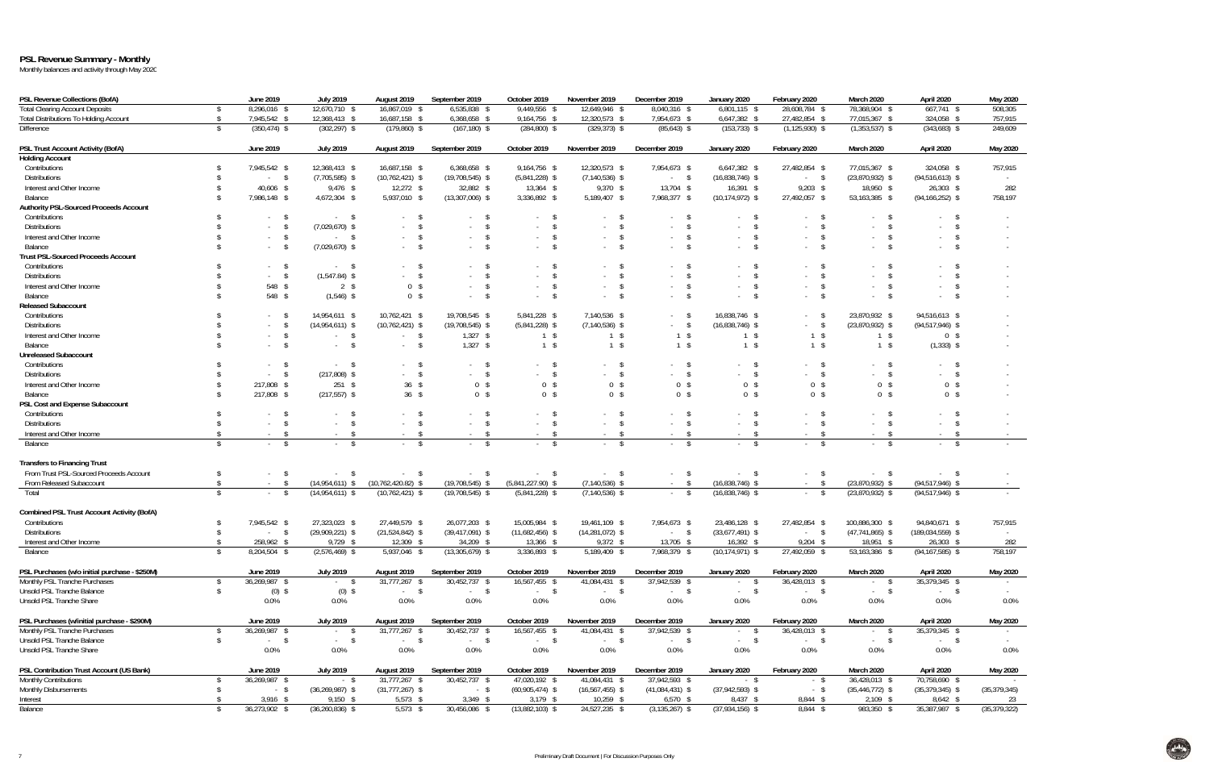## **PSL Revenue Summary - Monthly**

| <b>PSL Revenue Collections (BofA)</b>                                          | June 2019                  | <b>July 2019</b>         | August 2019                  | September 2019                  | October 2019                  | November 2019                  | December 2019                  | January 2020                    | February 2020                  | March 2020                | April 2020                  | May 2020       |
|--------------------------------------------------------------------------------|----------------------------|--------------------------|------------------------------|---------------------------------|-------------------------------|--------------------------------|--------------------------------|---------------------------------|--------------------------------|---------------------------|-----------------------------|----------------|
| <b>Total Clearing Account Deposits</b>                                         | 8,296,016 \$               | 12,670,710 \$            | 16,867,019 \$                | 6,535,838 \$                    | 9,449,556 \$                  | 12,649,946 \$                  | 8,040,316 \$                   | $6,801,115$ \$                  | 28,608,784 \$                  | 78,368,904 \$             | $667,741$ \$                | 508,305        |
| <b>Total Distributions To Holding Account</b>                                  | 7,945,542 \$               | 12,368,413 \$            | 16,687,158 \$                | 6,368,658 \$                    | 9,164,756 \$                  | 12,320,573 \$                  | 7,954,673 \$                   | $6,647,382$ \$                  | 27,482,854 \$                  | 77,015,367 \$             | 324,058 \$                  | 757,915        |
| Difference                                                                     | $(350, 474)$ \$            | $(302, 297)$ \$          | $(179,860)$ \$               | $(167, 180)$ \$                 | $(284, 800)$ \$               | $(329, 373)$ \$                | $(85, 643)$ \$                 | $(153, 733)$ \$                 | $(1, 125, 930)$ \$             | $(1,353,537)$ \$          | $(343,683)$ \$              | 249,609        |
| PSL Trust Account Activity (BofA)                                              | June 2019                  | <b>July 2019</b>         | August 2019                  | September 2019                  | October 2019                  | November 2019                  | December 2019                  | January 2020                    | February 2020                  | March 2020                | April 2020                  | May 2020       |
| <b>Holding Account</b>                                                         |                            |                          |                              |                                 |                               |                                |                                |                                 |                                |                           |                             |                |
| Contributions                                                                  | 7,945,542 \$               | 12,368,413 \$            | 16,687,158 \$                | 6,368,658 \$                    | 9,164,756 \$                  | 12,320,573 \$                  | 7,954,673 \$                   | 6,647,382 \$                    | 27,482,854 \$                  | 77,015,367 \$             | 324,058 \$                  | 757,915        |
| <b>Distributions</b>                                                           | $-5$                       | $(7,705,585)$ \$         | $(10, 762, 421)$ \$          | $(19,708,545)$ \$               | $(5,841,228)$ \$              | $(7, 140, 536)$ \$             | $-5$                           | $(16,838,746)$ \$               | $-5$                           | $(23,870,932)$ \$         | $(94, 516, 613)$ \$         |                |
| Interest and Other Income                                                      | 40,606 \$                  | 9,476 \$                 | $12,272$ \$                  | 32,882 \$                       | 13,364 \$                     | $9,370$ \$                     | 13,704 \$                      | $16,391$ \$                     | $9,203$ \$                     | 18,950 \$                 | $26,303$ \$                 | 282            |
| Balance                                                                        | 7,986,148 \$               | 4,672,304 \$             | 5,937,010 \$                 | $(13,307,006)$ \$               | 3,336,892 \$                  | 5,189,407 \$                   | 7,968,377 \$                   | $(10, 174, 972)$ \$             | 27,492,057 \$                  | 53,163,385 \$             | $(94, 166, 252)$ \$         | 758,197        |
| <b>Authority PSL-Sourced Proceeds Account</b>                                  |                            |                          |                              |                                 |                               |                                |                                |                                 |                                |                           |                             |                |
| Contributions                                                                  | $\mathsf{s}$               | $-5$                     | $^{\circ}$                   | <b>S</b>                        | $-5$                          | - \$                           | $^{\circ}$                     | - \$                            | <b>S</b>                       | - \$                      | $\mathsf{s}$                |                |
| <b>Distributions</b>                                                           | - \$                       | $(7,029,670)$ \$         | $^{\circ}$                   | - \$<br>$\sim$                  | $\mathsf{\$}$                 | $\sqrt{5}$<br>$\sim$           | \$                             | - \$                            | \$                             | -\$                       | \$                          |                |
| Interest and Other Income                                                      | $^{\circ}$<br>$\sim$       | $-5$                     | $\sim$ \$                    | $\mathsf{\$}$<br>$\sim$         | $-5$                          | $\mathsf{\$}$<br>$\sim 10$     | $\mathsf{s}$<br>$\sim$         | \$<br>$\sim$                    | $\mathsf{\$}$<br>$\sim$        | - \$<br>$\sim$            | - \$<br>$\sim$              |                |
| Balance                                                                        | $^{\circ}$                 | $(7,029,670)$ \$         | $-5$                         | $-5$                            | $-5$                          | $-5$                           | $-5$                           | $\mathsf{\$}$<br>$\sim$         | $\mathsf{\$}$                  | \$                        | \$                          |                |
| <b>Trust PSL-Sourced Proceeds Account</b>                                      |                            |                          |                              |                                 |                               |                                |                                |                                 |                                |                           |                             |                |
| Contributions                                                                  | $-5$                       | $-5$                     | $-5$                         | <b>S</b>                        | - \$                          | - \$<br>$\sim$                 | - S                            | - \$                            | <sup>S</sup>                   | - \$                      | -S                          |                |
| <b>Distributions</b>                                                           | $-5$                       | $(1,547.84)$ \$          | $-5$                         | - \$                            | $-5$                          | $\mathsf{\$}$                  | $\mathsf{\$}$                  | - \$                            | \$                             | -\$                       | \$                          |                |
| Interest and Other Income                                                      | 548 \$                     | $2 \sqrt{3}$             | 0 <sup>5</sup>               | $\sqrt{2}$<br>$\sim$            | $\mathsf{\$}$<br>$\sim$       | $\sqrt{5}$<br>$\sim$           | $\sqrt{5}$                     | \$<br>$\sim$                    | \$                             | \$<br>$\sim$              | \$                          |                |
| Balance                                                                        | 548 \$                     | $(1,546)$ \$             | 0 <sup>5</sup>               | $-5$                            | $^{\circ}$<br>$\sim$          | $\mathsf{\$}$<br>$\sim$        | $\mathsf{s}$<br>$\sim$         | $\mathbf{\hat{s}}$<br>$\sim$    | $\mathbf{\hat{s}}$<br>$\sim$   | - \$<br>$\sim$            | \$<br>$\sim$                |                |
| <b>Released Subaccount</b>                                                     |                            |                          |                              |                                 |                               |                                |                                |                                 |                                |                           |                             |                |
| Contributions                                                                  | <sup>S</sup>               |                          | 10,762,421 \$                | 19,708,545 \$                   | 5,841,228 \$                  | 7,140,536 \$                   | $^{\circ}$                     | 16,838,746 \$                   |                                | 23,870,932 \$             | 94,516,613 \$               |                |
| <b>Distributions</b>                                                           |                            | 14,954,611 \$            | $(10, 762, 421)$ \$          |                                 | $(5,841,228)$ \$              | $(7, 140, 536)$ \$             | $-5$                           |                                 | <b>S</b><br>$-5$               | $(23,870,932)$ \$         | $(94, 517, 946)$ \$         |                |
|                                                                                | \$                         | $(14,954,611)$ \$        |                              | $(19,708,545)$ \$               |                               |                                | $1 \sqrt$                      | $(16,838,746)$ \$               |                                |                           |                             |                |
| Interest and Other Income                                                      |                            | $-5$                     | $-5$                         | $1,327$ \$                      | $1 \sqrt$                     | $1 \sqrt{3}$                   |                                | $1 \sqrt{3}$                    | $1 \sqrt{3}$                   | $1 \sqrt$                 | 0 <sup>5</sup>              |                |
| Balance                                                                        | $\mathsf{\$}$              | $-5$                     | $-5$                         | $1,327$ \$                      | $1 \sqrt{3}$                  | $1 \sqrt{3}$                   | $1 \sqrt{s}$                   | $1 \sqrt{5}$                    | $1 \sqrt{3}$                   | $1 \sqrt{s}$              | $(1,333)$ \$                |                |
| <b>Unreleased Subaccount</b>                                                   |                            |                          |                              |                                 |                               |                                |                                |                                 |                                |                           |                             |                |
| Contributions                                                                  | $\mathsf{S}$               | $\sim$ \$                | $^{\circ}$                   | $\mathsf{S}$                    | $\mathsf{S}$                  | $\mathsf{\$}$                  | $\mathsf{s}$<br>$-5$           | \$                              | $^{\circ}$                     | \$                        | $\mathsf{s}$                |                |
| <b>Distributions</b>                                                           | \$                         | $(217,808)$ \$           | $-5$                         | $-5$                            | $-5$                          | $-5$                           |                                | $\sqrt{3}$<br>$\sim$            | $-5$                           | $\sqrt{3}$                | $-5$                        |                |
| Interest and Other Income                                                      | 217,808 \$                 | $251$ \$                 | $36 \quad$                   | 0 <sup>5</sup>                  | 0 <sup>5</sup>                | 0 <sup>5</sup>                 | 0 <sup>5</sup>                 | 0 <sup>5</sup>                  | 0 <sup>5</sup>                 | 0 <sup>5</sup>            | 0 <sup>5</sup>              |                |
| Balance                                                                        | 217,808 \$                 | $(217, 557)$ \$          | 36S                          | 0 <sup>5</sup>                  | 0 <sup>5</sup>                | 0 <sup>5</sup>                 | 0 <sup>5</sup>                 | 0 <sup>5</sup>                  | 0 <sup>5</sup>                 | 0 <sup>5</sup>            | 0 <sup>5</sup>              |                |
| PSL Cost and Expense Subaccount                                                |                            |                          |                              |                                 |                               |                                |                                |                                 |                                |                           |                             |                |
| Contributions                                                                  | <b>S</b>                   | - 2                      | $\sim$                       | $\mathsf{\$}$                   | $\mathsf{S}$                  | $\mathsf{\$}$                  | $^{\circ}$                     | \$                              | $^{\circ}$                     | - \$                      | $^{\circ}$                  |                |
| <b>Distributions</b>                                                           | \$                         | - \$<br>$\sim$           | $^{\circ}$                   | - \$<br>$\sim$                  | $\mathsf{s}$<br>$\sim$ $-$    | $\mathsf{s}$<br>$\sim$         | $\mathsf{\$}$<br>$\sim$        | \$<br>$\sim$                    | $\mathsf{\$}$<br>$\sim$        | -\$<br>$\sim$             | \$                          |                |
| Interest and Other Income                                                      | - \$                       | - \$<br>$\sim$           | $\sim$ \$                    | $\mathsf{\$}$<br>$\sim$         | $\mathsf{S}$<br>$\sim$        | $\mathsf{s}$<br>$\sim$         | - \$<br>$\sim$                 | <b>S</b><br>$\sim$              | <b>S</b><br>$\sim$             | - \$<br>$\sim$            | \$<br>$\sim$                |                |
| Balance                                                                        | $\mathbb{S}$               | - \$                     | \$                           | - \$                            | <b>S</b>                      | $\mathsf{s}$<br>$\sim$         | \$                             | - \$                            | $\mathcal{S}$                  | - \$                      | \$                          |                |
| <b>Transfers to Financing Trust</b>                                            |                            |                          |                              |                                 |                               |                                |                                |                                 |                                |                           |                             |                |
| From Trust PSL-Sourced Proceeds Account                                        | $\mathbb{S}$               | $-5$                     | $-5$                         | $-5$                            | $-5$                          | $-5$                           | \$<br>$\sim$                   | $\mathcal{S}$<br>$\sim$         | \$<br>$\sim$                   | $-5$                      | $-5$                        |                |
| From Released Subaccount                                                       | $-5$                       | $(14,954,611)$ \$        | $(10, 762, 420.82)$ \$       | $(19,708,545)$ \$               | $(5,841,227.90)$ \$           | $(7, 140, 536)$ \$             | $-5$                           | $(16,838,746)$ \$               | $-5$                           | $(23,870,932)$ \$         | $(94, 517, 946)$ \$         |                |
| Total                                                                          | \$<br>$-5$                 | $(14,954,611)$ \$        | $(10, 762, 421)$ \$          | $(19,708,545)$ \$               | $(5,841,228)$ \$              | $(7, 140, 536)$ \$             | $-5$                           | $(16,838,746)$ \$               | <b>S</b><br>$\sim 100$         | $(23,870,932)$ \$         | $(94, 517, 946)$ \$         |                |
| <b>Combined PSL Trust Account Activity (BofA)</b>                              |                            |                          |                              |                                 |                               |                                |                                |                                 |                                |                           |                             |                |
| Contributions                                                                  | 7,945,542 \$               | 27,323,023 \$            | 27,449,579 \$                | 26,077,203 \$                   | 15,005,984 \$                 | 19,461,109 \$                  | 7,954,673 \$                   | 23,486,128 \$                   | 27,482,854 \$                  | 100,886,300 \$            | 94,840,671 \$               | 757,915        |
| <b>Distributions</b>                                                           | <sup>\$</sup><br>$-5$      | $(29,909,221)$ \$        | $(21,524,842)$ \$            | $(39, 417, 091)$ \$             | $(11,682,456)$ \$             | $(14, 281, 072)$ \$            | $-5$                           | $(33,677,491)$ \$               | <b>S</b><br>$\sim$             | $(47, 741, 865)$ \$       | $(189, 034, 559)$ \$        | $\sim$         |
| Interest and Other Income                                                      | 258,962 \$<br>\$           | 9,729 \$                 | 12,309 \$                    | 34,209 \$                       | 13,366 \$                     | $9,372$ \$                     | 13,705 \$                      | $16,392$ \$                     | $9,204$ \$                     | 18,951 \$                 | $26,303$ \$                 | 282            |
| Balance                                                                        | 8,204,504 \$<br>\$         | $(2,576,469)$ \$         | 5,937,046 \$                 | $(13,305,679)$ \$               | 3,336,893 \$                  | 5,189,409 \$                   | 7,968,379 \$                   | $(10, 174, 971)$ \$             | 27,492,059 \$                  | 53,163,386 \$             | $(94, 167, 585)$ \$         | 758,197        |
|                                                                                |                            |                          |                              |                                 |                               |                                |                                |                                 |                                |                           |                             |                |
| PSL Purchases (w/o initial purchase - \$250M)<br>Monthly PSL Tranche Purchases | June 2019<br>36,269,987 \$ | <b>July 2019</b><br>$-5$ | August 2019<br>31,777,267 \$ | September 2019<br>30,452,737 \$ | October 2019<br>16,567,455 \$ | November 2019<br>41,084,431 \$ | December 2019<br>37,942,539 \$ | January 2020<br>\$<br>$\sim 10$ | February 2020<br>36,428,013 \$ | <b>March 2020</b><br>$-5$ | April 2020<br>35,379,345 \$ | May 2020       |
| Unsold PSL Tranche Balance                                                     | -S                         |                          |                              |                                 |                               |                                | $-5$                           | $-$ \$                          |                                | $\sqrt{5}$                |                             |                |
| Unsold PSL Tranche Share                                                       | $(0)$ \$<br>0.0%           | $(0)$ \$<br>$0.0\%$      | $-5$<br>0.0%                 | $-$ \$<br>0.0%                  | $-$ \$<br>0.0%                | $-$ \$<br>$0.0\%$              | 0.0%                           | 0.0%                            | $-5$<br>$0.0\%$                | $\sim$<br>0.0%            | $-5$<br>$0.0\%$             | 0.0%           |
|                                                                                |                            |                          |                              |                                 |                               |                                |                                |                                 |                                |                           |                             |                |
| PSL Purchases (w/initial purchase - \$290M)                                    | June 2019                  | <b>July 2019</b>         | August 2019                  | September 2019                  | October 2019                  | November 2019                  | December 2019                  | January 2020                    | February 2020                  | March 2020                | April 2020                  | May 2020       |
| Monthly PSL Tranche Purchases                                                  | 36,269,987 \$              | <b>Service</b>           | 31,777,267 \$                | 30,452,737 \$                   | 16,567,455 \$                 | 41,084,431 \$                  | 37,942,539 \$                  | - \$<br>$\sim$                  | 36,428,013 \$                  | - \$<br>$\sim$            | 35,379,345 \$               |                |
| Unsold PSL Tranche Balance                                                     | $-5$<br>$\mathcal{S}$      | $-5$                     | $-5$                         | $-5$                            | $-5$                          | $-$ \$                         | $-5$                           | $\mathcal{S}$<br>$\sim$         | $-5$                           | - \$<br>$\sim$            | $-5$                        |                |
| Unsold PSL Tranche Share                                                       | 0.0%                       | $0.0\%$                  | 0.0%                         | 0.0%                            | 0.0%                          | 0.0%                           | $0.0\%$                        | 0.0%                            | $0.0\%$                        | $0.0\%$                   | $0.0\%$                     | $0.0\%$        |
| PSL Contribution Trust Account (US Bank)                                       | June 2019                  | <b>July 2019</b>         | August 2019                  | September 2019                  | October 2019                  | November 2019                  | December 2019                  | January 2020                    | February 2020                  | March 2020                | April 2020                  | May 2020       |
| <b>Monthly Contributions</b>                                                   | 36,269,987 \$              | $-$ \$                   | 31,777,267 \$                | 30,452,737 \$                   | 47,020,192 \$                 | 41,084,431 \$                  | 37,942,593 \$                  | $-$ \$                          | $-$ \$                         | 36,428,013 \$             | 70,758,690 \$               |                |
| Monthly Disbursements                                                          | $-$ \$                     | $(36, 269, 987)$ \$      | $(31,777,267)$ \$            | $-$ \$                          | $(60,905,474)$ \$             | $(16, 567, 455)$ \$            | $(41,084,431)$ \$              | $(37,942,593)$ \$               | $-$ \$                         | $(35, 446, 772)$ \$       | $(35, 379, 345)$ \$         | (35, 379, 345) |
| Interest                                                                       | $3,916$ \$                 | $9,150$ \$               | $5,573$ \$                   | $3,349$ \$                      | $3,179$ \$                    | $10,259$ \$                    | $6,570$ \$                     | 8,437 \$                        | 8,844 \$                       | $2,109$ \$                | $8,642$ \$                  | 23             |
| Balance                                                                        | 36,273,902 \$              | $(36,260,836)$ \$        | $5,573$ \$                   | 30,456,086 \$                   | $(13,882,103)$ \$             | 24,527,235 \$                  | $(3, 135, 267)$ \$             | $(37,934,156)$ \$               | 8,844 \$                       | 983,350 \$                | 35,387,987 \$               | (35, 379, 322) |

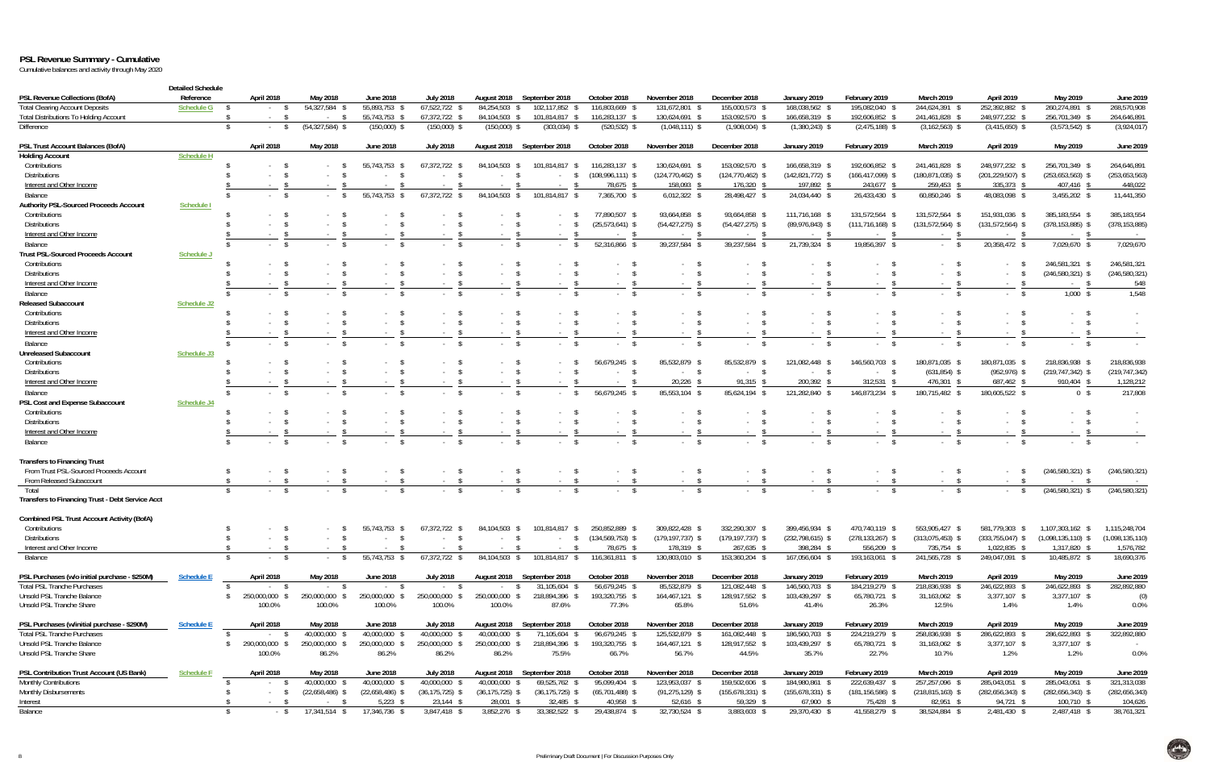## **PSL Revenue Summary - Cumulative**

Cumulative balances and activity through May 2020

|                                                  | <b>Detailed Schedule</b> |                    |                     |                   |                     |                               |                            |                                    |                                 |                      |                    |                                     |                                |                         |                      |                  |
|--------------------------------------------------|--------------------------|--------------------|---------------------|-------------------|---------------------|-------------------------------|----------------------------|------------------------------------|---------------------------------|----------------------|--------------------|-------------------------------------|--------------------------------|-------------------------|----------------------|------------------|
| PSL Revenue Collections (BofA)                   | Reference                | April 2018         | May 2018            | <b>June 2018</b>  | <b>July 2018</b>    | August 2018                   | September 2018             | October 2018                       | November 2018                   | December 2018        | January 2019       | February 2019                       | <b>March 2019</b>              | April 2019              | May 2019             | June 2019        |
| <b>Total Clearing Account Deposits</b>           | Schedule G               |                    | 54,327,584 \$       | 55,893,753        | 67,522,722          | 84,254,503                    | 102,117,852                | 116,803,669 \$                     | 131,672,801                     | 155,000,573 \$       | 168,038,562 \$     | 195,082,040                         | 244,624,391 \$                 | 252,392,882 \$          | 260,274,891 \$       | 268,570,908      |
| Total Distributions To Holding Account           |                          |                    | - S<br>$\sim$       | 55,743,753 \$     | 67,372,722 \$       | 84,104,503 \$                 | 101,814,817 \$             | 116,283,137 \$                     | 130,624,691 \$                  | 153,092,570 \$       | 166,658,319 \$     | 192,606,852                         | 241,461,828 \$                 | 248,977,232 \$          | 256,701,349 \$       | 264,646,891      |
| Difference                                       |                          | -S<br><sup>S</sup> | $(54, 327, 584)$ \$ | $(150,000)$ \$    | $(150,000)$ \$      | $(150,000)$ \$                | $(303,034)$ \$             | $(520, 532)$ \$                    | $(1,048,111)$ \$                | $(1,908,004)$ \$     | $(1,380,243)$ \$   | $(2,475,188)$ \$                    | $(3, 162, 563)$ \$             | $(3,415,650)$ \$        | $(3,573,542)$ \$     | (3,924,017)      |
| PSL Trust Account Balances (BofA)                |                          | April 2018         | May 2018            | <b>June 2018</b>  | <b>July 2018</b>    | August 2018                   | September 2018             | October 2018                       | November 2018                   | December 2018        | January 2019       | February 2019                       | March 2019                     | April 2019              | May 2019             | <b>June 2019</b> |
| <b>Holding Account</b>                           | <b>Schedule H</b>        |                    |                     |                   |                     |                               |                            |                                    |                                 |                      |                    |                                     |                                |                         |                      |                  |
| Contributions                                    |                          |                    |                     | 55,743,753        | 67,372,722 \$       | 84,104,503                    | 101,814,817 \$<br>- S      | 116,283,137 \$                     | 130,624,691 \$                  | 153,092,570 \$       | 166,658,319 \$     | 192,606,852                         | 241,461,828 \$                 | 248,977,232 \$          | 256,701,349 \$       | 264,646,891      |
| <b>Distributions</b>                             |                          |                    | $\sim$              | $\sim$            |                     | - 2<br>$\sim$                 |                            | $(108,996,111)$ \$                 | $(124, 770, 462)$ \$            | $(124, 770, 462)$ \$ | $(142,821,772)$ \$ | $(166, 417, 099)$ \$                | $(180, 871, 035)$ \$           | $(201, 229, 507)$ \$    | $(253, 653, 563)$ \$ | (253, 653, 563)  |
| Interest and Other Income                        |                          |                    |                     |                   |                     |                               |                            | 78,675 \$                          | 158,093                         | 176,320              | 197,892 \$         | 243,677 \$                          | 259,453 \$                     | 335,373 \$              | 407,416 \$           | 448,022          |
| Balance                                          |                          |                    |                     | 55,743,753        | 67,372,722          | 84,104,503                    | 101,814,817<br>-S          | 7,365,700 \$                       | $6,012,322$ \$                  | 28,498,427           | 24,034,440 \$      | 26,433,430                          | 60,850,246 \$                  | 48,083,098 \$           | 3,455,202 \$         | 11,441,350       |
| Authority PSL-Sourced Proceeds Account           | Schedule I               |                    |                     |                   |                     |                               |                            |                                    | 93,664,858                      | 93,664,858           | 111,716,168 \$     |                                     | 131,572,564 \$                 | 151,931,036 \$          | 385,183,554 \$       | 385,183,554      |
| Contributions<br><b>Distributions</b>            |                          |                    |                     |                   |                     | s                             |                            | 77,890,507 \$<br>$(25,573,641)$ \$ | $(54, 427, 275)$ \$             | $(54, 427, 275)$ \$  | $(89,976,843)$ \$  | 131,572,564<br>$(111, 716, 168)$ \$ | $(131,572,564)$ \$             | $(131,572,564)$ \$      | $(378, 153, 885)$ \$ | (378, 153, 885)  |
| Interest and Other Income                        |                          |                    |                     |                   |                     | $\sim$                        |                            |                                    | $\sim$                          | $\sim$               |                    | $\sim$                              |                                | $\sim$                  | $\sim$               | $\sim$ $-$       |
| Balance                                          |                          | $\mathbb{S}$       | - \$                |                   |                     | $-5$                          | $\mathbb{S}$               | 52,316,866 \$                      | 39,237,584 \$                   | 39,237,584           | 21,739,324 \$      | 19,856,397 \$                       |                                | 20,358,472 \$           | 7,029,670 \$         | 7,029,670        |
| <b>Trust PSL-Sourced Proceeds Account</b>        | Schedule J               |                    |                     |                   |                     |                               |                            |                                    |                                 |                      |                    |                                     |                                |                         |                      |                  |
| Contributions                                    |                          | $\mathcal{S}$      |                     |                   |                     | $\sim$                        |                            |                                    | $\sim$                          |                      |                    |                                     |                                |                         | 246,581,321 \$       | 246,581,321      |
| <b>Distributions</b>                             |                          |                    |                     |                   |                     | $\sim 100$                    |                            | $-$ \$                             | $\sqrt{ }$<br>$\sim$            |                      |                    |                                     | $\sim 100$                     | $\sim$                  | $(246, 580, 321)$ \$ | (246, 580, 321)  |
| Interest and Other Income                        |                          |                    |                     |                   |                     |                               |                            |                                    | $\sim$                          |                      |                    |                                     |                                |                         | $\sim$               | 548              |
| Balance                                          |                          | $\mathcal{S}$      | - \$<br>$\sim$      |                   |                     | s<br>$\sim 100$               |                            | $^{\circ}$                         | - \$<br>$\sim 10^{-1}$          | $\sim 10^{-1}$       |                    |                                     | <sup>S</sup><br>$\sim 10^{-1}$ | - S                     | $1,000$ \$           | 1,548            |
| <b>Released Subaccount</b>                       | Schedule J2              |                    |                     |                   |                     |                               |                            |                                    |                                 |                      |                    |                                     |                                |                         |                      |                  |
| Contributions                                    |                          | <sup>S</sup>       |                     |                   |                     |                               |                            |                                    |                                 |                      |                    |                                     |                                |                         |                      |                  |
| <b>Distributions</b>                             |                          |                    | - \$<br>$\sim$      |                   |                     | $^{\circ}$<br>$\sim 100$      |                            | $^{\circ}$                         | $-5$                            |                      | $\sim$             | $\sim$                              |                                | S<br>$\sim$             | - \$                 | $\sim$           |
| Interest and Other Income                        |                          |                    |                     | $\sim$            |                     | $\sim$                        | <b>Contract</b>            | $\mathbf{\hat{s}}$<br>$\sim$       | $\mathcal{S}$<br>$\sim 10^{-1}$ | $\sim$               | $\sim$ $-$         |                                     | $\sim$ 100 $\mu$               | $\sim$                  | <b>Service</b>       |                  |
| Balance                                          |                          | $\mathcal{S}$      | - \$<br>$\sim$      | $\sim$ 100 $\pm$  |                     | $^{\circ}$<br>$\sim$ 10 $\pm$ |                            | $-5$                               | $-5$                            | $\sim 10^{-11}$      | $\mathcal{S}$      | $\sim$ \$                           | $-$ \$                         | $^{\circ}$<br>$\sim$    | $-5$                 |                  |
| Unreleased Subaccount                            | Schedule J3              |                    |                     |                   |                     |                               |                            |                                    |                                 |                      |                    |                                     |                                |                         |                      |                  |
| Contributions                                    |                          |                    |                     |                   |                     | $-5$                          |                            | 56,679,245 \$                      | 85,532,879                      | 85,532,879           | 121,082,448 \$     | 146,560,703 %                       | 180,871,035 \$                 | 180,871,035 \$          | 218,836,938 \$       | 218,836,938      |
| <b>Distributions</b>                             |                          |                    |                     |                   |                     | $^{\circ}$                    |                            | $-5$                               | $-$ \$                          | $\sim$               | $-$ \$             | $-$ \$                              | $(631,854)$ \$                 | $(952, 976)$ \$         | $(219, 747, 342)$ \$ | (219, 747, 342)  |
| Interest and Other Income                        |                          |                    |                     |                   |                     | $\sim$                        |                            |                                    | 20,226                          | 91,315               | 200,392            | 312,531                             | 476,301                        | 687,462                 | 910,404              | 1,128,212        |
| Balance                                          |                          |                    | \$                  |                   |                     | $^{\circ}$                    | $\mathbb{S}$               | 56,679,245 \$                      | 85,553,104 \$                   | 85,624,194           | 121,282,840        | 146,873,234                         | 180,715,482                    | 180,605,522 \$          | 0 <sup>5</sup>       | 217,808          |
| PSL Cost and Expense Subaccount                  | Schedule J4              |                    |                     |                   |                     |                               |                            |                                    |                                 |                      |                    |                                     |                                |                         |                      |                  |
| Contributions                                    |                          |                    | $\sim$              |                   |                     | $\mathcal{S}$<br>$\sim$       |                            |                                    | $\sim$                          |                      |                    |                                     |                                | $\sim$                  | - \$                 |                  |
| <b>Distributions</b>                             |                          |                    |                     |                   | $\mathbf{\hat{s}}$  | $-5$                          |                            | $-$ \$                             | - S<br>$\sim 10^{-1}$           | $\sim 100$           |                    | $\sim$ 100 $\pm$                    | $\sim$ 10 $\pm$                | $\mathcal{S}$<br>$\sim$ | $-5$                 | $\sim$           |
| Interest and Other Income                        |                          |                    |                     |                   |                     |                               |                            |                                    |                                 |                      |                    |                                     |                                |                         |                      |                  |
| Balance                                          |                          | $\mathbb{S}$       | $\mathcal{S}$       |                   |                     |                               |                            | $\mathbf{s}$                       | -S                              |                      |                    |                                     | $\mathcal{S}$                  | $\mathbf{\hat{s}}$      | $-5$                 |                  |
| <b>Transfers to Financing Trust</b>              |                          |                    |                     |                   |                     |                               |                            |                                    |                                 |                      |                    |                                     |                                |                         |                      |                  |
| From Trust PSL-Sourced Proceeds Account          |                          | <sup>S</sup>       | - S<br>$\sim$       |                   | $-5$                | $-5$                          | $-5$                       | $-5$                               | $-5$                            | $-5$                 | $-$ \$             |                                     | $-5$                           | - S<br>$\sim$           | $(246,580,321)$ \$   | (246, 580, 321)  |
| From Released Subaccount                         |                          |                    | $\sim$              |                   |                     | $-5$                          | - \$                       | $-5$                               | $-5$                            | - \$                 |                    | $-5$                                | $^{\circ}$<br>$\sim$           |                         | $-5$                 |                  |
| Total                                            |                          |                    |                     |                   |                     | $-5$                          |                            | $-5$                               | $-5$                            |                      | $-$ \$             | $-5$                                | $-5$                           | - S                     | $(246,580,321)$ \$   | (246, 580, 321)  |
| Transfers to Financing Trust - Debt Service Acct |                          |                    |                     |                   |                     |                               |                            |                                    |                                 |                      |                    |                                     |                                |                         |                      |                  |
| Combined PSL Trust Account Activity (BofA)       |                          |                    |                     |                   |                     |                               |                            |                                    |                                 |                      |                    |                                     |                                |                         |                      |                  |
| Contributions                                    |                          |                    | - S                 | 55,743,753 \$     | 67,372,722 \$       | 84,104,503 \$                 | 101,814,817                | 250,852,889 \$                     | 309,822,428 \$                  | 332,290,307          | 399,456,934 \$     | 470,740,119 \$                      | 553,905,427 \$                 | 581,779,303 \$          | 1,107,303,162 \$     | 1,115,248,704    |
| <b>Distributions</b>                             |                          |                    |                     | $\sim$            | $\sim$ 100 $\pm$    | - \$<br>$\sim 100$            |                            | $(134, 569, 753)$ \$               | $(179, 197, 737)$ \$            | $(179, 197, 737)$ \$ | $(232,798,615)$ \$ | $(278, 133, 267)$ \$                | $(313,075,453)$ \$             | $(333,755,047)$ \$      | $(1,098,135,110)$ \$ | (1,098,135,110)  |
| Interest and Other Income                        |                          | $-$ \$             | $\sim$              | $\sim$ 100 $\pm$  | $\sim$              | $\sim$                        |                            | 78,675 \$                          | 178,319 \$                      | 267,635 \$           | 398,284 \$         | 556,209                             | 735,754 \$                     | 1,022,835 \$            | 1,317,820 \$         | 1,576,782        |
| Balance                                          |                          | $-5$<br>- \$       | $-$ \$              | 55,743,753 \$     | 67,372,722 \$       | 84,104,503 \$                 | 101,814,817 \$             | 116,361,811 \$                     | 130,803,010 \$                  | 153,360,204 \$       | 167,056,604 \$     | 193,163,061 \$                      | 241,565,728 \$                 | 249,047,091 \$          | 10,485,872 \$        | 18,690,376       |
| PSL Purchases (w/o initial purchase - \$250M)    | <b>Schedule E</b>        | April 2018         | May 2018            | June 2018         | <b>July 2018</b>    |                               | August 2018 September 2018 | October 2018                       | November 2018                   | December 2018        | January 2019       | February 2019                       | <b>March 2019</b>              | April 2019              | May 2019             | June 2019        |
| <b>Total PSL Tranche Purchases</b>               |                          |                    | - \$<br>$\sim$      | $\sim$            | $\sim$              |                               | 31,105,604 \$<br>- S       | 56,679,245 \$                      | 85,532,879 \$                   | 121,082,448 \$       | 146,560,703 \$     | 184,219,279                         | 218,836,938 \$                 | 246,622,893 \$          | 246,622,893 \$       | 282,892,880      |
| Unsold PSL Tranche Balance                       |                          | 250,000,000 \$     | 250,000,000         | 250,000,000 \$    | 250,000,000 \$      | 250,000,000 \$                | 218,894,396 \$             | 193,320,755 \$                     | 164,467,121 \$                  | 128,917,552 \$       | 103,439,297 \$     | 65,780,721 \$                       | 31,163,062 \$                  | 3,377,107 \$            | 3,377,107 \$         | (0)              |
| Unsold PSL Tranche Share                         |                          | 100.0%             | 100.0%              | 100.0%            | 100.0%              | 100.0%                        | 87.6%                      | 77.3%                              | 65.8%                           | 51.6%                | 41.4%              | 26.3%                               | 12.5%                          | 1.4%                    | 1.4%                 | 0.0%             |
| PSL Purchases (w/initial purchase - \$290M)      | <b>Schedule E</b>        | April 2018         | May 2018            | <b>June 2018</b>  | <b>July 2018</b>    | August 2018                   | September 2018             | October 2018                       | November 2018                   | December 2018        | January 2019       | February 2019                       | March 2019                     | April 2019              | May 2019             | June 2019        |
| <b>Total PSL Tranche Purchases</b>               |                          |                    | 40,000,000          | 40,000,000 \$     | 40,000,000          | 40,000,000                    | 71,105,604 \$              | 96,679,245 \$                      | 125,532,879 \$                  | 161,082,448 \$       | 186,560,703 \$     | 224,219,279                         | 258,836,938                    | 286,622,893 \$          | 286,622,893 \$       | 322,892,880      |
| Unsold PSL Tranche Balance                       |                          | 290,000,000 \$     | 250,000,000 \$      | 250,000,000 \$    | 250,000,000 \$      | 250,000,000 \$                | 218,894,396 \$             | 193,320,755 \$                     | 164,467,121 \$                  | 128,917,552 \$       | 103,439,297 \$     | 65,780,721 \$                       | 31,163,062 \$                  | 3,377,107 \$            | 3,377,107 \$         |                  |
| Unsold PSL Tranche Share                         |                          | 100.0%             | 86.2%               | 86.2%             | 86.2%               | 86.2%                         | 75.5%                      | 66.7%                              | 56.7%                           | 44.5%                | 35.7%              | 22.7%                               | 10.7%                          | 1.2%                    | 1.2%                 | 0.0%             |
| PSL Contribution Trust Account (US Bank)         | <b>Schedule F</b>        | April 2018         | May 2018            | June 2018         | <b>July 2018</b>    | August 2018                   | September 2018             | October 2018                       | November 2018                   | December 2018        | January 2019       | February 2019                       | <b>March 2019</b>              | April 2019              | May 2019             | June 2019        |
| Monthly Contributions                            |                          |                    | 40,000,000          | 40,000,000 \$     | 40,000,000          | 40,000,000 \$                 | 69,525,762 \$              | 95,099,404 \$                      | 123,953,037 \$                  | 159,502,606 \$       | 184,980,861 \$     | 222,639,437                         | 257,257,096 \$                 | 285,043,051 \$          | 285,043,051 \$       | 321,313,038      |
| Monthly Disbursements                            |                          |                    | $(22,658,486)$ \$   | $(22,658,486)$ \$ | $(36, 175, 725)$ \$ | $(36, 175, 725)$ \$           | $(36, 175, 725)$ \$        | $(65, 701, 488)$ \$                | $(91, 275, 129)$ \$             | $(155,678,331)$ \$   | $(155,678,331)$ \$ | $(181, 156, 586)$ \$                | $(218, 815, 163)$ \$           | $(282,656,343)$ \$      | $(282, 656, 343)$ \$ | (282, 656, 343)  |
| Interest                                         |                          | $^{\circ}$         | - \$<br>$\sim$      | $5,223$ \$        | $23,144$ \$         | 28,001 \$                     | $32,485$ \$                | 40,958 \$                          | $52,616$ \$                     | 59,329 \$            | $67,900$ \$        | 75,428 \$                           | 82,951 \$                      | 94,721 \$               | 100,710 \$           | 104,626          |
| Balance                                          |                          | - S<br>$-$ \$      | 17,341,514 \$       | 17,346,736 \$     | 3,847,418 \$        | 3,852,276 \$                  | 33,382,522 \$              | 29,438,874 \$                      | 32,730,524 \$                   | 3,883,603 \$         | 29,370,430 \$      | 41,558,279 \$                       | 38,524,884 \$                  | 2,481,430 \$            | 2,487,418 \$         | 38,761,321       |

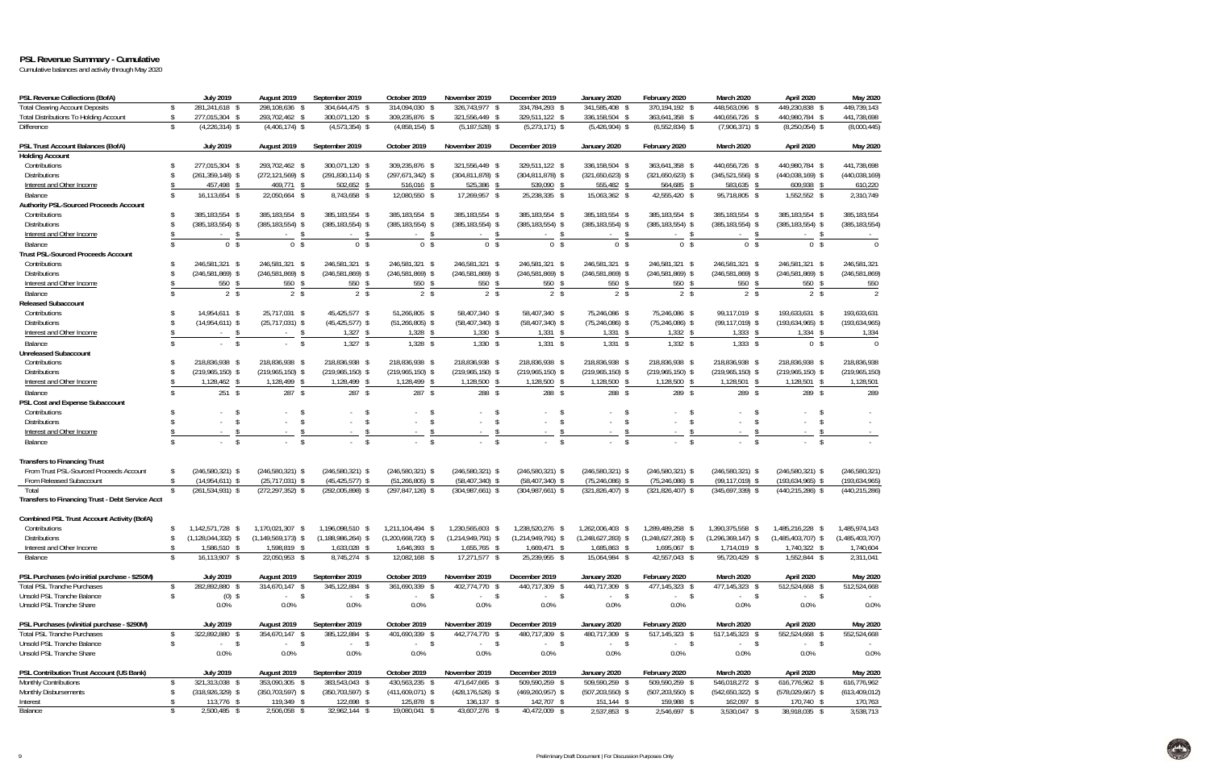### **PSL Revenue Summary - Cumulative**

Cumulative balances and activity through May 2020

| PSL Revenue Collections (BofA)                          | <b>July 2019</b>                       | August 2019                                 | September 2019                         | October 2019                           | November 2019                          | December 2019                        | January 2020                               | February 2020                          | March 2020                             | April 2020                             | May 2020                       |
|---------------------------------------------------------|----------------------------------------|---------------------------------------------|----------------------------------------|----------------------------------------|----------------------------------------|--------------------------------------|--------------------------------------------|----------------------------------------|----------------------------------------|----------------------------------------|--------------------------------|
| <b>Total Clearing Account Deposits</b><br>\$            | 281,241,618 \$                         | 298,108,636 \$                              | 304,644,475 \$                         | 314,094,030 \$                         | 326,743,977 \$                         | 334,784,293 \$                       | 341,585,408 \$                             | 370, 194, 192 \$                       | 448,563,096 \$                         | 449,230,838 \$                         | 449,739,143                    |
| <b>Total Distributions To Holding Account</b><br>\$     | 277,015,304 \$                         | 293,702,462 \$                              | 300,071,120 \$                         | 309,235,876 \$                         | 321,556,449 \$                         | 329,511,122 \$                       | 336,158,504 \$                             | 363,641,358 \$                         | 440,656,726 \$                         | 440,980,784 \$                         | 441,738,698                    |
| Difference<br>\$                                        | $(4,226,314)$ \$                       | $(4,406,174)$ \$                            | $(4,573,354)$ \$                       | $(4,858,154)$ \$                       | $(5, 187, 528)$ \$                     | $(5,273,171)$ \$                     | $(5,426,904)$ \$                           | $(6,552,834)$ \$                       | $(7,906,371)$ \$                       | $(8,250,054)$ \$                       | (8,000,445)                    |
| PSL Trust Account Balances (BofA)                       | <b>July 2019</b>                       | August 2019                                 | September 2019                         | October 2019                           | November 2019                          | December 2019                        | January 2020                               | February 2020                          | March 2020                             | April 2020                             | May 2020                       |
| <b>Holding Account</b>                                  |                                        |                                             |                                        |                                        |                                        |                                      |                                            |                                        |                                        |                                        |                                |
| Contributions<br>\$                                     | 277,015,304 \$                         | 293,702,462 \$                              | 300,071,120 \$                         | 309,235,876 \$                         | 321,556,449 \$                         | 329,511,122 \$                       | 336,158,504 \$                             | 363,641,358 \$                         | 440,656,726 \$                         | 440,980,784 \$                         | 441,738,698                    |
| <b>Distributions</b><br>\$                              | $(261, 359, 148)$ \$                   | $(272, 121, 569)$ \$                        | $(291, 830, 114)$ \$                   | $(297, 671, 342)$ \$                   | $(304, 811, 878)$ \$                   | $(304, 811, 878)$ \$                 | $(321,650,623)$ \$                         | $(321,650,623)$ \$                     | $(345,521,556)$ \$                     | $(440,038,169)$ \$                     | (440, 038, 169)                |
| Interest and Other Income                               | 457,498<br>- \$                        | 469,771 \$                                  | 502,652 \$                             | 516,016 \$                             | 525,386<br>- \$                        | 539,090<br>-S                        | 555,482<br>- \$                            | 564,685 \$                             | 583,635 \$                             | 609,938 \$                             | 610,220                        |
| Balance<br>Ŝ.                                           | 16,113,654 \$                          | 22,050,664 \$                               | 8,743,658 \$                           | 12,080,550 \$                          | 17,269,957 \$                          | 25,238,335 \$                        | 15,063,362 \$                              | 42,555,420 \$                          | 95,718,805 \$                          | 1,552,552 \$                           | 2,310,749                      |
| Authority PSL-Sourced Proceeds Account                  |                                        |                                             |                                        |                                        |                                        |                                      |                                            |                                        |                                        |                                        |                                |
| Contributions<br>\$                                     | 385,183,554 \$                         | 385,183,554 \$                              | 385,183,554 \$                         | 385,183,554 \$                         | 385,183,554 \$                         | 385,183,554 \$                       | 385,183,554 \$                             | 385.183.554 \$                         | 385,183,554 \$                         | 385,183,554 \$                         | 385, 183, 554                  |
| <b>Distributions</b><br>\$                              | $(385, 183, 554)$ \$                   | $(385, 183, 554)$ \$                        | $(385, 183, 554)$ \$                   | $(385, 183, 554)$ \$                   | $(385, 183, 554)$ \$                   | $(385, 183, 554)$ \$                 | $(385, 183, 554)$ \$<br>$\mathbf{\hat{s}}$ | $(385, 183, 554)$ \$                   | $(385, 183, 554)$ \$                   | $(385, 183, 554)$ \$                   | (385, 183, 554)                |
| Interest and Other Income                               | - \$                                   | -S                                          | -\$                                    | \$                                     | - \$                                   | -S                                   |                                            | - \$                                   | - \$                                   | -S                                     |                                |
| Balance                                                 | 0 <sup>5</sup>                         | 0 <sup>5</sup>                              | 0 <sup>5</sup>                         | 0 <sup>5</sup>                         | 0 <sup>5</sup>                         | 0 <sup>5</sup>                       | 0 <sup>5</sup>                             | 0 <sup>5</sup>                         | 0 <sup>5</sup>                         | 0 <sup>5</sup>                         | $\overline{0}$                 |
| <b>Trust PSL-Sourced Proceeds Account</b><br>\$         |                                        |                                             |                                        |                                        |                                        |                                      |                                            |                                        |                                        |                                        |                                |
| Contributions<br><b>Distributions</b><br>\$             | 246,581,321 \$<br>$(246, 581, 869)$ \$ | 246,581,321 \$<br>$(246,581,869)$ \$        | 246,581,321 \$<br>$(246, 581, 869)$ \$ | 246,581,321 \$<br>$(246, 581, 869)$ \$ | 246,581,321 \$<br>$(246, 581, 869)$ \$ | 246,581,321 \$<br>$(246,581,869)$ \$ | 246,581,321 \$<br>$(246, 581, 869)$ \$     | 246,581,321 \$<br>$(246, 581, 869)$ \$ | 246,581,321 \$<br>$(246, 581, 869)$ \$ | 246,581,321 \$<br>$(246, 581, 869)$ \$ | 246,581,321<br>(246, 581, 869) |
| Interest and Other Income                               |                                        | -S                                          |                                        |                                        |                                        |                                      | 550                                        | 550                                    | 550                                    | 550                                    |                                |
| $\mathbf{\hat{S}}$                                      | 550<br>- \$<br>2 <sup>5</sup>          | 550<br>2 <sup>5</sup>                       | 550<br>$2 \sqrt{s}$                    | $550$ \$<br>$2 \sqrt{s}$               | 550<br>2 <sup>5</sup>                  | 550<br>$2 \sqrt{s}$                  | $2 \sqrt{3}$                               | $2 \sqrt{3}$                           | $2 \sqrt{s}$                           | 2 <sup>5</sup>                         | 550<br>$\overline{2}$          |
| Balance<br><b>Released Subaccount</b>                   |                                        |                                             |                                        |                                        |                                        |                                      |                                            |                                        |                                        |                                        |                                |
| Contributions<br>\$                                     | 14,954,611 \$                          | 25,717,031 \$                               | 45,425,577 \$                          | 51,266,805 \$                          | 58,407,340 \$                          | 58,407,340 \$                        | 75,246,086 \$                              | 75,246,086 \$                          | 99,117,019 \$                          | 193,633,631 \$                         | 193,633,631                    |
| <b>Distributions</b>                                    | $(14,954,611)$ \$                      | $(25,717,031)$ \$                           | $(45, 425, 577)$ \$                    | $(51, 266, 805)$ \$                    | $(58,407,340)$ \$                      | $(58,407,340)$ \$                    | $(75, 246, 086)$ \$                        | $(75, 246, 086)$ \$                    | $(99, 117, 019)$ \$                    | $(193, 634, 965)$ \$                   | (193, 634, 965)                |
| Interest and Other Income                               | $-5$                                   | $\mathsf{\$}$<br>$\sim$ $-$                 | $1,327$ \$                             | $1,328$ \$                             | $1,330$ \$                             | $1,331$ \$                           | 1,331<br>- \$                              | $1,332$ \$                             | $1,333$ \$                             | $1,334$ \$                             | 1,334                          |
| Balance<br>$\mathbf{\hat{S}}$                           | $-5$                                   | $\mathsf{\$}$<br>$\mathcal{L}^{\text{max}}$ | $1,327$ \$                             | $1,328$ \$                             | $1,330$ \$                             | $1,331$ \$                           | $1,331$ \$                                 | $1,332$ \$                             | $1,333$ \$                             | 0 <sup>5</sup>                         | $\Omega$                       |
| <b>Unreleased Subaccount</b>                            |                                        |                                             |                                        |                                        |                                        |                                      |                                            |                                        |                                        |                                        |                                |
| Contributions<br>$\mathbf{\hat{S}}$                     | 218.836.938 \$                         | 218,836,938 \$                              | 218.836.938 \$                         | 218,836,938 \$                         | 218,836,938 \$                         | 218.836.938 \$                       | 218,836,938 \$                             | 218.836.938 \$                         | 218,836,938 \$                         | 218,836,938 \$                         | 218,836,938                    |
| <b>Distributions</b><br>\$                              | $(219,965,150)$ \$                     | $(219,965,150)$ \$                          | $(219,965,150)$ \$                     | $(219,965,150)$ \$                     | $(219,965,150)$ \$                     | $(219,965,150)$ \$                   | $(219,965,150)$ \$                         | $(219,965,150)$ \$                     | $(219,965,150)$ \$                     | $(219,965,150)$ \$                     | (219, 965, 150)                |
| Interest and Other Income                               | 1,128,462<br>-S                        | 1,128,499<br>-\$                            | 1,128,499<br>- \$                      | 1,128,499 \$                           | 1,128,500<br>\$                        | 1,128,500<br>\$                      | 1,128,500<br>- \$                          | 1,128,500 \$                           | 1,128,501 \$                           | $1,128,501$ \$                         | 1,128,501                      |
| Balance<br>$\mathbf{\hat{S}}$                           | $251$ \$                               | 287S                                        | 287 \$                                 | $287$ \$                               | 288 \$                                 | 288 \$                               | 288 \$                                     | 289 \$                                 | 289 \$                                 | 289 \$                                 | 289                            |
| <b>PSL Cost and Expense Subaccount</b>                  |                                        |                                             |                                        |                                        |                                        |                                      |                                            |                                        |                                        |                                        |                                |
| Contributions<br>$\mathbf{\hat{S}}$                     | - \$                                   | $\mathbf{\hat{S}}$                          | -\$                                    | $\mathbf{\hat{S}}$                     | - \$                                   | \$                                   | - \$                                       | - \$                                   |                                        | \$                                     |                                |
| <b>Distributions</b>                                    | \$<br>$\sim$                           | $\sqrt{2}$<br>$\mathbf{r}$                  | $\mathsf{\$}$<br>$\sim$                | \$                                     | \$                                     | $\mathsf{\$}$                        | -\$<br>$\sim$                              | <sup>\$</sup>                          | $\mathcal{S}$<br>$\sim$                | \$                                     |                                |
| Interest and Other Income                               | $\mathbf{\hat{S}}$                     | -S                                          | $\mathbf{\hat{s}}$                     | Ŝ.<br>$\sim$                           | \$                                     | $\mathfrak{L}$                       | $\mathbf{\hat{s}}$<br>$\sim$               | -S                                     | - \$<br>$\sim$                         | \$                                     |                                |
| $\hat{\mathbf{S}}$<br>Balance                           | $\mathsf{\$}$                          | $\mathbb{S}$                                | $\mathbb{S}$                           | $\mathsf{\$}$                          | $\mathbb{S}$                           | $\mathcal{S}$                        | $\sqrt{2}$                                 | $\mathbb{S}$                           | $\mathbb{S}$                           | $\mathcal{S}$                          |                                |
| <b>Transfers to Financing Trust</b>                     |                                        |                                             |                                        |                                        |                                        |                                      |                                            |                                        |                                        |                                        |                                |
| From Trust PSL-Sourced Proceeds Account<br>\$           | $(246, 580, 321)$ \$                   | $(246, 580, 321)$ \$                        | $(246, 580, 321)$ \$                   | $(246,580,321)$ \$                     | $(246,580,321)$ \$                     | $(246,580,321)$ \$                   | $(246,580,321)$ \$                         | $(246,580,321)$ \$                     | $(246, 580, 321)$ \$                   | $(246, 580, 321)$ \$                   | (246, 580, 321)                |
| From Released Subaccount<br>\$                          | $(14,954,611)$ \$                      | $(25, 717, 031)$ \$                         | $(45, 425, 577)$ \$                    | $(51, 266, 805)$ \$                    | $(58,407,340)$ \$                      | $(58,407,340)$ \$                    | $(75, 246, 086)$ \$                        | $(75, 246, 086)$ \$                    | $(99, 117, 019)$ \$                    | $(193, 634, 965)$ \$                   | (193, 634, 965)                |
| \$<br>Total                                             | $(261, 534, 931)$ \$                   | $(272, 297, 352)$ \$                        | $(292,005,898)$ \$                     | $(297, 847, 126)$ \$                   | $(304,987,661)$ \$                     | $(304,987,661)$ \$                   | $(321, 826, 407)$ \$                       | $(321, 826, 407)$ \$                   | $(345,697,339)$ \$                     | $(440, 215, 286)$ \$                   | (440, 215, 286)                |
| <b>Transfers to Financing Trust - Debt Service Acct</b> |                                        |                                             |                                        |                                        |                                        |                                      |                                            |                                        |                                        |                                        |                                |
| <b>Combined PSL Trust Account Activity (BofA)</b>       |                                        |                                             |                                        |                                        |                                        |                                      |                                            |                                        |                                        |                                        |                                |
| Contributions<br>s.                                     | 1,142,571,728 \$                       | 1,170,021,307 \$                            | 1,196,098,510 \$                       | 1.211.104.494 \$                       | 1,230,565,603 \$                       | 1.238.520.276 \$                     | 1,262,006,403 \$                           | 1,289,489,258 \$                       | 1,390,375,558 \$                       | 1,485,216,228 \$                       | 1,485,974,143                  |
| <b>Distributions</b>                                    | $(1, 128, 044, 332)$ \$                | $(1, 149, 569, 173)$ \$                     | (1,188,986,264) \$                     | $(1,200,668,120)$ \$                   | $(1,214,949,791)$ \$                   | $(1,214,949,791)$ \$                 | $(1,248,621,283)$ \$                       | $(1,248,621,283)$ \$                   | $(1,296,369,147)$ \$                   | $(1,485,403,707)$ \$                   | (1,485,403,707)                |
| Interest and Other Income<br>s.                         | 1,586,510 \$                           | 1,598,819 \$                                | 1,633,028 \$                           | 1,646,393 \$                           | 1,655,765 \$                           | 1,669,471 \$                         | 1,685,863 \$                               | 1,695,067 \$                           | 1,714,019 \$                           | 1,740,322 \$                           | 1,740,604                      |
| Balance<br>$\mathbf{\hat{S}}$                           | 16,113,907 \$                          | 22,050,953 \$                               | 8,745,274 \$                           | 12,082,168 \$                          | 17,271,577 \$                          | 25,239,955 \$                        | 15,064,984 \$                              | 42,557,043 \$                          | 95,720,429 \$                          | 1,552,844 \$                           | 2,311,041                      |
| PSL Purchases (w/o initial purchase - \$250M)           | <b>July 2019</b>                       | August 2019                                 | September 2019                         | October 2019                           | November 2019                          | December 2019                        | January 2020                               | February 2020                          | March 2020                             | April 2020                             | May 2020                       |
| <b>Total PSL Tranche Purchases</b><br>\$                | 282,892,880 \$                         | 314,670,147 \$                              | 345,122,884 \$                         | 361,690,339 \$                         | 402,774,770 \$                         | 440,717,309 \$                       | 440,717,309 \$                             | 477,145,323 \$                         | 477,145,323 \$                         | 512,524,668 \$                         | 512,524,668                    |
| Unsold PSL Tranche Balance<br>\$                        | $(0)$ \$                               | $-5$                                        | $-$ \$                                 | $-5$                                   | $-$ \$                                 | $-5$                                 | $-$ \$                                     | $-$ \$                                 | $-$ \$                                 | $-$ \$                                 |                                |
| Unsold PSL Tranche Share                                | 0.0%                                   | $0.0\%$                                     | 0.0%                                   | $0.0\%$                                | 0.0%                                   | 0.0%                                 | 0.0%                                       | 0.0%                                   | 0.0%                                   | 0.0%                                   | 0.0%                           |
| PSL Purchases (w/initial purchase - \$290M)             | <b>July 2019</b>                       | August 2019                                 | September 2019                         | October 2019                           | November 2019                          | December 2019                        | January 2020                               | February 2020                          | March 2020                             | April 2020                             | May 2020                       |
| <b>Total PSL Tranche Purchases</b><br>\$                | 322,892,880 \$                         | 354,670,147 \$                              | 385,122,884 \$                         | 401,690,339 \$                         | 442,774,770 \$                         | 480,717,309 \$                       | 480.717.309 \$                             | 517,145,323 \$                         | 517,145,323 \$                         | 552,524,668 \$                         | 552,524,668                    |
| Unsold PSL Tranche Balance<br>\$                        | $-5$                                   | $-5$                                        | $-5$                                   | $-5$                                   | $-$ \$                                 | $-5$                                 | $-$ \$                                     | $-$ \$                                 | $-$ \$                                 | $-$ \$                                 |                                |
| Unsold PSL Tranche Share                                | 0.0%                                   | 0.0%                                        | 0.0%                                   | $0.0\%$                                | 0.0%                                   | 0.0%                                 | 0.0%                                       | 0.0%                                   | 0.0%                                   | 0.0%                                   | 0.0%                           |
| PSL Contribution Trust Account (US Bank)                | <b>July 2019</b>                       | August 2019                                 | September 2019                         | October 2019                           | November 2019                          | December 2019                        | January 2020                               | February 2020                          | March 2020                             | April 2020                             | May 2020                       |
| Monthly Contributions<br>\$                             | 321,313,038 \$                         | 353,090,305 \$                              | 383,543,043 \$                         | 430,563,235 \$                         | 471,647,665 \$                         | 509,590,259 \$                       | 509,590,259 \$                             | 509,590,259 \$                         | 546,018,272 \$                         | 616,776,962 \$                         | 616,776,962                    |
| Monthly Disbursements<br>\$                             | $(318,926,329)$ \$                     | $(350, 703, 597)$ \$                        | $(350, 703, 597)$ \$                   | $(411,609,071)$ \$                     | $(428, 176, 526)$ \$                   | $(469, 260, 957)$ \$                 | $(507, 203, 550)$ \$                       | $(507, 203, 550)$ \$                   | $(542,650,322)$ \$                     | $(578,029,667)$ \$                     | (613, 409, 012)                |
| Interest<br>\$                                          | 113,776 \$                             | 119,349 \$                                  | 122,698 \$                             | 125,878 \$                             | 136,137 \$                             | 142,707 \$                           | 151,144 \$                                 | 159,988 \$                             | 162,097 \$                             | 170,740 \$                             | 170,763                        |
| Balance<br>\$                                           | 2,500,485 \$                           | 2,506,058 \$                                | 32,962,144 \$                          | 19,080,041 \$                          | 43,607,276 \$                          | 40,472,009 \$                        | 2,537,853 \$                               | 2,546,697 \$                           | 3,530,047 \$                           | 38,918,035 \$                          | 3,538,713                      |

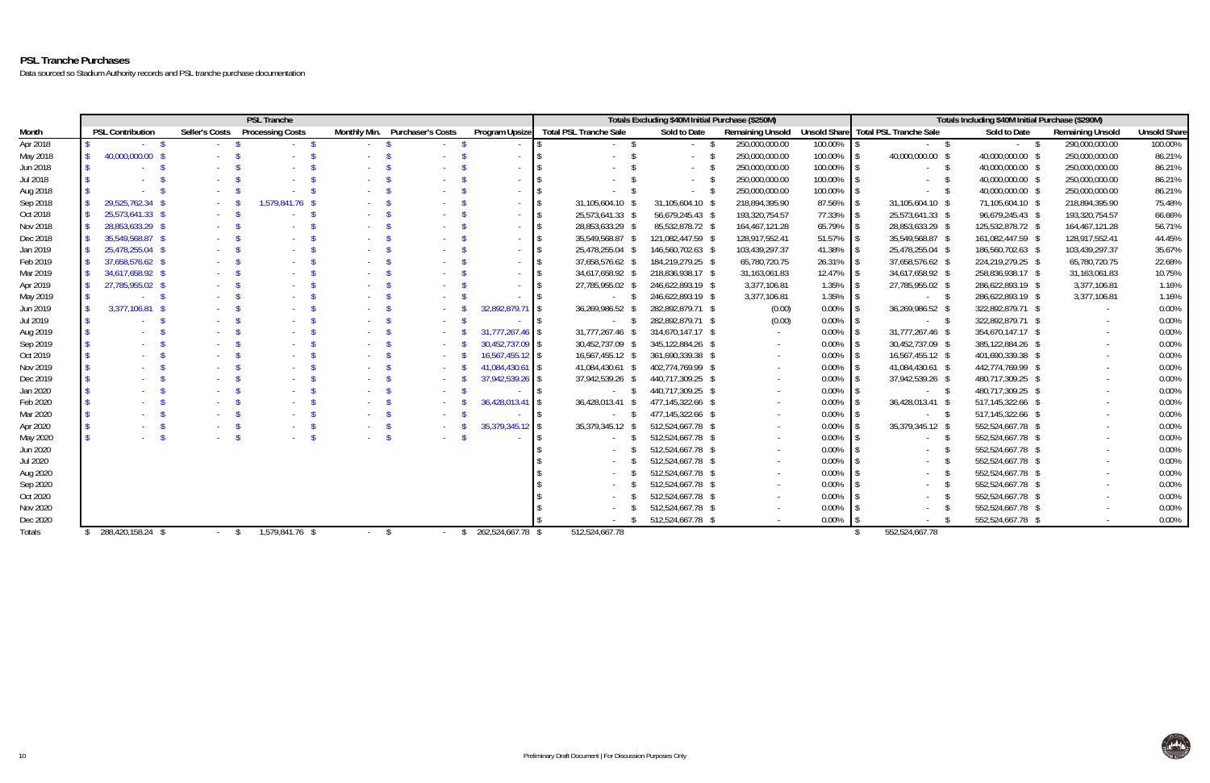## **PSL Tranche Purchases**

Data sourced so Stadium Authority records and PSL tranche purchase documentation

|                 | <b>PSL Tranche</b> |                         |  |                |                         |                 | Totals Excluding \$40M Initial Purchase (\$250M) |                   |                                              |                   |                         | Totals Including \$40M Initial Purchase (\$290M) |                                     |                   |                         |                     |
|-----------------|--------------------|-------------------------|--|----------------|-------------------------|-----------------|--------------------------------------------------|-------------------|----------------------------------------------|-------------------|-------------------------|--------------------------------------------------|-------------------------------------|-------------------|-------------------------|---------------------|
| Month           |                    | <b>PSL Contribution</b> |  | Seller's Costs | <b>Processing Costs</b> |                 | Monthly Min. Purchaser's Costs                   | Program Upsize    | <b>Total PSL Tranche Sale</b>                | Sold to Date      | <b>Remaining Unsold</b> |                                                  | Unsold Share Total PSL Tranche Sale | Sold to Date      | <b>Remaining Unsold</b> | <b>Unsold Share</b> |
| Apr 2018        |                    |                         |  |                |                         |                 |                                                  |                   |                                              |                   | 250,000,000.00          | 100.00%                                          |                                     | $-$ \$            | 290,000,000.00          | 100.00%             |
| May 2018        |                    | 40,000,000.00           |  |                |                         |                 |                                                  |                   |                                              |                   | 250,000,000.00          | 100.00%                                          | 40,000,000.00 \$                    | 40,000,000.00 \$  | 250,000,000.00          | 86.21%              |
| Jun 2018        |                    |                         |  |                |                         |                 |                                                  |                   |                                              |                   | 250,000,000.00          | 100.00%                                          | - \$                                | 40,000,000.00 \$  | 250,000,000.00          | 86.21%              |
| Jul 2018        |                    |                         |  |                |                         |                 |                                                  | <b>Service</b>    |                                              |                   | 250,000,000.00          | 100.00%                                          |                                     | 40,000,000.00 \$  | 250,000,000.00          | 86.21%              |
| Aug 2018        |                    |                         |  |                |                         |                 |                                                  | $\Delta \sim 10$  |                                              | $\sim$ 100 $\pm$  | 250,000,000.00          | 100.00%                                          |                                     | 40,000,000.00 \$  | 250,000,000.00          | 86.21%              |
| Sep 2018        |                    | 29,525,762.34           |  |                | 1,579,841.76 \$         |                 |                                                  | <b>Section</b>    | 31,105,604.10 \$<br>$\blacksquare$           | 31,105,604.10 \$  | 218,894,395.90          | 87.56%                                           | 31,105,604.10 \$                    | 71,105,604.10 \$  | 218,894,395.90          | 75.48%              |
| Oct 2018        |                    | 25,573,641.33 \$        |  |                |                         |                 |                                                  | <b>Service</b>    | 25,573,641.33 \$<br>$\overline{\phantom{a}}$ | 56,679,245.43 \$  | 193,320,754.57          | 77.33%                                           | 25,573,641.33 \$                    | 96,679,245.43 \$  | 193,320,754.57          | 66.66%              |
| Nov 2018        |                    | 28,853,633.29 \$        |  |                |                         |                 |                                                  | <b>Service</b>    | 28,853,633.29 \$<br>$\blacksquare$           | 85,532,878.72 \$  | 164,467,121.28          | 65.79%                                           | 28,853,633.29 \$                    | 125,532,878.72 \$ | 164,467,121.28          | 56.71%              |
| Dec 2018        |                    | 35,549,568.87 \$        |  |                |                         |                 |                                                  | <b>Section</b>    | 35,549,568.87 \$<br>$\blacksquare$           | 121,082,447.59 \$ | 128,917,552.41          | 51.57%                                           | 35,549,568.87 \$                    | 161,082,447.59 \$ | 128,917,552.41          | 44.45%              |
| Jan 2019        |                    | 25,478,255.04 \$        |  |                |                         |                 |                                                  | <b>Service</b>    | 25,478,255.04 \$<br>$\blacksquare$           | 146,560,702.63 \$ | 103,439,297.37          | 41.38%                                           | 25,478,255.04 \$                    | 186,560,702.63 \$ | 103,439,297.37          | 35.67%              |
| Feb 2019        |                    | 37,658,576.62 \$        |  |                |                         |                 |                                                  | $\sim 100$        | 37,658,576.62 \$<br>$\blacksquare$           | 184,219,279.25 \$ | 65,780,720.75           | 26.31%                                           | 37,658,576.62 \$                    | 224,219,279.25 \$ | 65,780,720.75           | 22.68%              |
| Mar 2019        |                    | 34,617,658.92 \$        |  |                |                         |                 |                                                  | $\sim 100$        | 34,617,658.92 \$<br>$\overline{\phantom{a}}$ | 218,836,938.17 \$ | 31,163,061.83           | 12.47%                                           | 34,617,658.92 \$                    | 258,836,938.17 \$ | 31,163,061.83           | 10.75%              |
| Apr 2019        |                    | 27,785,955.02           |  |                |                         |                 |                                                  | <b>Section</b>    | 27,785,955.02 \$<br>$\blacksquare$           | 246,622,893.19 \$ | 3,377,106.81            | 1.35%                                            | 27,785,955.02 \$                    | 286,622,893.19 \$ | 3,377,106.81            | 1.16%               |
| May 2019        |                    |                         |  |                |                         |                 |                                                  | <b>Section</b>    | $-$ \$<br>$\blacksquare$                     | 246,622,893.19 \$ | 3,377,106.81            | 1.35%                                            | $-5$                                | 286,622,893.19 \$ | 3,377,106.81            | 1.16%               |
| Jun 2019        |                    | 3,377,106.81            |  |                |                         |                 | $\sim 10^{-1}$                                   | 32,892,879.71 \$  | 36,269,986.52 \$                             | 282,892,879.71 \$ | (0.00)                  | 0.00%                                            | 36,269,986.52 \$                    | 322,892,879.71 \$ |                         | 0.00%               |
| Jul 2019        |                    |                         |  |                |                         |                 | $\sim 10^{-1}$                                   |                   | $-$ \$<br>$\blacksquare$                     | 282,892,879.71 \$ | (0.00)                  | 0.00%                                            | $-5$                                | 322,892,879.71 \$ |                         | 0.00%               |
| Aug 2019        |                    |                         |  |                |                         |                 | $\sim 100$                                       | 31,777,267.46 \$  | 31,777,267.46 \$                             | 314,670,147.17 \$ | $\sim$ $-$              | 0.00%                                            | 31,777,267.46 \$                    | 354,670,147.17 \$ |                         | 0.00%               |
| Sep 2019        |                    |                         |  |                |                         |                 |                                                  | 30,452,737.09 \$  | 30,452,737.09 \$                             | 345,122,884.26 \$ | $\sim$                  | 0.00%                                            | 30,452,737.09 \$                    | 385,122,884.26 \$ |                         | 0.00%               |
| Oct 2019        |                    |                         |  |                |                         |                 |                                                  | 16,567,455.12 \$  | 16,567,455.12 \$                             | 361,690,339.38 \$ | $\sim$                  | 0.00%                                            | 16,567,455.12 \$                    | 401,690,339.38 \$ |                         | 0.00%               |
| Nov 2019        |                    |                         |  |                |                         |                 |                                                  | 41,084,430.61 \$  | 41,084,430.61 \$                             | 402,774,769.99 \$ | $\sim$                  | 0.00%                                            | 41,084,430.61 \$                    | 442,774,769.99 \$ |                         | 0.00%               |
| Dec 2019        |                    |                         |  |                |                         |                 |                                                  | 37,942,539.26 \$  | 37,942,539.26 \$                             | 440,717,309.25 \$ |                         | 0.00%                                            | 37,942,539.26 \$                    | 480,717,309.25 \$ |                         | 0.00%               |
| Jan 2020        |                    |                         |  |                |                         |                 | $\sim 100$                                       |                   | <sup>S</sup>                                 | 440,717,309.25 \$ | $\sim$                  | 0.00%                                            | $-5$                                | 480,717,309.25 \$ |                         | 0.00%               |
| Feb 2020        |                    |                         |  |                |                         |                 |                                                  | 36,428,013.41 \$  | 36,428,013.41 \$                             | 477,145,322.66 \$ | $\sim$                  | 0.00%                                            | 36,428,013.41 \$                    | 517,145,322.66 \$ |                         | 0.00%               |
| Mar 2020        |                    |                         |  |                |                         |                 | $\sim 100$                                       |                   | IS.<br>$-5$                                  | 477,145,322.66 \$ | $\sim$                  | 0.00%                                            | <b>Service</b>                      | 517,145,322.66 \$ |                         | 0.00%               |
| Apr 2020        |                    |                         |  |                |                         |                 |                                                  | 35,379,345.12 \$  | 35,379,345.12 \$                             | 512,524,667.78 \$ |                         | 0.00%                                            | 35,379,345.12 \$                    | 552,524,667.78 \$ |                         | 0.00%               |
| May 2020        |                    |                         |  |                |                         |                 | $\Delta \sim 10$                                 |                   | S.<br>IS.                                    | 512,524,667.78 \$ | $\sim$                  | 0.00%                                            |                                     | 552,524,667.78 \$ |                         | 0.00%               |
| Jun 2020        |                    |                         |  |                |                         |                 |                                                  |                   | -S                                           | 512,524,667.78 \$ | $\sim$                  | 0.00%                                            |                                     | 552,524,667.78 \$ |                         | 0.00%               |
| <b>Jul 2020</b> |                    |                         |  |                |                         |                 |                                                  |                   | -S                                           | 512,524,667.78 \$ | $\sim$                  | 0.00%                                            |                                     | 552,524,667.78 \$ |                         | 0.00%               |
| Aug 2020        |                    |                         |  |                |                         |                 |                                                  |                   | -S                                           | 512,524,667.78 \$ | $\sim$                  | 0.00%                                            |                                     | 552,524,667.78 \$ |                         | 0.00%               |
| Sep 2020        |                    |                         |  |                |                         |                 |                                                  |                   |                                              | 512,524,667.78 \$ | $\sim$                  | 0.00%                                            |                                     | 552,524,667.78 \$ |                         | 0.00%               |
| Oct 2020        |                    |                         |  |                |                         |                 |                                                  |                   |                                              | 512,524,667.78 \$ | $\sim$                  | 0.00%                                            |                                     | 552,524,667.78 \$ |                         | 0.00%               |
| Nov 2020        |                    |                         |  |                |                         |                 |                                                  |                   |                                              | 512,524,667.78 \$ |                         | $0.00\%$                                         |                                     | 552,524,667.78 \$ |                         | 0.00%               |
| Dec 2020        |                    |                         |  |                |                         |                 |                                                  |                   |                                              | 512,524,667.78 \$ |                         | 0.00%                                            |                                     | 552,524,667.78 \$ |                         | 0.00%               |
| Totals          |                    | 288,420,158.24 \$       |  |                | $1,579,841.76$ \$       | $\sim 10^{-11}$ | <sup>S</sup><br>$\Delta \sim 100$                | 262,524,667.78 \$ | 512,524,667.78                               |                   |                         |                                                  | 552,524,667.78                      |                   |                         |                     |

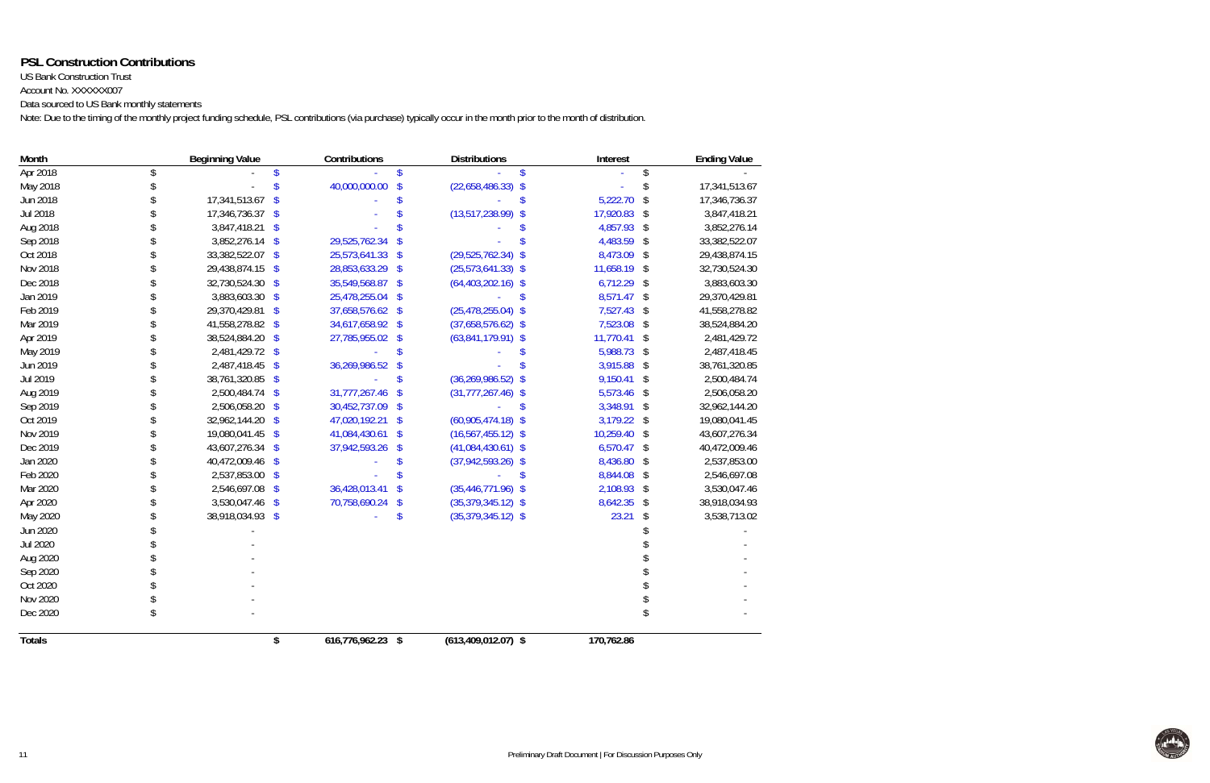# **PSL Construction Contributions**

US Bank Construction Trust Account No. XXXXXX007

Data sourced to US Bank monthly statements

Note: Due to the timing of the monthly project funding schedule, PSL contributions (via purchase) typically occur in the month prior to the month of distribution.

| Month           |               | <b>Beginning Value</b>                   | Contributions     |                            | <b>Distributions</b>    | Interest       | <b>Ending Value</b> |
|-----------------|---------------|------------------------------------------|-------------------|----------------------------|-------------------------|----------------|---------------------|
| Apr 2018        |               |                                          |                   | S                          |                         |                |                     |
| May 2018        |               |                                          | 40,000,000.00     | $\boldsymbol{\mathsf{\$}}$ | $(22,658,486.33)$ \$    |                | 17,341,513.67       |
| Jun 2018        |               | 17,341,513.67<br>$\sqrt[6]{\frac{1}{2}}$ |                   |                            |                         | 5,222.70       | \$<br>17,346,736.37 |
| Jul 2018        |               | 17,346,736.37<br>$\sqrt[6]{3}$           |                   |                            | $(13,517,238.99)$ \$    | 17,920.83      | \$<br>3,847,418.21  |
| Aug 2018        |               | 3,847,418.21<br>$\sqrt{3}$               |                   |                            |                         | 4,857.93       | \$<br>3,852,276.14  |
| Sep 2018        |               | 3,852,276.14 \$                          | 29,525,762.34     |                            |                         | 4,483.59       | \$<br>33,382,522.07 |
| Oct 2018        |               | 33,382,522.07 \$                         | 25,573,641.33     | $\sqrt[6]{\frac{1}{2}}$    | $(29,525,762.34)$ \$    | 8,473.09       | \$<br>29,438,874.15 |
| Nov 2018        |               | 29,438,874.15<br>$\sqrt[6]{\frac{1}{2}}$ | 28,853,633.29     | $\sqrt[6]{\frac{1}{2}}$    | $(25,573,641.33)$ \$    | 11,658.19      | \$<br>32,730,524.30 |
| Dec 2018        |               | 32,730,524.30<br>$\sqrt[6]{\frac{1}{2}}$ | 35,549,568.87     | \$                         | $(64, 403, 202.16)$ \$  | $6,712.29$ \$  | 3,883,603.30        |
| Jan 2019        |               | 3,883,603.30<br>$\sqrt[6]{\frac{1}{2}}$  | 25,478,255.04     | \$                         |                         | 8,571.47       | \$<br>29,370,429.81 |
| Feb 2019        |               | 29,370,429.81<br>\$                      | 37,658,576.62     | $\sqrt$                    | $(25, 478, 255.04)$ \$  | 7,527.43       | \$<br>41,558,278.82 |
| Mar 2019        |               | 41,558,278.82<br>$\sqrt[6]{\frac{1}{2}}$ | 34,617,658.92 \$  |                            | $(37,658,576.62)$ \$    | 7,523.08       | \$<br>38,524,884.20 |
| Apr 2019        |               | 38,524,884.20<br>\$                      | 27,785,955.02     | $\sqrt[6]{\frac{1}{2}}$    | $(63,841,179.91)$ \$    | 11,770.41      | \$<br>2,481,429.72  |
| May 2019        |               | 2,481,429.72<br>$\sqrt[6]{\frac{1}{2}}$  |                   |                            |                         | 5,988.73       | \$<br>2,487,418.45  |
| Jun 2019        |               | 2,487,418.45<br>\$                       | 36,269,986.52     |                            |                         | 3,915.88       | \$<br>38,761,320.85 |
| Jul 2019        |               | 38,761,320.85<br>\$                      |                   |                            | $(36, 269, 986.52)$ \$  | 9,150.41       | \$<br>2,500,484.74  |
| Aug 2019        |               | 2,500,484.74<br>$\sqrt[6]{\frac{1}{2}}$  | 31,777,267.46     |                            | $(31, 777, 267.46)$ \$  | 5,573.46       | \$<br>2,506,058.20  |
| Sep 2019        |               | 2,506,058.20<br>$\mathcal{S}$            | 30,452,737.09     | -S                         |                         | 3,348.91       | \$<br>32,962,144.20 |
| Oct 2019        |               | 32,962,144.20<br>$\mathcal{S}$           | 47,020,192.21     | <sup>\$</sup>              | $(60,905,474.18)$ \$    | 3,179.22       | \$<br>19,080,041.45 |
| Nov 2019        |               | 19,080,041.45<br>$\mathcal{S}$           | 41,084,430.61     | <sup>\$</sup>              | $(16, 567, 455.12)$ \$  | 10,259.40      | \$<br>43,607,276.34 |
| Dec 2019        |               | 43,607,276.34 \$                         | 37,942,593.26     | \$                         | $(41,084,430.61)$ \$    | 6,570.47       | \$<br>40,472,009.46 |
| Jan 2020        |               | 40,472,009.46<br>\$                      |                   |                            | $(37,942,593.26)$ \$    | 8,436.80       | \$<br>2,537,853.00  |
| Feb 2020        |               | 2,537,853.00<br>$\sqrt[6]{\frac{1}{2}}$  |                   |                            |                         | \$<br>8,844.08 | \$<br>2,546,697.08  |
| Mar 2020        |               | 2,546,697.08<br>$\sqrt[6]{\frac{1}{2}}$  | 36,428,013.41     | \$                         | $(35,446,771.96)$ \$    | 2,108.93       | \$<br>3,530,047.46  |
| Apr 2020        |               | 3,530,047.46<br>$\sqrt[6]{\frac{1}{2}}$  | 70,758,690.24     | \$                         | $(35,379,345.12)$ \$    | 8,642.35       | \$<br>38,918,034.93 |
| May 2020        |               | 38,918,034.93 \$                         |                   | \$                         | $(35,379,345.12)$ \$    | 23.21          | \$<br>3,538,713.02  |
| Jun 2020        |               |                                          |                   |                            |                         |                |                     |
| <b>Jul 2020</b> |               |                                          |                   |                            |                         |                |                     |
| Aug 2020        |               |                                          |                   |                            |                         |                |                     |
| Sep 2020        |               |                                          |                   |                            |                         |                |                     |
| Oct 2020        |               |                                          |                   |                            |                         |                |                     |
| Nov 2020        |               |                                          |                   |                            |                         |                |                     |
| Dec 2020        | $\mathcal{S}$ |                                          |                   |                            |                         |                |                     |
| <b>Totals</b>   |               | \$                                       | 616,776,962.23 \$ |                            | $(613, 409, 012.07)$ \$ | 170,762.86     |                     |

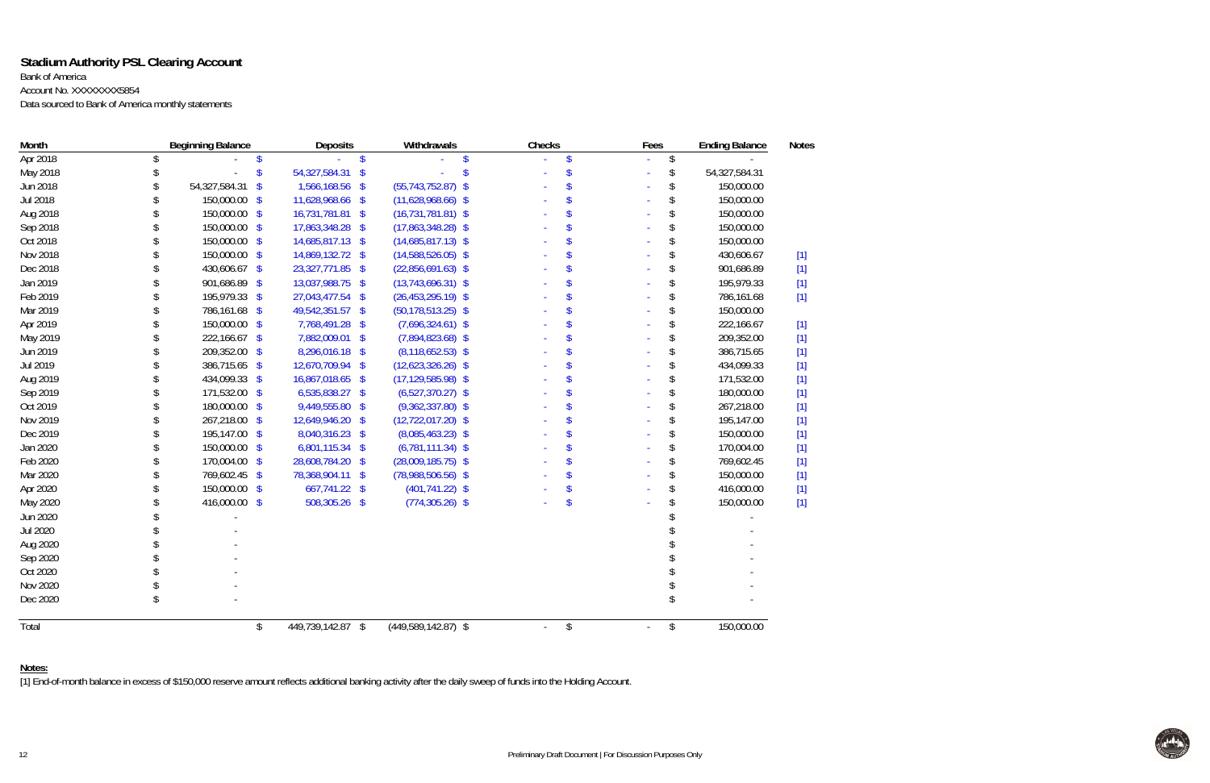# **Stadium Authority PSL Clearing Account**

Bank of America

Account No. XXXXXXXX5854

Data sourced to Bank of America monthly statements

| Month    | <b>Beginning Balance</b>                   | Deposits                  | Withdrawals            | Checks | Fees | <b>Ending Balance</b> | <b>Notes</b> |
|----------|--------------------------------------------|---------------------------|------------------------|--------|------|-----------------------|--------------|
| Apr 2018 |                                            | $\boldsymbol{\mathsf{S}}$ |                        |        | \$   |                       |              |
| May 2018 | \$<br>$\mathsf{\$}$                        | 54,327,584.31 \$          |                        |        | \$   | 54,327,584.31         |              |
| Jun 2018 | 54,327,584.31<br>$\boldsymbol{\mathsf{S}}$ | 1,566,168.56 \$           | $(55, 743, 752.87)$ \$ | \$     | \$   | 150,000.00            |              |
| Jul 2018 | 150,000.00<br>S                            | 11,628,968.66 \$          | $(11,628,968.66)$ \$   | \$     | \$   | 150,000.00            |              |
| Aug 2018 | 150,000.00 \$                              | 16,731,781.81 \$          | $(16, 731, 781.81)$ \$ | \$     | \$   | 150,000.00            |              |
| Sep 2018 | 150,000.00 \$                              | 17,863,348.28 \$          | $(17,863,348.28)$ \$   | \$     | \$   | 150,000.00            |              |
| Oct 2018 | 150,000.00 \$                              | 14,685,817.13 \$          | $(14,685,817.13)$ \$   | \$     | \$   | 150,000.00            |              |
| Nov 2018 | 150,000.00 \$                              | 14,869,132.72 \$          | $(14,588,526.05)$ \$   | \$     | \$   | 430,606.67            | $[1]$        |
| Dec 2018 | 430,606.67 \$                              | 23,327,771.85 \$          | $(22,856,691.63)$ \$   |        | \$   | 901,686.89            | $[1]$        |
| Jan 2019 | 901,686.89 \$                              | 13,037,988.75 \$          | $(13,743,696.31)$ \$   |        | \$   | 195,979.33            | $[1]$        |
| Feb 2019 | 195,979.33 \$                              | 27,043,477.54 \$          | $(26, 453, 295.19)$ \$ |        | \$   | 786,161.68            | $[1]$        |
| Mar 2019 | 786,161.68 \$                              | 49,542,351.57 \$          | $(50, 178, 513.25)$ \$ |        | \$   | 150,000.00            |              |
| Apr 2019 | 150,000.00 \$                              | 7,768,491.28 \$           | $(7,696,324.61)$ \$    |        | \$   | 222,166.67            | $[1]$        |
| May 2019 | 222,166.67 \$                              | 7,882,009.01 \$           | $(7,894,823.68)$ \$    |        | \$   | 209,352.00            | $[1]$        |
| Jun 2019 | 209,352.00 \$                              | 8,296,016.18 \$           | $(8, 118, 652.53)$ \$  |        | \$   | 386,715.65            | $[1]$        |
| Jul 2019 | 386,715.65 \$                              | 12,670,709.94 \$          | $(12,623,326.26)$ \$   |        | \$   | 434,099.33            | $[1]$        |
| Aug 2019 | 434,099.33 \$                              | 16,867,018.65 \$          | $(17, 129, 585.98)$ \$ | \$     | \$   | 171,532.00            | $[1]$        |
| Sep 2019 | 171,532.00 \$                              | 6,535,838.27 \$           | $(6,527,370.27)$ \$    | \$     | \$   | 180,000.00            | $[1]$        |
| Oct 2019 | 180,000.00 \$                              | 9,449,555.80 \$           | $(9,362,337.80)$ \$    | \$     | \$   | 267,218.00            | $[1]$        |
| Nov 2019 | 267,218.00 \$                              | 12,649,946.20 \$          | $(12, 722, 017.20)$ \$ | \$     | \$   | 195,147.00            | $[1]$        |
| Dec 2019 | 195,147.00 \$                              | 8,040,316.23 \$           | $(8,085,463.23)$ \$    | \$     | \$   | 150,000.00            | $[1]$        |
| Jan 2020 | 150,000.00 \$                              | 6,801,115.34 \$           | $(6,781,111.34)$ \$    | \$     | \$   | 170,004.00            | $[1]$        |
| Feb 2020 | 170,004.00 \$                              | 28,608,784.20 \$          | $(28,009,185.75)$ \$   | \$     | \$   | 769,602.45            | $[1]$        |
| Mar 2020 | 769,602.45 \$                              | 78,368,904.11 \$          | $(78,988,506.56)$ \$   | \$     | \$   | 150,000.00            | $[1]$        |
| Apr 2020 | 150,000.00 \$                              | 667,741.22 \$             | $(401, 741.22)$ \$     |        | \$   | 416,000.00            | $[1]$        |
| May 2020 | 416,000.00 \$                              | 508,305.26 \$             | $(774, 305.26)$ \$     | \$     | \$   | 150,000.00            | $[1]$        |
| Jun 2020 |                                            |                           |                        |        |      |                       |              |
| Jul 2020 |                                            |                           |                        |        |      |                       |              |
| Aug 2020 |                                            |                           |                        |        |      |                       |              |
| Sep 2020 |                                            |                           |                        |        |      |                       |              |
| Oct 2020 |                                            |                           |                        |        |      |                       |              |
| Nov 2020 |                                            |                           |                        |        |      |                       |              |
| Dec 2020 |                                            |                           |                        |        |      |                       |              |
| Total    | \$                                         | 449,739,142.87 \$         | $(449,589,142.87)$ \$  | \$     | \$   | 150,000.00            |              |

## **Notes:**

[1] End-of-month balance in excess of \$150,000 reserve amount reflects additional banking activity after the daily sweep of funds into the Holding Account.

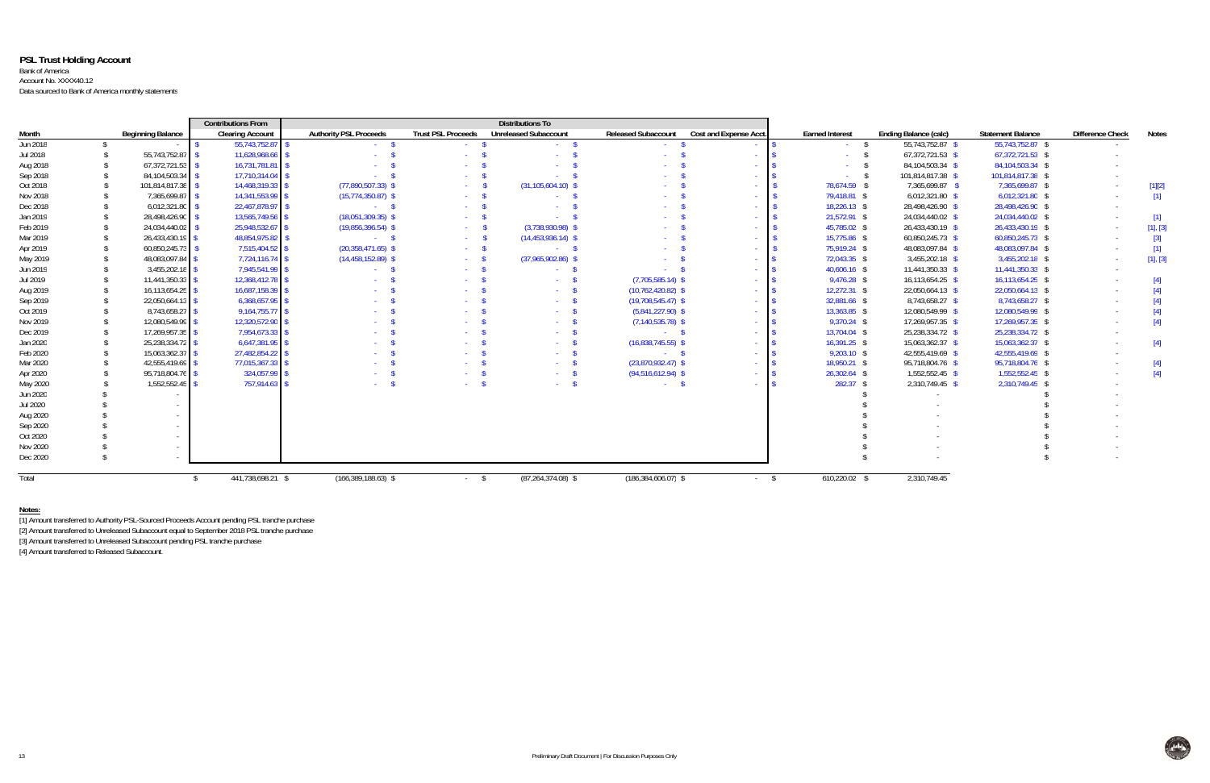## **PSL Trust Holding Account** Bank of America Account No. XXXX40.12 Data sourced to Bank of America monthly statements

|          |                          | <b>Contributions From</b> | <b>Distributions To</b>       |                           |                              |                            |                          |                        |                       |                          |                         |              |
|----------|--------------------------|---------------------------|-------------------------------|---------------------------|------------------------------|----------------------------|--------------------------|------------------------|-----------------------|--------------------------|-------------------------|--------------|
| Month    | <b>Beginning Balance</b> | <b>Clearing Account</b>   | <b>Authority PSL Proceeds</b> | <b>Trust PSL Proceeds</b> | <b>Unreleased Subaccount</b> | <b>Released Subaccount</b> | Cost and Expense Acct.   | <b>Earned Interest</b> | Ending Balance (calc) | <b>Statement Balance</b> | <b>Difference Check</b> | <b>Notes</b> |
| Jun 2018 |                          | 55,743,752.87 \$          | $\sim 100$                    |                           |                              |                            |                          |                        | 55,743,752.87 \$      | 55,743,752.87 \$         |                         |              |
| Jul 2018 | 55,743,752.87 \$         | 11,628,968.66             |                               |                           |                              |                            |                          |                        | $67,372,721.53$ \$    | 67,372,721.53 \$         |                         |              |
| Aug 2018 | $67,372,721.53$ \$       | 16,731,781.81 \$          |                               |                           |                              |                            |                          | <b>Contract</b>        | 84,104,503.34 \$      | 84,104,503.34 \$         |                         |              |
| Sep 2018 | 84,104,503.34 \$         | 17,710,314.04 \$          |                               |                           |                              |                            |                          | $-$ \$                 | 101,814,817.38 \$     | 101,814,817.38 \$        |                         |              |
| Oct 2018 | 101,814,817.38 \$        | 14,468,319.33 \$          | $(77,890,507.33)$ \$          |                           | $(31, 105, 604.10)$ \$       |                            |                          | 78,674.59 \$           | 7,365,699.87 \$       | 7,365,699.87 \$          |                         | $[1][2]$     |
| Nov 2018 | 7,365,699.87             | 14,341,553.99 \$          | $(15,774,350.87)$ \$          | $\Delta \sim 10^4$        |                              |                            |                          | 79,418.81 \$           | $6,012,321.80$ \$     | $6,012,321.80$ \$        |                         | $[1]$        |
| Dec 2018 | 6,012,321.80             | 22,467,878.97 \$          | $\sim$ $\sim$ $\sim$ $\sim$   |                           |                              |                            | <b>Contract</b>          | $18,226.13$ \$         | 28,498,426.90 \$      | 28,498,426.90 \$         |                         |              |
| Jan 2019 | 28,498,426.90            | 13,565,749.56 \$          | $(18,051,309.35)$ \$          |                           |                              |                            |                          | 21,572.91 \$           | 24,034,440.02 \$      | 24,034,440.02 \$         |                         | $[1]$        |
| Feb 2019 | 24,034,440.02            | 25,948,532.67 \$          | $(19,856,396.54)$ \$          | $\sim 100$                | $(3,738,930.98)$ \$          |                            |                          | 45,785.02 \$           | 26,433,430.19 \$      | 26,433,430.19 \$         | $\sim$                  | [1], [3]     |
| Mar 2019 | 26,433,430.19            | 48,854,975.82 \$          | $-5$                          | $\sim 100$                | $(14,453,936.14)$ \$         |                            |                          | 15,775.86 \$           | 60,850,245.73 \$      | 60,850,245.73 \$         |                         | $[3]$        |
| Apr 2019 | 60,850,245.73            | 7,515,404.52 \$           | $(20, 358, 471.65)$ \$        |                           | $-$ S                        |                            |                          | 75,919.24 \$           | 48,083,097.84 \$      | 48,083,097.84 \$         |                         | $[1]$        |
| May 2019 | 48,083,097.84            | $7,724,116.74$ \$         | $(14,458,152.89)$ \$          |                           | $(37,965,902.86)$ \$         |                            |                          | 72,043.35 \$           | $3,455,202.18$ \$     | 3,455,202.18 \$          |                         | [1], [3]     |
| Jun 2019 | 3,455,202.18             | 7,945,541.99 \$           | $\sim 100$                    | <b>Service</b>            | $\sim 10^{-10}$              | - 5                        | <b>Contract</b>          | $40,606.16$ \$         | 11,441,350.33 \$      | 11,441,350.33 \$         |                         |              |
| Jul 2019 | 11,441,350.33            | 12,368,412.78 \$          |                               |                           |                              | $(7,705,585.14)$ \$        |                          | $9,476.28$ \$          | 16,113,654.25 \$      | 16,113,654.25 \$         |                         |              |
| Aug 2019 | 16,113,654.25            | 16,687,158.39 \$          |                               |                           |                              | $(10,762,420.82)$ \$       | <b>Contract</b>          | $12,272.31$ \$         | 22,050,664.13 \$      | 22,050,664.13 \$         |                         | [4]          |
| Sep 2019 | 22,050,664.13            | $6,368,657.95$ \$         |                               |                           | <b>Contract</b>              | $(19,708,545.47)$ \$       |                          | 32,881.66 \$           | 8,743,658.27 \$       | 8,743,658.27 \$          |                         |              |
| Oct 2019 | 8,743,658.27             | 9,164,755.77 \$           |                               |                           |                              | $(5,841,227.90)$ \$        |                          | 13,363.85 \$           | 12,080,549.99 \$      | 12,080,549.99 \$         |                         |              |
| Nov 2019 | 12,080,549.99            | 12,320,572.90 \$          |                               |                           |                              | $(7, 140, 535.78)$ \$      |                          | $9,370.24$ \$          | 17,269,957.35 \$      | 17,269,957.35 \$         |                         | $[4]$        |
| Dec 2019 | 17,269,957.35            | 7,954,673.33 \$           |                               |                           |                              | $-$ \$                     |                          | 13,704.04 \$           | 25,238,334.72 \$      | 25,238,334.72 \$         |                         |              |
| Jan 2020 | 25,238,334.72 \$         | $6,647,381.95$ \$         |                               |                           | <b>Contract</b>              | $(16,838,745.55)$ \$       |                          | $16,391.25$ \$         | 15,063,362.37 \$      | 15,063,362.37 \$         |                         | $[4]$        |
| Feb 2020 | 15,063,362.37            | 27,482,854.22 \$          |                               |                           | $\sim 100$ km s $^{-1}$      | $-$ \$                     | <b>Contract Contract</b> | $9,203.10$ \$          | 42,555,419.69 \$      | 42,555,419.69 \$         |                         |              |
| Mar 2020 | 42,555,419.69            | 77,015,367.33 \$          |                               |                           |                              | $(23,870,932.47)$ \$       | <b>Contract</b>          | 18,950.21 \$           | 95,718,804.76 \$      | 95,718,804.76 \$         |                         | $[4]$        |
| Apr 2020 | 95,718,804.76            | 324,057.99 \$             |                               |                           | $\sim 100$ km s $^{-1}$      | $(94,516,612.94)$ \$       | $\sim$ 18                | $26,302.64$ \$         | 1,552,552.45 \$       | 1,552,552.45 \$          |                         | [4]          |
| May 2020 | 1.552.552.45             | 757.914.63 \$             |                               |                           | <b>Service</b>               | $\sim$ \$                  | <b>Contract</b>          | $282.37$ \$            | 2,310,749.45 \$       | 2,310,749.45 \$          |                         |              |
| Jun 2020 |                          |                           |                               |                           |                              |                            |                          |                        |                       |                          |                         |              |
| Jul 2020 |                          |                           |                               |                           |                              |                            |                          |                        |                       |                          |                         |              |
| Aug 2020 |                          |                           |                               |                           |                              |                            |                          |                        |                       |                          |                         |              |
| Sep 2020 |                          |                           |                               |                           |                              |                            |                          |                        |                       |                          |                         |              |
| Oct 2020 |                          |                           |                               |                           |                              |                            |                          |                        |                       |                          |                         |              |
| Nov 2020 |                          |                           |                               |                           |                              |                            |                          |                        |                       |                          |                         |              |
| Dec 2020 |                          |                           |                               |                           |                              |                            |                          |                        |                       |                          |                         |              |
|          |                          |                           |                               |                           |                              |                            |                          |                        |                       |                          |                         |              |
| Total    |                          | 441,738,698.21 \$         | $(166, 389, 188.63)$ \$       | $-$ \$                    | $(87, 264, 374.08)$ \$       | $(186, 384, 606.07)$ \$    | $-$ \$                   | 610,220.02 \$          | 2,310,749.45          |                          |                         |              |

#### **Notes:**

[1] Amount transferred to Authority PSL-Sourced Proceeds Account pending PSL tranche purchase

[2] Amount transferred to Unreleased Subaccount equal to September 2018 PSL tranche purchase

[3] Amount transferred to Unreleased Subaccount pending PSL tranche purchase

[4] Amount transferred to Released Subaccount.

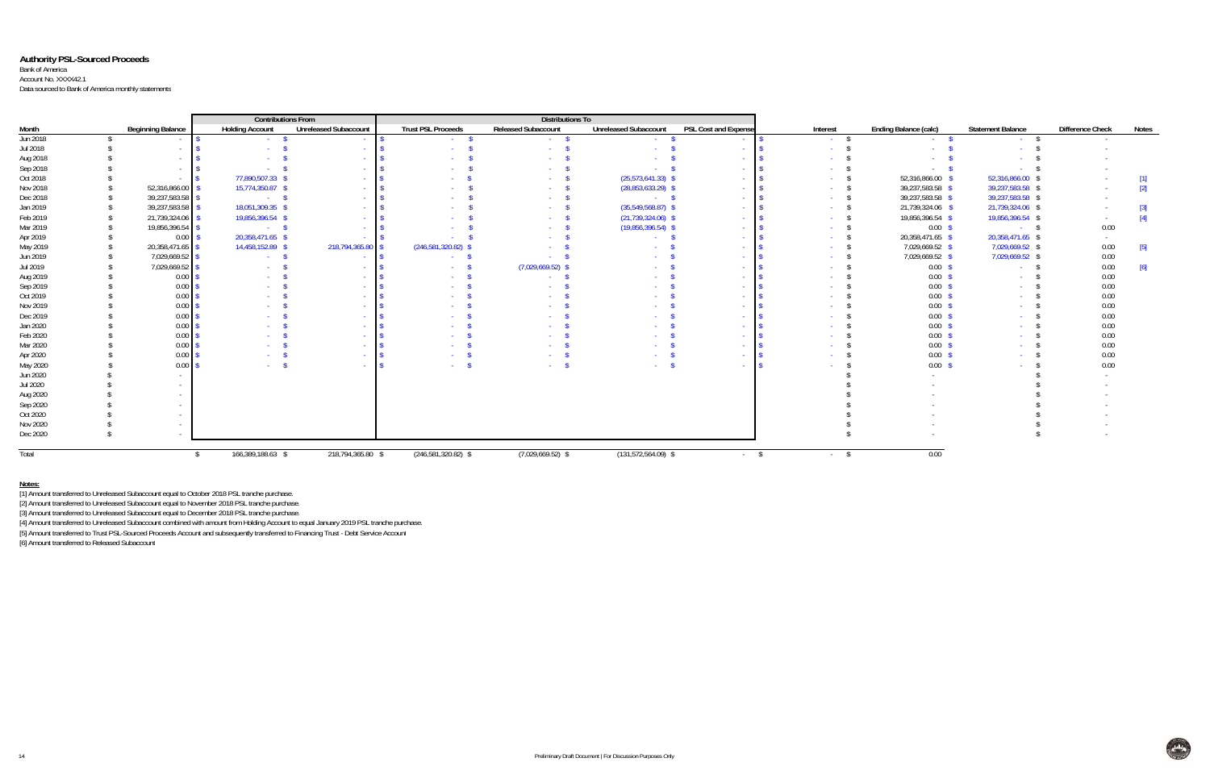## **Authority PSL-Sourced Proceeds**

#### Bank of America Account No. XXXX42.1

Data sourced to Bank of America monthly statements

| <b>Contributions From</b> |  |                          |                                                  |                              |                           | <b>Distributions To</b>    |                              |                             |                 |                              |                          |                         |       |
|---------------------------|--|--------------------------|--------------------------------------------------|------------------------------|---------------------------|----------------------------|------------------------------|-----------------------------|-----------------|------------------------------|--------------------------|-------------------------|-------|
| Month                     |  | <b>Beginning Balance</b> | <b>Holding Account</b>                           | <b>Unreleased Subaccount</b> | <b>Trust PSL Proceeds</b> | <b>Released Subaccount</b> | <b>Unreleased Subaccount</b> | <b>PSL Cost and Expense</b> | Interest        | <b>Ending Balance (calc)</b> | <b>Statement Balance</b> | <b>Difference Check</b> | Notes |
| Jun 2018                  |  | $\sim$                   | $\sim 10^{-11}$                                  |                              | <b>Service</b>            | <b>Contract</b>            |                              | $\sim$                      | <b>Contract</b> | <b>Service</b>               |                          |                         |       |
| Jul 2018                  |  | $\sim$ $-$               | $\sim 100$                                       | <b>CONTRACT</b>              |                           |                            |                              | <b>Contract</b>             | <b>Service</b>  |                              |                          |                         |       |
| Aug 2018                  |  | $\sim$                   |                                                  |                              |                           |                            |                              | $\sim$                      |                 |                              |                          |                         |       |
| Sep 2018                  |  | $\sim$ $-$               |                                                  |                              |                           |                            |                              | <b>College</b>              |                 |                              |                          |                         |       |
| Oct 2018                  |  |                          | 77,890,507.33                                    |                              |                           |                            | (25, 573, 641.33)            | $\sim$                      |                 | 52,316,866.00 \$             | 52,316,866.00 \$         |                         | $[1]$ |
| Nov 2018                  |  | 52,316,866.00            | 15,774,350.87 \$                                 |                              |                           |                            | $(28,853,633.29)$ \$         | $\sim$                      |                 | 39,237,583.58 \$             | 39,237,583.58 \$         |                         | $[2]$ |
| Dec 2018                  |  | 39,237,583.58            | $\sim$ $\sim$ $\sim$ $\sim$ $\sim$ $\sim$ $\sim$ | $\sim$                       |                           |                            | $\sim$ S                     | $\sim$                      |                 | 39,237,583.58 \$             | 39,237,583.58 \$         |                         |       |
| Jan 2019                  |  | 39,237,583.58            | 18,051,309.35 \$                                 |                              |                           |                            | $(35,549,568.87)$ \$         | $\sim$                      |                 | 21,739,324.06 \$             | 21,739,324.06 \$         |                         | $[3]$ |
| Feb 2019                  |  | 21,739,324.06            | 19,856,396.54 \$                                 |                              |                           |                            | $(21, 739, 324.06)$ \$       | $\sim$                      |                 | 19,856,396.54 \$             | 19,856,396.54 \$         |                         | $[4]$ |
| Mar 2019                  |  | 19,856,396.54            | $\sim$ $\sim$ $\sim$ $\sim$ $\sim$ $\sim$        |                              |                           |                            | $(19,856,396.54)$ \$         | $\sim 10^{-1}$              |                 | $0.00 \,$ \$                 | $-5$                     | 0.00                    |       |
| Apr 2019                  |  | 0.00                     | 20,358,471.65 \$                                 |                              |                           |                            | <b>Contract Contract</b>     | $\sim$ $\sim$               | <b>Contract</b> | 20,358,471.65 \$             | 20,358,471.65 \$         | $\sim$                  |       |
| May 2019                  |  | 20,358,471.65            | 14,458,152.89 \$                                 | 218,794,365.80 \$            | $(246,581,320.82)$ \$     |                            |                              | <b>Service</b>              |                 | 7,029,669.52 \$              | 7,029,669.52 \$          | 0.00                    | $[5]$ |
| Jun 2019                  |  | 7,029,669.52             | <b>Contract</b>                                  |                              |                           |                            |                              | $\sim$                      |                 | 7,029,669.52 \$              | 7,029,669.52 \$          | 0.00                    |       |
| Jul 2019                  |  | 7,029,669.52             | <b>Section</b>                                   |                              |                           | (7,029,669.52)             |                              | $\sim$                      |                 | $0.00\,$ \$                  |                          | 0.00                    | [6]   |
| Aug 2019                  |  | 0.00                     |                                                  |                              |                           |                            |                              | $\sim$                      |                 | $0.00$ \$                    | <b>Contract Contract</b> | 0.00                    |       |
| Sep 2019                  |  | 0.00                     |                                                  |                              |                           |                            |                              | $\sim$                      |                 | $0.00$ \$                    | <b>Contract Contract</b> | 0.00                    |       |
| Oct 2019                  |  | 0.00                     |                                                  |                              |                           |                            |                              | $\sim$                      |                 | $0.00$ \$                    |                          | 0.00                    |       |
| Nov 2019                  |  | 0.00                     |                                                  |                              |                           |                            |                              | $\sim$                      |                 | $0.00$ \$                    |                          | 0.00                    |       |
| Dec 2019                  |  | 0.00                     |                                                  |                              |                           |                            |                              | $\sim$                      |                 | 0.00 <sup>5</sup>            |                          | 0.00                    |       |
| Jan 2020                  |  | 0.00                     |                                                  |                              |                           |                            |                              | $\sim$                      |                 | 0.00 <sup>5</sup>            |                          | 0.00                    |       |
| Feb 2020                  |  | 0.00                     |                                                  |                              |                           |                            |                              | $\sim$                      |                 | $0.00$ \$                    |                          | 0.00                    |       |
| Mar 2020                  |  | 0.00                     |                                                  |                              |                           |                            |                              | $\sim$                      |                 | $0.00$ \$                    |                          | 0.00                    |       |
| Apr 2020                  |  | 0.00                     |                                                  |                              |                           |                            |                              | $\sim$                      |                 | 0.00 <sup>5</sup>            |                          | 0.00                    |       |
| May 2020                  |  | 0.00                     |                                                  |                              |                           |                            |                              | $\sim$                      |                 | $0.00$ \$                    |                          | 0.00                    |       |
| Jun 2020                  |  |                          |                                                  |                              |                           |                            |                              |                             |                 |                              |                          |                         |       |
| Jul 2020                  |  |                          |                                                  |                              |                           |                            |                              |                             |                 |                              |                          |                         |       |
| Aug 2020                  |  |                          |                                                  |                              |                           |                            |                              |                             |                 |                              |                          |                         |       |
| Sep 2020                  |  |                          |                                                  |                              |                           |                            |                              |                             |                 |                              |                          |                         |       |
| Oct 2020                  |  |                          |                                                  |                              |                           |                            |                              |                             |                 |                              |                          |                         |       |
| Nov 2020                  |  |                          |                                                  |                              |                           |                            |                              |                             |                 |                              |                          |                         |       |
| Dec 2020                  |  |                          |                                                  |                              |                           |                            |                              |                             |                 |                              |                          |                         |       |
| Total                     |  |                          | 166,389,188.63 \$                                | 218,794,365.80 \$            | $(246, 581, 320.82)$ \$   | $(7,029,669.52)$ \$        | $(131,572,564.09)$ \$        | $-5$                        | $-S$            | 0.00                         |                          |                         |       |

**Notes:** [1] Amount transferred to Unreleased Subaccount equal to October 2018 PSL tranche purchase.

[2] Amount transferred to Unreleased Subaccount equal to November 2018 PSL tranche purchase.

[3] Amount transferred to Unreleased Subaccount equal to December 2018 PSL tranche purchase.

[4] Amount transferred to Unreleased Subaccount combined with amount from Holding Account to equal January 2019 PSL tranche purchase.

[5] Amount transferred to Trust PSL-Sourced Proceeds Account and subsequently transferred to Financing Trust - Debt Service Account

[6] Amount transferred to Released Subaccount

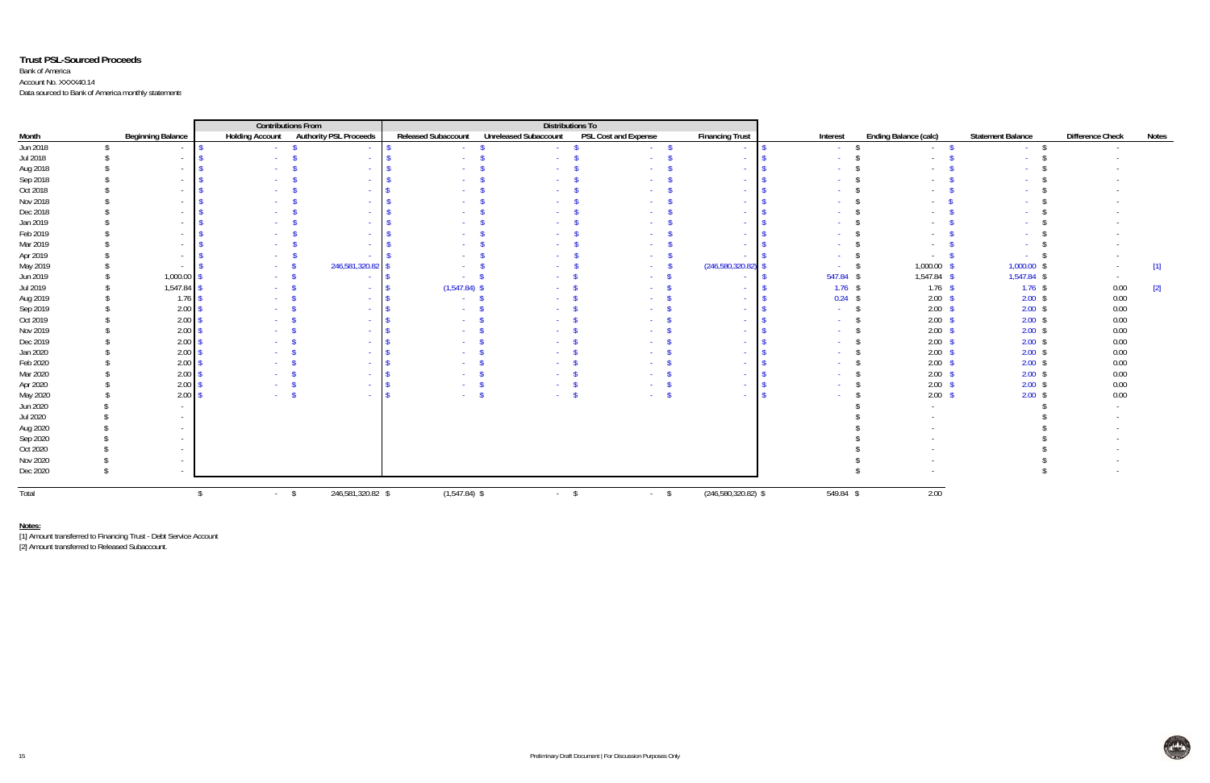## **Trust PSL-Sourced Proceeds**

Bank of America Account No. XXXX40.14 Data sourced to Bank of America monthly statements

|          |                          | <b>Contributions From</b>              |                     | <b>Distributions To</b>      |                      |                        |             |                              |                          |                         |              |
|----------|--------------------------|----------------------------------------|---------------------|------------------------------|----------------------|------------------------|-------------|------------------------------|--------------------------|-------------------------|--------------|
| Month    | <b>Beginning Balance</b> | Holding Account Authority PSL Proceeds | Released Subaccount | <b>Unreleased Subaccount</b> | PSL Cost and Expense | <b>Financing Trust</b> | Interest    | <b>Ending Balance (calc)</b> | <b>Statement Balance</b> | <b>Difference Check</b> | <b>Notes</b> |
| Jun 2018 |                          |                                        |                     |                              |                      |                        |             |                              |                          |                         |              |
| Jul 2018 |                          |                                        |                     |                              |                      |                        |             |                              |                          |                         |              |
| Aug 2018 |                          |                                        |                     |                              |                      | $\sim$                 |             |                              |                          |                         |              |
| Sep 2018 |                          |                                        |                     |                              |                      | $\sim$                 |             |                              |                          |                         |              |
| Oct 2018 |                          |                                        |                     |                              |                      | $\sim$                 |             |                              |                          |                         |              |
| Nov 2018 |                          |                                        |                     |                              |                      |                        |             |                              |                          |                         |              |
| Dec 2018 |                          |                                        |                     |                              |                      | $\sim$                 |             |                              |                          |                         |              |
| Jan 2019 |                          |                                        |                     |                              |                      | <b>Section</b>         |             |                              |                          |                         |              |
| Feb 2019 |                          |                                        |                     |                              |                      | <b>Section</b>         |             |                              |                          |                         |              |
| Mar 2019 |                          |                                        |                     |                              |                      |                        |             |                              |                          |                         |              |
| Apr 2019 |                          |                                        |                     |                              |                      |                        |             |                              |                          |                         |              |
| May 2019 |                          | 246,581,320.82                         |                     |                              |                      | (246,580,320.82)       |             | 1,000.00                     | 1,000.00                 |                         | $[1]$        |
| Jun 2019 | 1,000.00                 |                                        |                     |                              |                      | $\sim$                 | 547.84 \$   | 1,547.84 \$                  | 1,547.84 \$              |                         |              |
| Jul 2019 | $1,547.84$ \$            |                                        | $(1,547.84)$ \$     |                              |                      | $\sim$                 | $1.76$ \$   | $1.76$ \$                    | $1.76$ \$                | 0.00                    | $[2]$        |
| Aug 2019 | $1.76$ \$                |                                        |                     |                              |                      | <b>Section</b>         | $0.24$ \$   | $2.00$ \$                    | $2.00$ \$                | 0.00                    |              |
| Sep 2019 | 2.00                     |                                        |                     |                              |                      |                        |             | $2.00$ \$                    | $2.00$ \$                | 0.00                    |              |
| Oct 2019 | 2.00                     |                                        |                     |                              |                      |                        |             | $2.00$ \$                    | $2.00$ \$                | 0.00                    |              |
| Nov 2019 | 2.00                     |                                        |                     |                              |                      |                        |             | $2.00$ \$                    | $2.00$ \$                | 0.00                    |              |
| Dec 2019 | 2.00                     |                                        |                     |                              |                      |                        |             | 2.00 <sup>5</sup>            | $2.00$ \$                | 0.00                    |              |
| Jan 2020 | 2.00                     |                                        |                     |                              |                      |                        |             | $2.00$ \$                    | $2.00$ \$                | 0.00                    |              |
| Feb 2020 | 2.00                     |                                        |                     |                              |                      |                        |             | $2.00$ \$                    | $2.00$ \$                | 0.00                    |              |
| Mar 2020 | 2.00                     |                                        |                     |                              |                      | <b>Section</b>         |             | 2.00 <sup>5</sup>            | $2.00$ \$                | 0.00                    |              |
| Apr 2020 | $2.00$ \$                | $\sim$                                 |                     |                              |                      | $\sim$                 |             | $2.00$ \$                    | $2.00$ \$                | 0.00                    |              |
| May 2020 | $2.00$ \$                |                                        |                     |                              | <b>Section</b>       | $\sim$                 |             | $2.00$ \$                    | $2.00$ \$                | 0.00                    |              |
| Jun 2020 |                          |                                        |                     |                              |                      |                        |             |                              |                          |                         |              |
| Jul 2020 |                          |                                        |                     |                              |                      |                        |             |                              |                          |                         |              |
| Aug 2020 |                          |                                        |                     |                              |                      |                        |             |                              |                          |                         |              |
| Sep 2020 |                          |                                        |                     |                              |                      |                        |             |                              |                          |                         |              |
| Oct 2020 |                          |                                        |                     |                              |                      |                        |             |                              |                          |                         |              |
| Nov 2020 |                          |                                        |                     |                              |                      |                        |             |                              |                          |                         |              |
| Dec 2020 |                          |                                        |                     |                              |                      |                        |             |                              |                          |                         |              |
|          |                          |                                        |                     |                              |                      |                        |             |                              |                          |                         |              |
| Total    |                          | 246,581,320.82 \$<br>$-$ \$            | $(1,547.84)$ \$     | $-$ \$                       | $-$ \$               | $(246,580,320.82)$ \$  | $549.84$ \$ | 2.00                         |                          |                         |              |

**Notes:** [1] Amount transferred to Financing Trust - Debt Service Account

[2] Amount transferred to Released Subaccount.

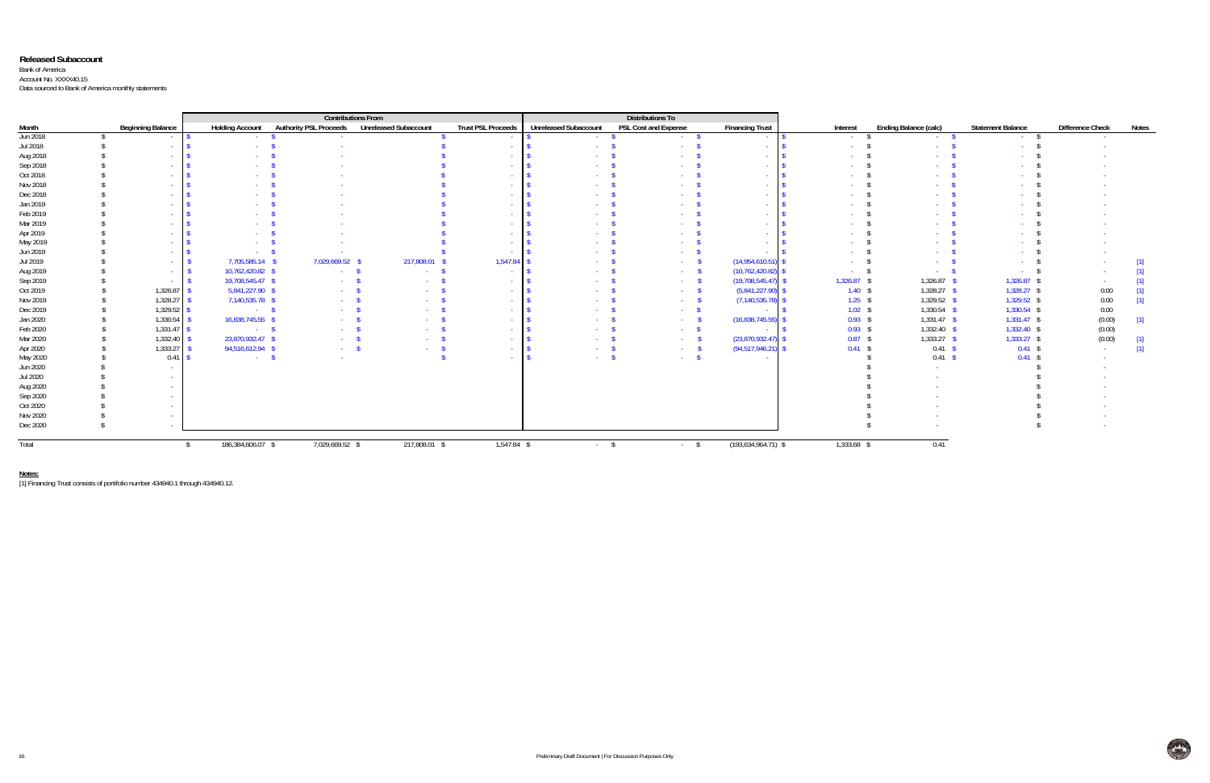### **Released Subaccount**

Bank of America Account No. XXXX40.15 Data sourced to Bank of America monthly statements

|          |  |                          |                                                  |                               | <b>Contributions From</b>    |                           |                              |                                                        |                        |          |                    |                              |                          |                         |       |
|----------|--|--------------------------|--------------------------------------------------|-------------------------------|------------------------------|---------------------------|------------------------------|--------------------------------------------------------|------------------------|----------|--------------------|------------------------------|--------------------------|-------------------------|-------|
| Month    |  | <b>Beginning Balance</b> | <b>Holding Account</b>                           | <b>Authority PSL Proceeds</b> | <b>Unreleased Subaccount</b> | <b>Trust PSL Proceeds</b> | <b>Unreleased Subaccount</b> | <b>Distributions To</b><br><b>PSL Cost and Expense</b> | <b>Financing Trust</b> | Interest |                    | <b>Ending Balance (calc)</b> | <b>Statement Balance</b> | <b>Difference Check</b> | Notes |
| Jun 2018 |  | $\sim$                   |                                                  |                               |                              | $\sim$                    |                              | <b>Carlos</b>                                          |                        |          | <b>Contract</b>    | $\sim$                       |                          |                         |       |
| Jul 2018 |  | $\sim$                   |                                                  |                               |                              | <b>Contract</b>           |                              | <b>Section</b>                                         | <b>Section</b>         |          |                    |                              |                          |                         |       |
| Aug 2018 |  | $\sim$                   |                                                  |                               |                              | <b>Service</b>            |                              |                                                        | <b>Section</b>         |          |                    |                              |                          |                         |       |
| Sep 2018 |  | $\sim$                   |                                                  |                               |                              | <b>Service</b>            |                              |                                                        | . .                    |          |                    |                              |                          |                         |       |
| Oct 2018 |  |                          |                                                  |                               |                              |                           |                              |                                                        | <b>Section</b>         |          |                    |                              |                          |                         |       |
| Nov 2018 |  |                          |                                                  |                               |                              |                           |                              |                                                        | . .                    |          |                    |                              |                          |                         |       |
| Dec 2018 |  |                          |                                                  |                               |                              |                           |                              |                                                        |                        |          |                    |                              |                          |                         |       |
| Jan 2019 |  |                          |                                                  |                               |                              | $\sim$                    |                              |                                                        | . .                    |          |                    |                              |                          |                         |       |
| Feb 2019 |  | $\sim$                   |                                                  |                               |                              | <b>Service</b>            |                              |                                                        | <b>Section</b>         |          |                    |                              |                          |                         |       |
| Mar 2019 |  | $\sim$                   |                                                  |                               |                              | <b>Service</b>            |                              |                                                        | <b>Section</b>         |          |                    |                              |                          |                         |       |
| Apr 2019 |  |                          |                                                  |                               |                              | <b>Service</b>            |                              |                                                        | <b>Section</b>         |          |                    |                              |                          |                         |       |
| May 2019 |  |                          |                                                  |                               |                              | <b>Service</b>            |                              |                                                        | . .                    |          |                    |                              |                          |                         |       |
| Jun 2019 |  | $\sim$                   |                                                  |                               |                              |                           |                              |                                                        |                        |          |                    |                              |                          |                         |       |
| Jul 2019 |  | $\sim$                   | 7,705,585.14 \$                                  | 7,029,669.52                  | 217,808.01                   | 1,547.84                  |                              | <b>Section</b>                                         | (14,954,610.51)        |          |                    |                              |                          |                         |       |
| Aug 2019 |  | $\sim$                   | 10,762,420.82 \$                                 | <b>Service</b>                | - 3                          | $\sim$                    |                              | <b>Service</b>                                         | (10, 762, 420.82)      |          |                    |                              |                          |                         |       |
| Sep 2019 |  |                          | 19,708,545.47 \$                                 |                               | <b>Service</b>               | <b>Service</b>            |                              | <b>Service</b>                                         | (19,708,545.47)        |          | $1,326.87$ \$      | $1,326.87$ \$                | $1,326.87$ \$            |                         |       |
| Oct 2019 |  | 1,326.87                 | 5,841,227.90 \$                                  |                               | <b>Contract</b>              | $\sim 10^{-1}$            |                              | <b>Section</b>                                         | (5,841,227.90)         |          | $1.40$ \$          | $1,328.27$ \$                | 1,328.27 \$              | 0.00                    |       |
| Nov 2019 |  | 1,328.27                 | 7,140,535.78 \$                                  |                               | <b>Service</b>               | <b>Contract</b>           |                              | $\sim 10^{-1}$                                         | (7, 140, 535.78)       |          | $1.25$ \$          | $1,329.52$ \$                | 1,329.52 \$              | 0.00                    | [1]   |
| Dec 2019 |  | 1,329.52                 | $\sim$ $\sim$ $\sim$ $\sim$ $\sim$ $\sim$ $\sim$ | <b>Service</b>                | <b>Service</b>               | <b>Contract</b>           |                              | <b>College</b>                                         | <b>Section</b>         |          | $1.02$ \$          | $1,330.54$ \$                | 1,330.54 \$              | 0.00                    |       |
| Jan 2020 |  | 1,330.54                 | 16,838,745.55 \$                                 | <b>Service</b>                | . <b>.</b>                   | <b>Contract</b>           |                              | <b>Card</b>                                            | (16,838,745.55)        |          | $0.93$ \$          | $1,331.47$ \$                | 1,331.47 \$              | (0.00)                  | $[1]$ |
| Feb 2020 |  | 1,331.47                 | $\sim$ $\sim$ $\sim$ $\sim$ $\sim$ $\sim$ $\sim$ | <b>Service</b>                |                              | <b>Contract</b>           |                              | <b>Contract</b>                                        | <b>College</b>         |          | $0.93$ \$          | $1,332.40$ \$                | 1,332.40 \$              | (0.00)                  |       |
| Mar 2020 |  | 1,332.40                 | 23,870,932.47 \$                                 |                               | <b>Service</b>               | <b>Contract</b>           |                              | <b>Contract</b>                                        | (23,870,932.47)        |          | $0.87$ \$          | $1,333.27$ \$                | $1,333.27$ \$            | (0.00)                  | $[1]$ |
| Apr 2020 |  | 1,333.27                 | 94,516,612.94 \$                                 | <b>Service</b>                | and the state of the         | <b>Service</b>            |                              | <b>Contract</b>                                        | (94, 517, 946.21)      |          | $0.41 \text{ }$ \$ | 0.41 S                       | $0.41$ \$                | $\sim$                  | $[1]$ |
| May 2020 |  | 0.41                     | $\sim$ $\sim$ $\sim$                             |                               |                              |                           |                              | <b>Service</b>                                         | <b>College</b>         |          |                    | $0.41 \quad$ \$              | $0.41$ \$                |                         |       |
| Jun 2020 |  |                          |                                                  |                               |                              |                           |                              |                                                        |                        |          |                    |                              |                          |                         |       |
| Jul 2020 |  |                          |                                                  |                               |                              |                           |                              |                                                        |                        |          |                    |                              |                          |                         |       |
| Aug 2020 |  |                          |                                                  |                               |                              |                           |                              |                                                        |                        |          |                    |                              |                          |                         |       |
| Sep 2020 |  |                          |                                                  |                               |                              |                           |                              |                                                        |                        |          |                    |                              |                          |                         |       |
| Oct 2020 |  |                          |                                                  |                               |                              |                           |                              |                                                        |                        |          |                    |                              |                          |                         |       |
| Nov 2020 |  |                          |                                                  |                               |                              |                           |                              |                                                        |                        |          |                    |                              |                          |                         |       |
| Dec 2020 |  |                          |                                                  |                               |                              |                           |                              |                                                        |                        |          |                    |                              |                          |                         |       |
| Total    |  |                          | 186,384,606.07 \$                                | 7,029,669.52 \$               | 217,808.01 \$                | 1,547.84 \$               | $-$ \$                       | $-5$                                                   | $(193,634,964.71)$ \$  |          | 1,333.68 \$        | 0.41                         |                          |                         |       |

**Notes:** [1] Financing Trust consists of portifolio number 434940.1 through 434940.12.

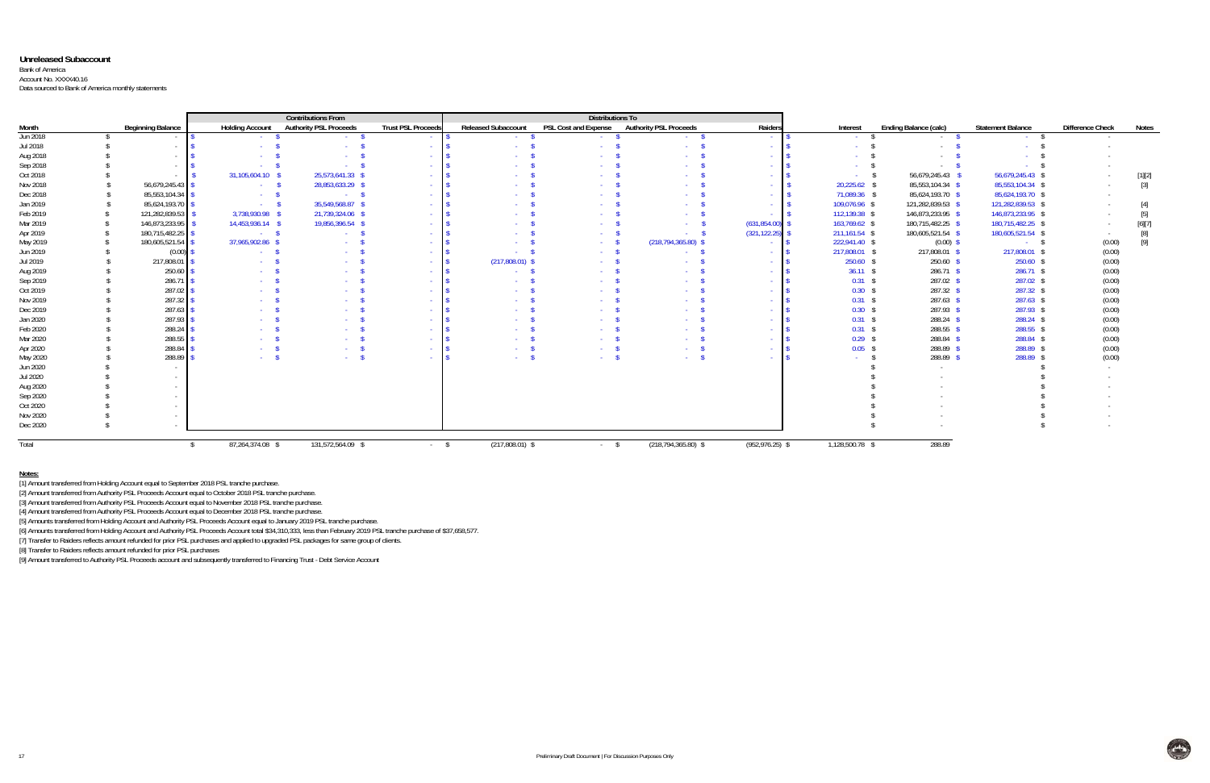### **Unreleased Subaccount**

#### Bank of America Account No. XXXX40.16

Data sourced to Bank of America monthly statements

|          |  |                          |                         | <b>Contributions From</b>     |                           |                            | <b>Distributions To</b>     |                               |                    |                 |                              |                          |                         |                                                                                                                                                                                                                                                                                                                                                                                                                                                                                                                                                                                                                                                                                                                                                                                                                                                                     |
|----------|--|--------------------------|-------------------------|-------------------------------|---------------------------|----------------------------|-----------------------------|-------------------------------|--------------------|-----------------|------------------------------|--------------------------|-------------------------|---------------------------------------------------------------------------------------------------------------------------------------------------------------------------------------------------------------------------------------------------------------------------------------------------------------------------------------------------------------------------------------------------------------------------------------------------------------------------------------------------------------------------------------------------------------------------------------------------------------------------------------------------------------------------------------------------------------------------------------------------------------------------------------------------------------------------------------------------------------------|
| Month    |  | <b>Beginning Balance</b> | <b>Holding Account</b>  | <b>Authority PSL Proceeds</b> | <b>Trust PSL Proceeds</b> | <b>Released Subaccount</b> | <b>PSL Cost and Expense</b> | <b>Authority PSL Proceeds</b> | Raiders            | Interest        | <b>Ending Balance (calc)</b> | <b>Statement Balance</b> | <b>Difference Check</b> | <b>Notes</b>                                                                                                                                                                                                                                                                                                                                                                                                                                                                                                                                                                                                                                                                                                                                                                                                                                                        |
| Jun 2018 |  | $\sim$                   | <b>Service</b>          | <b>Contract</b>               | <b>Contract</b>           | <b>Service</b>             | <b>Service</b>              | $\sim$ \$                     | <b>Contract</b>    | <b>Contract</b> | $\sim$ S                     | $-$ S                    | $\sim$                  |                                                                                                                                                                                                                                                                                                                                                                                                                                                                                                                                                                                                                                                                                                                                                                                                                                                                     |
| Jul 2018 |  | $\sim$ $-$               |                         | <b>College</b>                | <b>Section</b>            |                            | <b>Service</b>              |                               | <b>Contract</b>    |                 | $\sim$                       |                          |                         |                                                                                                                                                                                                                                                                                                                                                                                                                                                                                                                                                                                                                                                                                                                                                                                                                                                                     |
| Aug 2018 |  | $\sim$                   |                         | $\sim$                        | <b>Contract</b>           |                            |                             |                               |                    |                 | $\sim$                       |                          |                         |                                                                                                                                                                                                                                                                                                                                                                                                                                                                                                                                                                                                                                                                                                                                                                                                                                                                     |
| Sep 2018 |  | $\sim$                   |                         | <b>Service</b>                | <b>College</b>            |                            |                             |                               |                    | <b>Contract</b> | $\sim$                       |                          |                         |                                                                                                                                                                                                                                                                                                                                                                                                                                                                                                                                                                                                                                                                                                                                                                                                                                                                     |
| Oct 2018 |  |                          | 31,105,604.10           | 25.573.641.33                 | <b>Contract</b>           |                            |                             |                               |                    | <b>Service</b>  | 56,679,245.43 \$             | 56,679,245.43            | $\sim$                  | [1][2]                                                                                                                                                                                                                                                                                                                                                                                                                                                                                                                                                                                                                                                                                                                                                                                                                                                              |
| Nov 2018 |  | 56,679,245.43            | <b>Contractor</b>       | 28,853,633.29                 | $\sim$                    |                            |                             |                               |                    | 20,225.62       | 85,553,104.34 \$             | 85,553,104.34 \$         | $\sim$                  | $[3]$                                                                                                                                                                                                                                                                                                                                                                                                                                                                                                                                                                                                                                                                                                                                                                                                                                                               |
| Dec 2018 |  | 85,553,104.34            | <b>Contract</b>         | - 5                           | <b>Contract</b>           |                            |                             |                               |                    | 71,089.36 \$    | 85,624,193.70 \$             | 85,624,193.70 \$         | $\sim$                  |                                                                                                                                                                                                                                                                                                                                                                                                                                                                                                                                                                                                                                                                                                                                                                                                                                                                     |
| Jan 2019 |  | 85,624,193.70            | <b>Service</b>          | 35,549,568.87 \$              | <b>CONTRACTOR</b>         |                            |                             |                               |                    | 109,076.96 \$   | 121,282,839.53 \$            | 121,282,839.53 \$        | $\sim$                  | $[4] % \includegraphics[width=0.9\columnwidth]{figures/fig_4} \caption{A graph shows a function of the number of times, and the number of times, in the right, the number of times, in the right, the number of times, in the right, the number of times, in the right, the number of times, in the right, the number of times, in the right, the number of times, in the right, the number of times, in the right, the number of times, in the right, the number of times, in the right, the number of times, in the right, the number of times, in the right, the number of times, in the right, the number of times, in the right, the number of times, in the right, the number of times, in the right, the number of times, in the right, the number of times, in the right, the number of times, in the right, the number of times, in the right, the number$ |
| Feb 2019 |  | 121,282,839.53           | 3,738,930.98 \$         | 21,739,324.06 \$              | $\sim$                    |                            |                             |                               |                    | 112,139.38 \$   | 146,873,233.95 \$            | 146,873,233.95 \$        |                         | $[5] % \begin{center} \includegraphics[width=\linewidth]{imagesSupplemental/Imit} \caption{The image shows the image shows a single number of times.} \label{fig:limal} \end{center}$                                                                                                                                                                                                                                                                                                                                                                                                                                                                                                                                                                                                                                                                               |
| Mar 2019 |  | 146,873,233.95           | 14,453,936.14 \$        | 19,856,396.54 \$              | <b>Contract</b>           |                            |                             | <b>Service</b>                | (631, 854.00)      | 163,769.62 \$   | 180,715,482.25 \$            | 180,715,482.25 \$        | $\sim$                  | [6][7]                                                                                                                                                                                                                                                                                                                                                                                                                                                                                                                                                                                                                                                                                                                                                                                                                                                              |
| Apr 2019 |  | 180,715,482.25           | $-$ \$                  | <b>Contract</b>               | <b>College</b>            |                            |                             | - 5                           | (321, 122.25)      | 211,161.54 \$   | 180,605,521.54 \$            | 180,605,521.54 \$        |                         |                                                                                                                                                                                                                                                                                                                                                                                                                                                                                                                                                                                                                                                                                                                                                                                                                                                                     |
| May 2019 |  | 180,605,521.54           | 37,965,902.86           | <b>Contract</b>               | <b>College</b>            |                            | <b>Service</b>              | $(218, 794, 365.80)$ \$       | <b>Contract</b>    | 222,941.40 \$   | $(0.00)$ \$                  | $-$ \$                   | (0.00)                  | [9]                                                                                                                                                                                                                                                                                                                                                                                                                                                                                                                                                                                                                                                                                                                                                                                                                                                                 |
| Jun 2019 |  | (0.00)                   | <b>Carlos</b>           | <b>Contract</b>               | <b>College</b>            |                            | $\sim$ S                    | <b>Service</b>                |                    | 217,808.01 \$   | 217,808.01 \$                | 217,808.01 \$            | (0.00)                  |                                                                                                                                                                                                                                                                                                                                                                                                                                                                                                                                                                                                                                                                                                                                                                                                                                                                     |
| Jul 2019 |  | 217,808.01               | <b>Service</b>          | <b>Service</b>                | <b>Contract</b>           | $(217,808.01)$ \$          | <b>Service</b>              | <b>Contract Contract</b>      | <b>Contract</b>    | $250.60$ \$     | $250.60$ \$                  | 250.60 \$                | (0.00)                  |                                                                                                                                                                                                                                                                                                                                                                                                                                                                                                                                                                                                                                                                                                                                                                                                                                                                     |
| Aug 2019 |  | 250.60                   |                         |                               | <b>College</b>            |                            |                             |                               | <b>Contract</b>    | $36.11$ \$      | $286.71$ \$                  | 286.71 \$                | (0.00)                  |                                                                                                                                                                                                                                                                                                                                                                                                                                                                                                                                                                                                                                                                                                                                                                                                                                                                     |
| Sep 2019 |  | 286.71                   |                         |                               | <b>College</b>            |                            |                             |                               | <b>College</b>     | $0.31$ \$       | $287.02$ \$                  | 287.02 \$                | (0.00)                  |                                                                                                                                                                                                                                                                                                                                                                                                                                                                                                                                                                                                                                                                                                                                                                                                                                                                     |
| Oct 2019 |  | 287.02                   | <b>Service</b>          | <b>Service</b>                | $\sim$                    |                            |                             |                               | <b>Contract</b>    | $0.30$ \$       | $287.32$ \$                  | $287.32$ \$              | (0.00)                  |                                                                                                                                                                                                                                                                                                                                                                                                                                                                                                                                                                                                                                                                                                                                                                                                                                                                     |
| Nov 2019 |  | 287.32                   | <b>Service</b>          | <b>Service</b>                | $\sim$                    |                            |                             |                               | <b>Contract</b>    | $0.31$ .        | $287.63$ \$                  | $287.63$ \$              | (0.00)                  |                                                                                                                                                                                                                                                                                                                                                                                                                                                                                                                                                                                                                                                                                                                                                                                                                                                                     |
| Dec 2019 |  | 287.63                   | <b>Service</b>          | a.                            | $\sim$                    |                            |                             |                               |                    | $0.30$ :        | 287.93 \$                    | 287.93 \$                | (0.00)                  |                                                                                                                                                                                                                                                                                                                                                                                                                                                                                                                                                                                                                                                                                                                                                                                                                                                                     |
| Jan 2020 |  | 287.93                   |                         | <b>Section</b>                | $\sim$                    |                            |                             |                               | <b>Contract</b>    | $0.31$ :        | $288.24$ \$                  | 288.24 \$                | (0.00)                  |                                                                                                                                                                                                                                                                                                                                                                                                                                                                                                                                                                                                                                                                                                                                                                                                                                                                     |
| Feb 2020 |  | 288.24                   |                         |                               | $\sim$                    |                            |                             |                               | <b>Contract</b>    | $0.31$ \$       | 288.55 \$                    | 288.55 \$                | (0.00)                  |                                                                                                                                                                                                                                                                                                                                                                                                                                                                                                                                                                                                                                                                                                                                                                                                                                                                     |
| Mar 2020 |  | 288.55                   |                         |                               | $\sim$                    |                            |                             |                               | <b>Section</b>     | $0.29$ \$       | 288.84 \$                    | 288.84 \$                | (0.00)                  |                                                                                                                                                                                                                                                                                                                                                                                                                                                                                                                                                                                                                                                                                                                                                                                                                                                                     |
| Apr 2020 |  | 288.84                   | <b>Contract</b>         | <b>Service</b>                | <b>Contract</b>           |                            |                             |                               | <b>Contract</b>    | $0.05$ \$       | 288.89 \$                    | 288.89 \$                | (0.00)                  |                                                                                                                                                                                                                                                                                                                                                                                                                                                                                                                                                                                                                                                                                                                                                                                                                                                                     |
| May 2020 |  | 288.89                   | <b>Service</b>          | <b>Section</b>                | $\sim$                    |                            |                             |                               | <b>Contract</b>    | <b>Service</b>  | 288.89 \$                    | 288.89 \$                | (0.00)                  |                                                                                                                                                                                                                                                                                                                                                                                                                                                                                                                                                                                                                                                                                                                                                                                                                                                                     |
| Jun 2020 |  | $\sim$                   |                         |                               |                           |                            |                             |                               |                    |                 | $\sim$                       |                          |                         |                                                                                                                                                                                                                                                                                                                                                                                                                                                                                                                                                                                                                                                                                                                                                                                                                                                                     |
| Jul 2020 |  |                          |                         |                               |                           |                            |                             |                               |                    |                 |                              |                          |                         |                                                                                                                                                                                                                                                                                                                                                                                                                                                                                                                                                                                                                                                                                                                                                                                                                                                                     |
| Aug 2020 |  |                          |                         |                               |                           |                            |                             |                               |                    |                 |                              |                          |                         |                                                                                                                                                                                                                                                                                                                                                                                                                                                                                                                                                                                                                                                                                                                                                                                                                                                                     |
| Sep 2020 |  |                          |                         |                               |                           |                            |                             |                               |                    |                 |                              |                          |                         |                                                                                                                                                                                                                                                                                                                                                                                                                                                                                                                                                                                                                                                                                                                                                                                                                                                                     |
| Oct 2020 |  |                          |                         |                               |                           |                            |                             |                               |                    |                 |                              |                          |                         |                                                                                                                                                                                                                                                                                                                                                                                                                                                                                                                                                                                                                                                                                                                                                                                                                                                                     |
| Nov 2020 |  |                          |                         |                               |                           |                            |                             |                               |                    |                 |                              |                          |                         |                                                                                                                                                                                                                                                                                                                                                                                                                                                                                                                                                                                                                                                                                                                                                                                                                                                                     |
| Dec 2020 |  |                          |                         |                               |                           |                            |                             |                               |                    |                 |                              |                          |                         |                                                                                                                                                                                                                                                                                                                                                                                                                                                                                                                                                                                                                                                                                                                                                                                                                                                                     |
| Total    |  |                          | 87,264,374.08 \$<br>- S | 131,572,564.09 \$             | $-$ \$                    | $(217,808.01)$ \$          | $-$ \$                      | $(218, 794, 365.80)$ \$       | $(952, 976.25)$ \$ | 1,128,500.78 \$ | 288.89                       |                          |                         |                                                                                                                                                                                                                                                                                                                                                                                                                                                                                                                                                                                                                                                                                                                                                                                                                                                                     |
|          |  |                          |                         |                               |                           |                            |                             |                               |                    |                 |                              |                          |                         |                                                                                                                                                                                                                                                                                                                                                                                                                                                                                                                                                                                                                                                                                                                                                                                                                                                                     |

#### **Notes:**

[1] Amount transferred from Holding Account equal to September 2018 PSL tranche purchase.

[2] Amount transferred from Authority PSL Proceeds Account equal to October 2018 PSL tranche purchase.

[3] Amount transferred from Authority PSL Proceeds Account equal to November 2018 PSL tranche purchase.

[4] Amount transferred from Authority PSL Proceeds Account equal to December 2018 PSL tranche purchase.

[5] Amounts transferred from Holding Account and Authority PSL Proceeds Account equal to January 2019 PSL tranche purchase.

[6] Amounts transferred from Holding Account and Authority PSL Proceeds Account total \$34,310,333, less than February 2019 PSL tranche purchase of \$37,658,577.

[7] Transfer to Raiders reflects amount refunded for prior PSL purchases and applied to upgraded PSL packages for same group of clients.

[8] Transfer to Raiders reflects amount refunded for prior PSL purchases

[9] Amount transferred to Authority PSL Proceeds account and subsequently transferred to Financing Trust - Debt Service Account